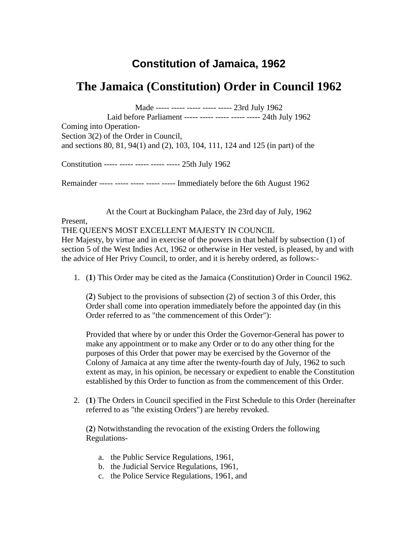### **Constitution of Jamaica, 1962**

### **The Jamaica (Constitution) Order in Council 1962**

Made ----- ----- ----- ----- ----- 23rd July 1962 Laid before Parliament ----- ----- ----- ----- ----- 24th July 1962 Coming into Operation-Section 3(2) of the Order in Council, and sections 80, 81, 94(1) and (2), 103, 104, 111, 124 and 125 (in part) of the

Constitution ----- ----- ----- ----- ----- 25th July 1962

Remainder ----- ----- ----- ----- ----- Immediately before the 6th August 1962

At the Court at Buckingham Palace, the 23rd day of July, 1962

Present,

THE QUEEN'S MOST EXCELLENT MAJESTY IN COUNCIL

Her Majesty, by virtue and in exercise of the powers in that behalf by subsection (1) of section 5 of the West Indies Act, 1962 or otherwise in Her vested, is pleased, by and with the advice of Her Privy Council, to order, and it is hereby ordered, as follows:-

1. (**1**) This Order may be cited as the Jamaica (Constitution) Order in Council 1962.

(**2**) Subject to the provisions of subsection (2) of section 3 of this Order, this Order shall come into operation immediately before the appointed day (in this Order referred to as "the commencement of this Order"):

Provided that where by or under this Order the Governor-General has power to make any appointment or to make any Order or to do any other thing for the purposes of this Order that power may be exercised by the Governor of the Colony of Jamaica at any time after the twenty-fourth day of July, 1962 to such extent as may, in his opinion, be necessary or expedient to enable the Constitution established by this Order to function as from the commencement of this Order.

2. (**1**) The Orders in Council specified in the First Schedule to this Order (hereinafter referred to as "the existing Orders") are hereby revoked.

(**2**) Notwithstanding the revocation of the existing Orders the following Regulations-

- a. the Public Service Regulations, 1961,
- b. the Judicial Service Regulations, 1961,
- c. the Police Service Regulations, 1961, and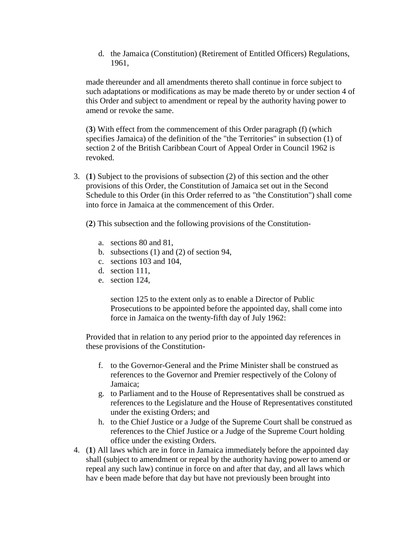d. the Jamaica (Constitution) (Retirement of Entitled Officers) Regulations, 1961,

made thereunder and all amendments thereto shall continue in force subject to such adaptations or modifications as may be made thereto by or under section 4 of this Order and subject to amendment or repeal by the authority having power to amend or revoke the same.

(**3**) With effect from the commencement of this Order paragraph (f) (which specifies Jamaica) of the definition of the "the Territories" in subsection (1) of section 2 of the British Caribbean Court of Appeal Order in Council 1962 is revoked.

3. (**1**) Subject to the provisions of subsection (2) of this section and the other provisions of this Order, the Constitution of Jamaica set out in the Second Schedule to this Order (in this Order referred to as "the Constitution") shall come into force in Jamaica at the commencement of this Order.

(**2**) This subsection and the following provisions of the Constitution-

- a. sections 80 and 81,
- b. subsections (1) and (2) of section 94,
- c. sections 103 and 104,
- d. section 111,
- e. section 124,

section 125 to the extent only as to enable a Director of Public Prosecutions to be appointed before the appointed day, shall come into force in Jamaica on the twenty-fifth day of July 1962:

Provided that in relation to any period prior to the appointed day references in these provisions of the Constitution-

- f. to the Governor-General and the Prime Minister shall be construed as references to the Governor and Premier respectively of the Colony of Jamaica;
- g. to Parliament and to the House of Representatives shall be construed as references to the Legislature and the House of Representatives constituted under the existing Orders; and
- h. to the Chief Justice or a Judge of the Supreme Court shall be construed as references to the Chief Justice or a Judge of the Supreme Court holding office under the existing Orders.
- 4. (**1**) All laws which are in force in Jamaica immediately before the appointed day shall (subject to amendment or repeal by the authority having power to amend or repeal any such law) continue in force on and after that day, and all laws which hav e been made before that day but have not previously been brought into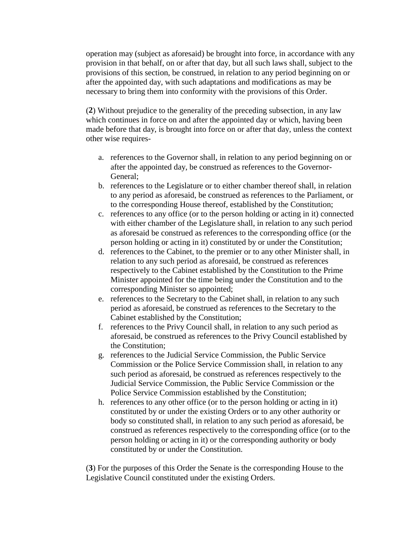operation may (subject as aforesaid) be brought into force, in accordance with any provision in that behalf, on or after that day, but all such laws shall, subject to the provisions of this section, be construed, in relation to any period beginning on or after the appointed day, with such adaptations and modifications as may be necessary to bring them into conformity with the provisions of this Order.

(**2**) Without prejudice to the generality of the preceding subsection, in any law which continues in force on and after the appointed day or which, having been made before that day, is brought into force on or after that day, unless the context other wise requires-

- a. references to the Governor shall, in relation to any period beginning on or after the appointed day, be construed as references to the Governor-General;
- b. references to the Legislature or to either chamber thereof shall, in relation to any period as aforesaid, be construed as references to the Parliament, or to the corresponding House thereof, established by the Constitution;
- c. references to any office (or to the person holding or acting in it) connected with either chamber of the Legislature shall, in relation to any such period as aforesaid be construed as references to the corresponding office (or the person holding or acting in it) constituted by or under the Constitution;
- d. references to the Cabinet, to the premier or to any other Minister shall, in relation to any such period as aforesaid, be construed as references respectively to the Cabinet established by the Constitution to the Prime Minister appointed for the time being under the Constitution and to the corresponding Minister so appointed;
- e. references to the Secretary to the Cabinet shall, in relation to any such period as aforesaid, be construed as references to the Secretary to the Cabinet established by the Constitution;
- f. references to the Privy Council shall, in relation to any such period as aforesaid, be construed as references to the Privy Council established by the Constitution;
- g. references to the Judicial Service Commission, the Public Service Commission or the Police Service Commission shall, in relation to any such period as aforesaid, be construed as references respectively to the Judicial Service Commission, the Public Service Commission or the Police Service Commission established by the Constitution;
- h. references to any other office (or to the person holding or acting in it) constituted by or under the existing Orders or to any other authority or body so constituted shall, in relation to any such period as aforesaid, be construed as references respectively to the corresponding office (or to the person holding or acting in it) or the corresponding authority or body constituted by or under the Constitution.

(**3**) For the purposes of this Order the Senate is the corresponding House to the Legislative Council constituted under the existing Orders.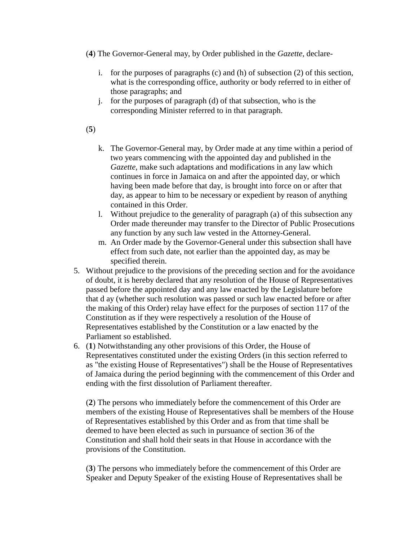(**4**) The Governor-General may, by Order published in the *Gazette*, declare-

- i. for the purposes of paragraphs (c) and (h) of subsection (2) of this section, what is the corresponding office, authority or body referred to in either of those paragraphs; and
- j. for the purposes of paragraph (d) of that subsection, who is the corresponding Minister referred to in that paragraph.
- (**5**)
	- k. The Governor-General may, by Order made at any time within a period of two years commencing with the appointed day and published in the *Gazette*, make such adaptations and modifications in any law which continues in force in Jamaica on and after the appointed day, or which having been made before that day, is brought into force on or after that day, as appear to him to be necessary or expedient by reason of anything contained in this Order.
	- l. Without prejudice to the generality of paragraph (a) of this subsection any Order made thereunder may transfer to the Director of Public Prosecutions any function by any such law vested in the Attorney-General.
	- m. An Order made by the Governor-General under this subsection shall have effect from such date, not earlier than the appointed day, as may be specified therein.
- 5. Without prejudice to the provisions of the preceding section and for the avoidance of doubt, it is hereby declared that any resolution of the House of Representatives passed before the appointed day and any law enacted by the Legislature before that d ay (whether such resolution was passed or such law enacted before or after the making of this Order) relay have effect for the purposes of section 117 of the Constitution as if they were respectively a resolution of the House of Representatives established by the Constitution or a law enacted by the Parliament so established.
- 6. (**1**) Notwithstanding any other provisions of this Order, the House of Representatives constituted under the existing Orders (in this section referred to as "the existing House of Representatives") shall be the House of Representatives of Jamaica during the period beginning with the commencement of this Order and ending with the first dissolution of Parliament thereafter.

(**2**) The persons who immediately before the commencement of this Order are members of the existing House of Representatives shall be members of the House of Representatives established by this Order and as from that time shall be deemed to have been elected as such in pursuance of section 36 of the Constitution and shall hold their seats in that House in accordance with the provisions of the Constitution.

(**3**) The persons who immediately before the commencement of this Order are Speaker and Deputy Speaker of the existing House of Representatives shall be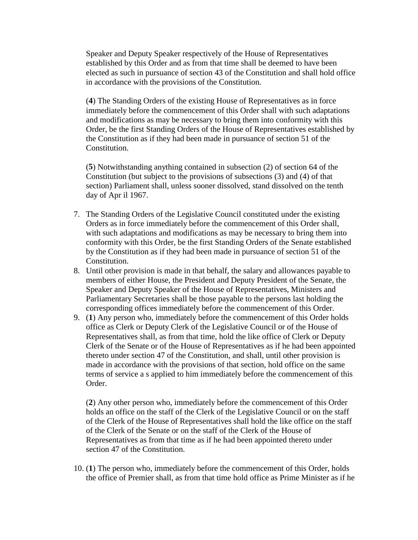Speaker and Deputy Speaker respectively of the House of Representatives established by this Order and as from that time shall be deemed to have been elected as such in pursuance of section 43 of the Constitution and shall hold office in accordance with the provisions of the Constitution.

(**4**) The Standing Orders of the existing House of Representatives as in force immediately before the commencement of this Order shall with such adaptations and modifications as may be necessary to bring them into conformity with this Order, be the first Standing Orders of the House of Representatives established by the Constitution as if they had been made in pursuance of section 51 of the Constitution.

(**5**) Notwithstanding anything contained in subsection (2) of section 64 of the Constitution (but subject to the provisions of subsections (3) and (4) of that section) Parliament shall, unless sooner dissolved, stand dissolved on the tenth day of Apr il 1967.

- 7. The Standing Orders of the Legislative Council constituted under the existing Orders as in force immediately before the commencement of this Order shall, with such adaptations and modifications as may be necessary to bring them into conformity with this Order, be the first Standing Orders of the Senate established by the Constitution as if they had been made in pursuance of section 51 of the Constitution.
- 8. Until other provision is made in that behalf, the salary and allowances payable to members of either House, the President and Deputy President of the Senate, the Speaker and Deputy Speaker of the House of Representatives, Ministers and Parliamentary Secretaries shall be those payable to the persons last holding the corresponding offices immediately before the commencement of this Order.
- 9. (**1**) Any person who, immediately before the commencement of this Order holds office as Clerk or Deputy Clerk of the Legislative Council or of the House of Representatives shall, as from that time, hold the like office of Clerk or Deputy Clerk of the Senate or of the House of Representatives as if he had been appointed thereto under section 47 of the Constitution, and shall, until other provision is made in accordance with the provisions of that section, hold office on the same terms of service a s applied to him immediately before the commencement of this Order.

(**2**) Any other person who, immediately before the commencement of this Order holds an office on the staff of the Clerk of the Legislative Council or on the staff of the Clerk of the House of Representatives shall hold the like office on the staff of the Clerk of the Senate or on the staff of the Clerk of the House of Representatives as from that time as if he had been appointed thereto under section 47 of the Constitution.

10. (**1**) The person who, immediately before the commencement of this Order, holds the office of Premier shall, as from that time hold office as Prime Minister as if he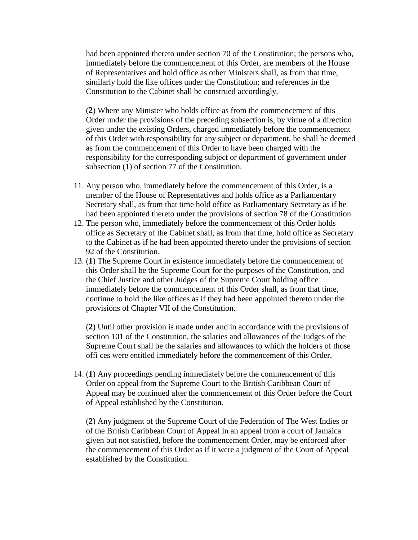had been appointed thereto under section 70 of the Constitution; the persons who, immediately before the commencement of this Order, are members of the House of Representatives and hold office as other Ministers shall, as from that time, similarly hold the like offices under the Constitution; and references in the Constitution to the Cabinet shall be construed accordingly.

(**2**) Where any Minister who holds office as from the commencement of this Order under the provisions of the preceding subsection is, by virtue of a direction given under the existing Orders, charged immediately before the commencement of this Order with responsibility for any subject or department, he shall be deemed as from the commencement of this Order to have been charged with the responsibility for the corresponding subject or department of government under subsection (1) of section 77 of the Constitution.

- 11. Any person who, immediately before the commencement of this Order, is a member of the House of Representatives and holds office as a Parliamentary Secretary shall, as from that time hold office as Parliamentary Secretary as if he had been appointed thereto under the provisions of section 78 of the Constitution.
- 12. The person who, immediately before the commencement of this Order holds office as Secretary of the Cabinet shall, as from that time, hold office as Secretary to the Cabinet as if he had been appointed thereto under the provisions of section 92 of the Constitution.
- 13. (**1**) The Supreme Court in existence immediately before the commencement of this Order shall be the Supreme Court for the purposes of the Constitution, and the Chief Justice and other Judges of the Supreme Court holding office immediately before the commencement of this Order shall, as from that time, continue to hold the like offices as if they had been appointed thereto under the provisions of Chapter VII of the Constitution.

(**2**) Until other provision is made under and in accordance with the provisions of section 101 of the Constitution, the salaries and allowances of the Judges of the Supreme Court shall be the salaries and allowances to which the holders of those offi ces were entitled immediately before the commencement of this Order.

14. (**1**) Any proceedings pending immediately before the commencement of this Order on appeal from the Supreme Court to the British Caribbean Court of Appeal may be continued after the commencement of this Order before the Court of Appeal established by the Constitution.

(**2**) Any judgment of the Supreme Court of the Federation of The West Indies or of the British Caribbean Court of Appeal in an appeal from a court of Jamaica given but not satisfied, before the commencement Order, may be enforced after the commencement of this Order as if it were a judgment of the Court of Appeal established by the Constitution.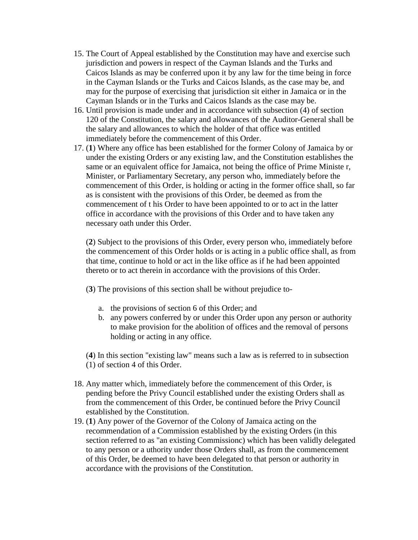- 15. The Court of Appeal established by the Constitution may have and exercise such jurisdiction and powers in respect of the Cayman Islands and the Turks and Caicos Islands as may be conferred upon it by any law for the time being in force in the Cayman Islands or the Turks and Caicos Islands, as the case may be, and may for the purpose of exercising that jurisdiction sit either in Jamaica or in the Cayman Islands or in the Turks and Caicos Islands as the case may be.
- 16. Until provision is made under and in accordance with subsection (4) of section 120 of the Constitution, the salary and allowances of the Auditor-General shall be the salary and allowances to which the holder of that office was entitled immediately before the commencement of this Order.
- 17. (**1**) Where any office has been established for the former Colony of Jamaica by or under the existing Orders or any existing law, and the Constitution establishes the same or an equivalent office for Jamaica, not being the office of Prime Ministe r, Minister, or Parliamentary Secretary, any person who, immediately before the commencement of this Order, is holding or acting in the former office shall, so far as is consistent with the provisions of this Order, be deemed as from the commencement of t his Order to have been appointed to or to act in the latter office in accordance with the provisions of this Order and to have taken any necessary oath under this Order.

(**2**) Subject to the provisions of this Order, every person who, immediately before the commencement of this Order holds or is acting in a public office shall, as from that time, continue to hold or act in the like office as if he had been appointed thereto or to act therein in accordance with the provisions of this Order.

(**3**) The provisions of this section shall be without prejudice to-

- a. the provisions of section 6 of this Order; and
- b. any powers conferred by or under this Order upon any person or authority to make provision for the abolition of offices and the removal of persons holding or acting in any office.

(**4**) In this section "existing law" means such a law as is referred to in subsection (1) of section 4 of this Order.

- 18. Any matter which, immediately before the commencement of this Order, is pending before the Privy Council established under the existing Orders shall as from the commencement of this Order, be continued before the Privy Council established by the Constitution.
- 19. (**1**) Any power of the Governor of the Colony of Jamaica acting on the recommendation of a Commission established by the existing Orders (in this section referred to as "an existing Commissionc) which has been validly delegated to any person or a uthority under those Orders shall, as from the commencement of this Order, be deemed to have been delegated to that person or authority in accordance with the provisions of the Constitution.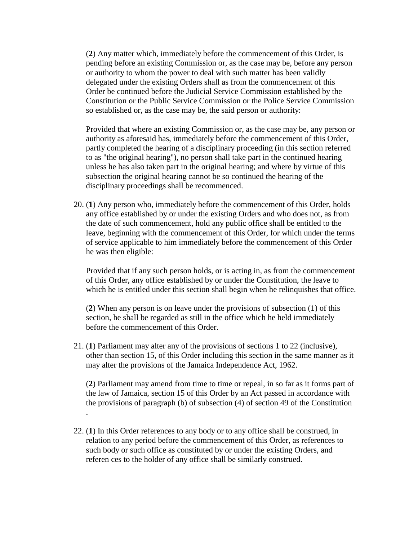(**2**) Any matter which, immediately before the commencement of this Order, is pending before an existing Commission or, as the case may be, before any person or authority to whom the power to deal with such matter has been validly delegated under the existing Orders shall as from the commencement of this Order be continued before the Judicial Service Commission established by the Constitution or the Public Service Commission or the Police Service Commission so established or, as the case may be, the said person or authority:

Provided that where an existing Commission or, as the case may be, any person or authority as aforesaid has, immediately before the commencement of this Order, partly completed the hearing of a disciplinary proceeding (in this section referred to as "the original hearing"), no person shall take part in the continued hearing unless he has also taken part in the original hearing; and where by virtue of this subsection the original hearing cannot be so continued the hearing of the disciplinary proceedings shall be recommenced.

20. (**1**) Any person who, immediately before the commencement of this Order, holds any office established by or under the existing Orders and who does not, as from the date of such commencement, hold any public office shall be entitled to the leave, beginning with the commencement of this Order, for which under the terms of service applicable to him immediately before the commencement of this Order he was then eligible:

Provided that if any such person holds, or is acting in, as from the commencement of this Order, any office established by or under the Constitution, the leave to which he is entitled under this section shall begin when he relinquishes that office.

(**2**) When any person is on leave under the provisions of subsection (1) of this section, he shall be regarded as still in the office which he held immediately before the commencement of this Order.

21. (**1**) Parliament may alter any of the provisions of sections 1 to 22 (inclusive), other than section 15, of this Order including this section in the same manner as it may alter the provisions of the Jamaica Independence Act, 1962.

(**2**) Parliament may amend from time to time or repeal, in so far as it forms part of the law of Jamaica, section 15 of this Order by an Act passed in accordance with the provisions of paragraph (b) of subsection (4) of section 49 of the Constitution .

22. (**1**) In this Order references to any body or to any office shall be construed, in relation to any period before the commencement of this Order, as references to such body or such office as constituted by or under the existing Orders, and referen ces to the holder of any office shall be similarly construed.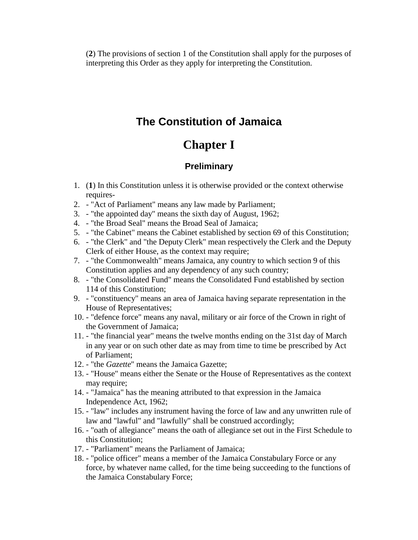(**2**) The provisions of section 1 of the Constitution shall apply for the purposes of interpreting this Order as they apply for interpreting the Constitution.

### **The Constitution of Jamaica**

# **Chapter I**

### **Preliminary**

- 1. (**1**) In this Constitution unless it is otherwise provided or the context otherwise requires-
- 2. "Act of Parliament" means any law made by Parliament;
- 3. "the appointed day" means the sixth day of August, 1962;
- 4. "the Broad Seal" means the Broad Seal of Jamaica;
- 5. "the Cabinet" means the Cabinet established by section 69 of this Constitution;
- 6. "the Clerk" and "the Deputy Clerk" mean respectively the Clerk and the Deputy Clerk of either House, as the context may require;
- 7. "the Commonwealth" means Jamaica, any country to which section 9 of this Constitution applies and any dependency of any such country;
- 8. "the Consolidated Fund" means the Consolidated Fund established by section 114 of this Constitution;
- 9. "constituency" means an area of Jamaica having separate representation in the House of Representatives;
- 10. "defence force" means any naval, military or air force of the Crown in right of the Government of Jamaica;
- 11. "the financial year" means the twelve months ending on the 31st day of March in any year or on such other date as may from time to time be prescribed by Act of Parliament;
- 12. "the *Gazette*" means the Jamaica Gazette;
- 13. "House" means either the Senate or the House of Representatives as the context may require;
- 14. "Jamaica" has the meaning attributed to that expression in the Jamaica Independence Act, 1962;
- 15. "law" includes any instrument having the force of law and any unwritten rule of law and "lawful" and "lawfully" shall be construed accordingly;
- 16. "oath of allegiance" means the oath of allegiance set out in the First Schedule to this Constitution;
- 17. "Parliament" means the Parliament of Jamaica;
- 18. "police officer" means a member of the Jamaica Constabulary Force or any force, by whatever name called, for the time being succeeding to the functions of the Jamaica Constabulary Force;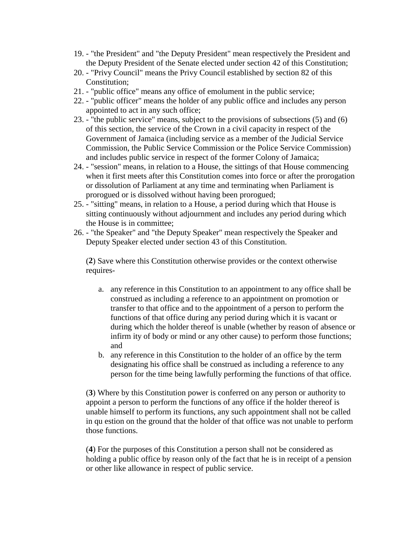- 19. "the President" and "the Deputy President" mean respectively the President and the Deputy President of the Senate elected under section 42 of this Constitution;
- 20. "Privy Council" means the Privy Council established by section 82 of this Constitution;
- 21. "public office" means any office of emolument in the public service;
- 22. "public officer" means the holder of any public office and includes any person appointed to act in any such office;
- 23. "the public service" means, subject to the provisions of subsections (5) and (6) of this section, the service of the Crown in a civil capacity in respect of the Government of Jamaica (including service as a member of the Judicial Service Commission, the Public Service Commission or the Police Service Commission) and includes public service in respect of the former Colony of Jamaica;
- 24. "session" means, in relation to a House, the sittings of that House commencing when it first meets after this Constitution comes into force or after the prorogation or dissolution of Parliament at any time and terminating when Parliament is prorogued or is dissolved without having been prorogued;
- 25. "sitting" means, in relation to a House, a period during which that House is sitting continuously without adjournment and includes any period during which the House is in committee;
- 26. "the Speaker" and "the Deputy Speaker" mean respectively the Speaker and Deputy Speaker elected under section 43 of this Constitution.

(**2**) Save where this Constitution otherwise provides or the context otherwise requires-

- a. any reference in this Constitution to an appointment to any office shall be construed as including a reference to an appointment on promotion or transfer to that office and to the appointment of a person to perform the functions of that office during any period during which it is vacant or during which the holder thereof is unable (whether by reason of absence or infirm ity of body or mind or any other cause) to perform those functions; and
- b. any reference in this Constitution to the holder of an office by the term designating his office shall be construed as including a reference to any person for the time being lawfully performing the functions of that office.

(**3**) Where by this Constitution power is conferred on any person or authority to appoint a person to perform the functions of any office if the holder thereof is unable himself to perform its functions, any such appointment shall not be called in qu estion on the ground that the holder of that office was not unable to perform those functions.

(**4**) For the purposes of this Constitution a person shall not be considered as holding a public office by reason only of the fact that he is in receipt of a pension or other like allowance in respect of public service.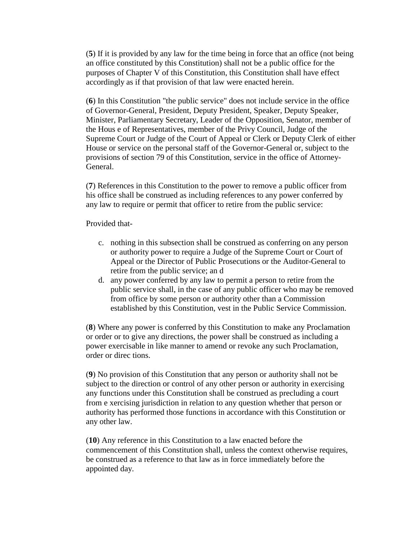(**5**) If it is provided by any law for the time being in force that an office (not being an office constituted by this Constitution) shall not be a public office for the purposes of Chapter V of this Constitution, this Constitution shall have effect accordingly as if that provision of that law were enacted herein.

(**6**) In this Constitution "the public service" does not include service in the office of Governor-General, President, Deputy President, Speaker, Deputy Speaker, Minister, Parliamentary Secretary, Leader of the Opposition, Senator, member of the Hous e of Representatives, member of the Privy Council, Judge of the Supreme Court or Judge of the Court of Appeal or Clerk or Deputy Clerk of either House or service on the personal staff of the Governor-General or, subject to the provisions of section 79 of this Constitution, service in the office of Attorney-General.

(**7**) References in this Constitution to the power to remove a public officer from his office shall be construed as including references to any power conferred by any law to require or permit that officer to retire from the public service:

Provided that-

- c. nothing in this subsection shall be construed as conferring on any person or authority power to require a Judge of the Supreme Court or Court of Appeal or the Director of Public Prosecutions or the Auditor-General to retire from the public service; an d
- d. any power conferred by any law to permit a person to retire from the public service shall, in the case of any public officer who may be removed from office by some person or authority other than a Commission established by this Constitution, vest in the Public Service Commission.

(**8**) Where any power is conferred by this Constitution to make any Proclamation or order or to give any directions, the power shall be construed as including a power exercisable in like manner to amend or revoke any such Proclamation, order or direc tions.

(**9**) No provision of this Constitution that any person or authority shall not be subject to the direction or control of any other person or authority in exercising any functions under this Constitution shall be construed as precluding a court from e xercising jurisdiction in relation to any question whether that person or authority has performed those functions in accordance with this Constitution or any other law.

(**10**) Any reference in this Constitution to a law enacted before the commencement of this Constitution shall, unless the context otherwise requires, be construed as a reference to that law as in force immediately before the appointed day.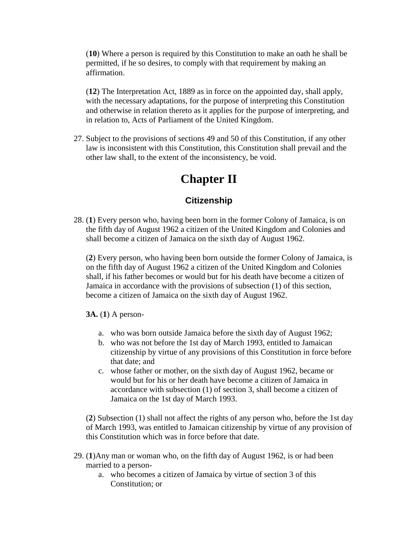(**10**) Where a person is required by this Constitution to make an oath he shall be permitted, if he so desires, to comply with that requirement by making an affirmation.

(**12**) The Interpretation Act, 1889 as in force on the appointed day, shall apply, with the necessary adaptations, for the purpose of interpreting this Constitution and otherwise in relation thereto as it applies for the purpose of interpreting, and in relation to, Acts of Parliament of the United Kingdom.

27. Subject to the provisions of sections 49 and 50 of this Constitution, if any other law is inconsistent with this Constitution, this Constitution shall prevail and the other law shall, to the extent of the inconsistency, be void.

## **Chapter II**

### **Citizenship**

28. (**1**) Every person who, having been born in the former Colony of Jamaica, is on the fifth day of August 1962 a citizen of the United Kingdom and Colonies and shall become a citizen of Jamaica on the sixth day of August 1962.

(**2**) Every person, who having been born outside the former Colony of Jamaica, is on the fifth day of August 1962 a citizen of the United Kingdom and Colonies shall, if his father becomes or would but for his death have become a citizen of Jamaica in accordance with the provisions of subsection (1) of this section, become a citizen of Jamaica on the sixth day of August 1962.

**3A.** (**1**) A person-

- a. who was born outside Jamaica before the sixth day of August 1962;
- b. who was not before the 1st day of March 1993, entitled to Jamaican citizenship by virtue of any provisions of this Constitution in force before that date; and
- c. whose father or mother, on the sixth day of August 1962, became or would but for his or her death have become a citizen of Jamaica in accordance with subsection (1) of section 3, shall become a citizen of Jamaica on the 1st day of March 1993.

(**2**) Subsection (1) shall not affect the rights of any person who, before the 1st day of March 1993, was entitled to Jamaican citizenship by virtue of any provision of this Constitution which was in force before that date.

- 29. (**1**)Any man or woman who, on the fifth day of August 1962, is or had been married to a person
	- a. who becomes a citizen of Jamaica by virtue of section 3 of this Constitution; or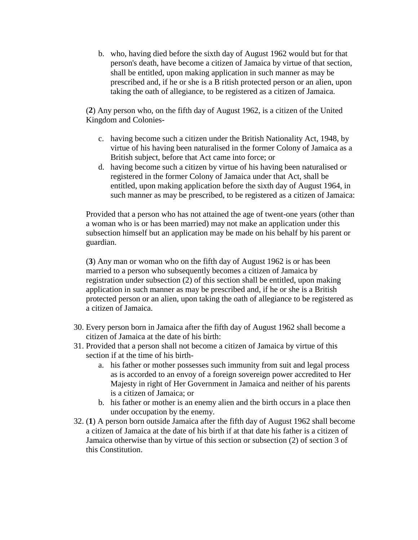b. who, having died before the sixth day of August 1962 would but for that person's death, have become a citizen of Jamaica by virtue of that section, shall be entitled, upon making application in such manner as may be prescribed and, if he or she is a B ritish protected person or an alien, upon taking the oath of allegiance, to be registered as a citizen of Jamaica.

(**2**) Any person who, on the fifth day of August 1962, is a citizen of the United Kingdom and Colonies-

- c. having become such a citizen under the British Nationality Act, 1948, by virtue of his having been naturalised in the former Colony of Jamaica as a British subject, before that Act came into force; or
- d. having become such a citizen by virtue of his having been naturalised or registered in the former Colony of Jamaica under that Act, shall be entitled, upon making application before the sixth day of August 1964, in such manner as may be prescribed, to be registered as a citizen of Jamaica:

Provided that a person who has not attained the age of twent-one years (other than a woman who is or has been married) may not make an application under this subsection himself but an application may be made on his behalf by his parent or guardian.

(**3**) Any man or woman who on the fifth day of August 1962 is or has been married to a person who subsequently becomes a citizen of Jamaica by registration under subsection (2) of this section shall be entitled, upon making application in such manner as may be prescribed and, if he or she is a British protected person or an alien, upon taking the oath of allegiance to be registered as a citizen of Jamaica.

- 30. Every person born in Jamaica after the fifth day of August 1962 shall become a citizen of Jamaica at the date of his birth:
- 31. Provided that a person shall not become a citizen of Jamaica by virtue of this section if at the time of his birth
	- a. his father or mother possesses such immunity from suit and legal process as is accorded to an envoy of a foreign sovereign power accredited to Her Majesty in right of Her Government in Jamaica and neither of his parents is a citizen of Jamaica; or
	- b. his father or mother is an enemy alien and the birth occurs in a place then under occupation by the enemy.
- 32. (**1**) A person born outside Jamaica after the fifth day of August 1962 shall become a citizen of Jamaica at the date of his birth if at that date his father is a citizen of Jamaica otherwise than by virtue of this section or subsection (2) of section 3 of this Constitution.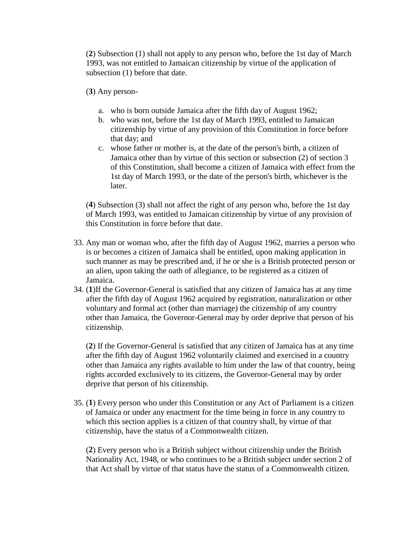(**2**) Subsection (1) shall not apply to any person who, before the 1st day of March 1993, was not entitled to Jamaican citizenship by virtue of the application of subsection (1) before that date.

(**3**) Any person-

- a. who is born outside Jamaica after the fifth day of August 1962;
- b. who was not, before the 1st day of March 1993, entitled to Jamaican citizenship by virtue of any provision of this Constitution in force before that day; and
- c. whose father or mother is, at the date of the person's birth, a citizen of Jamaica other than by virtue of this section or subsection (2) of section 3 of this Constitution, shall become a citizen of Jamaica with effect from the 1st day of March 1993, or the date of the person's birth, whichever is the later.

(**4**) Subsection (3) shall not affect the right of any person who, before the 1st day of March 1993, was entitled to Jamaican citizenship by virtue of any provision of this Constitution in force before that date.

- 33. Any man or woman who, after the fifth day of August 1962, marries a person who is or becomes a citizen of Jamaica shall be entitled, upon making application in such manner as may be prescribed and, if he or she is a British protected person or an alien, upon taking the oath of allegiance, to be registered as a citizen of Jamaica.
- 34. (**1**)If the Governor-General is satisfied that any citizen of Jamaica has at any time after the fifth day of August 1962 acquired by registration, naturalization or other voluntary and formal act (other than marriage) the citizenship of any country other than Jamaica, the Governor-General may by order deprive that person of his citizenship.

(**2**) If the Governor-General is satisfied that any citizen of Jamaica has at any time after the fifth day of August 1962 voluntarily claimed and exercised in a country other than Jamaica any rights available to him under the law of that country, being rights accorded exclusively to its citizens, the Governor-General may by order deprive that person of his citizenship.

35. (**1**) Every person who under this Constitution or any Act of Parliament is a citizen of Jamaica or under any enactment for the time being in force in any country to which this section applies is a citizen of that country shall, by virtue of that citizenship, have the status of a Commonwealth citizen.

(**2**) Every person who is a British subject without citizenship under the British Nationality Act, 1948, or who continues to be a British subject under section 2 of that Act shall by virtue of that status have the status of a Commonwealth citizen.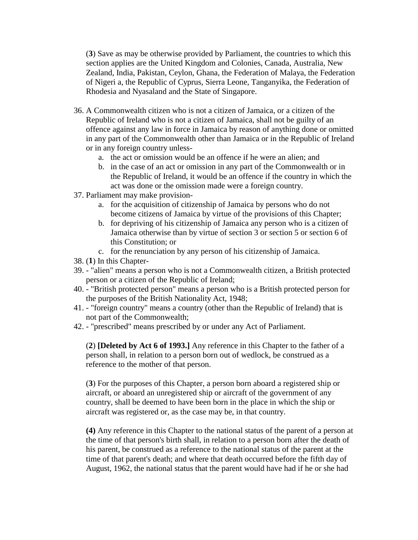(**3**) Save as may be otherwise provided by Parliament, the countries to which this section applies are the United Kingdom and Colonies, Canada, Australia, New Zealand, India, Pakistan, Ceylon, Ghana, the Federation of Malaya, the Federation of Nigeri a, the Republic of Cyprus, Sierra Leone, Tanganyika, the Federation of Rhodesia and Nyasaland and the State of Singapore.

- 36. A Commonwealth citizen who is not a citizen of Jamaica, or a citizen of the Republic of Ireland who is not a citizen of Jamaica, shall not be guilty of an offence against any law in force in Jamaica by reason of anything done or omitted in any part of the Commonwealth other than Jamaica or in the Republic of Ireland or in any foreign country unless
	- a. the act or omission would be an offence if he were an alien; and
	- b. in the case of an act or omission in any part of the Commonwealth or in the Republic of Ireland, it would be an offence if the country in which the act was done or the omission made were a foreign country.
- 37. Parliament may make provision
	- a. for the acquisition of citizenship of Jamaica by persons who do not become citizens of Jamaica by virtue of the provisions of this Chapter;
	- b. for depriving of his citizenship of Jamaica any person who is a citizen of Jamaica otherwise than by virtue of section 3 or section 5 or section 6 of this Constitution; or
	- c. for the renunciation by any person of his citizenship of Jamaica.
- 38. (**1**) In this Chapter-
- 39. "alien" means a person who is not a Commonwealth citizen, a British protected person or a citizen of the Republic of Ireland;
- 40. "British protected person" means a person who is a British protected person for the purposes of the British Nationality Act, 1948;
- 41. "foreign country" means a country (other than the Republic of Ireland) that is not part of the Commonwealth;
- 42. "prescribed" means prescribed by or under any Act of Parliament.

(**2**) **[Deleted by Act 6 of 1993.]** Any reference in this Chapter to the father of a person shall, in relation to a person born out of wedlock, be construed as a reference to the mother of that person.

(**3**) For the purposes of this Chapter, a person born aboard a registered ship or aircraft, or aboard an unregistered ship or aircraft of the government of any country, shall be deemed to have been born in the place in which the ship or aircraft was registered or, as the case may be, in that country.

**(4)** Any reference in this Chapter to the national status of the parent of a person at the time of that person's birth shall, in relation to a person born after the death of his parent, be construed as a reference to the national status of the parent at the time of that parent's death; and where that death occurred before the fifth day of August, 1962, the national status that the parent would have had if he or she had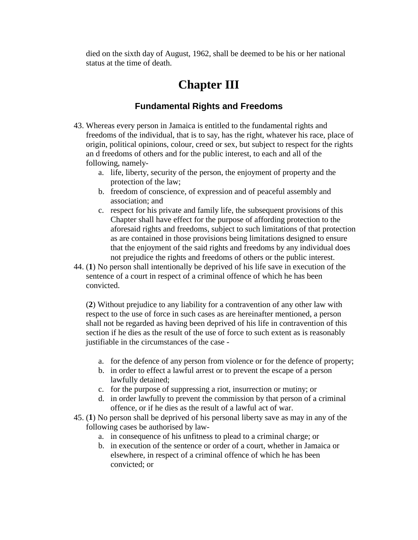died on the sixth day of August, 1962, shall be deemed to be his or her national status at the time of death.

# **Chapter III**

#### **Fundamental Rights and Freedoms**

- 43. Whereas every person in Jamaica is entitled to the fundamental rights and freedoms of the individual, that is to say, has the right, whatever his race, place of origin, political opinions, colour, creed or sex, but subject to respect for the rights an d freedoms of others and for the public interest, to each and all of the following, namely
	- a. life, liberty, security of the person, the enjoyment of property and the protection of the law;
	- b. freedom of conscience, of expression and of peaceful assembly and association; and
	- c. respect for his private and family life, the subsequent provisions of this Chapter shall have effect for the purpose of affording protection to the aforesaid rights and freedoms, subject to such limitations of that protection as are contained in those provisions being limitations designed to ensure that the enjoyment of the said rights and freedoms by any individual does not prejudice the rights and freedoms of others or the public interest.
- 44. (**1**) No person shall intentionally be deprived of his life save in execution of the sentence of a court in respect of a criminal offence of which he has been convicted.

(**2**) Without prejudice to any liability for a contravention of any other law with respect to the use of force in such cases as are hereinafter mentioned, a person shall not be regarded as having been deprived of his life in contravention of this section if he dies as the result of the use of force to such extent as is reasonably justifiable in the circumstances of the case -

- a. for the defence of any person from violence or for the defence of property;
- b. in order to effect a lawful arrest or to prevent the escape of a person lawfully detained;
- c. for the purpose of suppressing a riot, insurrection or mutiny; or
- d. in order lawfully to prevent the commission by that person of a criminal offence, or if he dies as the result of a lawful act of war.
- 45. (**1**) No person shall be deprived of his personal liberty save as may in any of the following cases be authorised by law
	- a. in consequence of his unfitness to plead to a criminal charge; or
	- b. in execution of the sentence or order of a court, whether in Jamaica or elsewhere, in respect of a criminal offence of which he has been convicted; or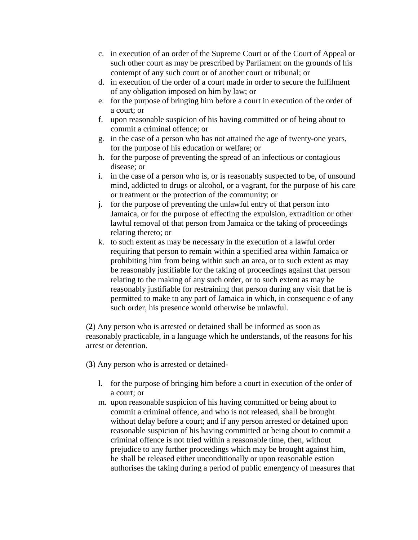- c. in execution of an order of the Supreme Court or of the Court of Appeal or such other court as may be prescribed by Parliament on the grounds of his contempt of any such court or of another court or tribunal; or
- d. in execution of the order of a court made in order to secure the fulfilment of any obligation imposed on him by law; or
- e. for the purpose of bringing him before a court in execution of the order of a court; or
- f. upon reasonable suspicion of his having committed or of being about to commit a criminal offence; or
- g. in the case of a person who has not attained the age of twenty-one years, for the purpose of his education or welfare; or
- h. for the purpose of preventing the spread of an infectious or contagious disease; or
- i. in the case of a person who is, or is reasonably suspected to be, of unsound mind, addicted to drugs or alcohol, or a vagrant, for the purpose of his care or treatment or the protection of the community; or
- j. for the purpose of preventing the unlawful entry of that person into Jamaica, or for the purpose of effecting the expulsion, extradition or other lawful removal of that person from Jamaica or the taking of proceedings relating thereto; or
- k. to such extent as may be necessary in the execution of a lawful order requiring that person to remain within a specified area within Jamaica or prohibiting him from being within such an area, or to such extent as may be reasonably justifiable for the taking of proceedings against that person relating to the making of any such order, or to such extent as may be reasonably justifiable for restraining that person during any visit that he is permitted to make to any part of Jamaica in which, in consequenc e of any such order, his presence would otherwise be unlawful.

(**2**) Any person who is arrested or detained shall be informed as soon as reasonably practicable, in a language which he understands, of the reasons for his arrest or detention.

(**3**) Any person who is arrested or detained-

- l. for the purpose of bringing him before a court in execution of the order of a court; or
- m. upon reasonable suspicion of his having committed or being about to commit a criminal offence, and who is not released, shall be brought without delay before a court; and if any person arrested or detained upon reasonable suspicion of his having committed or being about to commit a criminal offence is not tried within a reasonable time, then, without prejudice to any further proceedings which may be brought against him, he shall be released either unconditionally or upon reasonable estion authorises the taking during a period of public emergency of measures that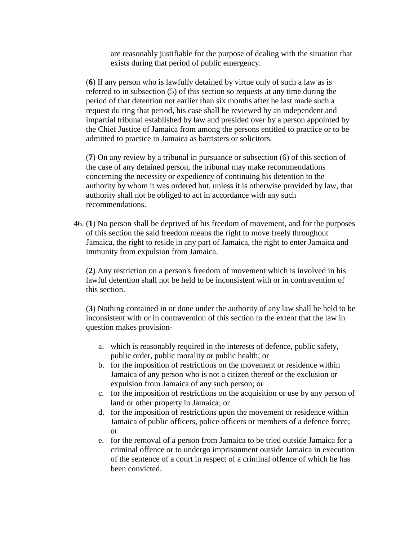are reasonably justifiable for the purpose of dealing with the situation that exists during that period of public emergency.

(**6**) If any person who is lawfully detained by virtue only of such a law as is referred to in subsection (5) of this section so requests at any time during the period of that detention not earlier than six months after he last made such a request du ring that period, his case shall be reviewed by an independent and impartial tribunal established by law and presided over by a person appointed by the Chief Justice of Jamaica from among the persons entitled to practice or to be admitted to practice in Jamaica as barristers or solicitors.

(**7**) On any review by a tribunal in pursuance or subsection (6) of this section of the case of any detained person, the tribunal may make recommendations concerning the necessity or expediency of continuing his detention to the authority by whom it was ordered but, unless it is otherwise provided by law, that authority shall not be obliged to act in accordance with any such recommendations.

46. (**1**) No person shall be deprived of his freedom of movement, and for the purposes of this section the said freedom means the right to move freely throughout Jamaica, the right to reside in any part of Jamaica, the right to enter Jamaica and immunity from expulsion from Jamaica.

(**2**) Any restriction on a person's freedom of movement which is involved in his lawful detention shall not be held to be inconsistent with or in contravention of this section.

(**3**) Nothing contained in or done under the authority of any law shall be held to be inconsistent with or in contravention of this section to the extent that the law in question makes provision-

- a. which is reasonably required in the interests of defence, public safety, public order, public morality or public health; or
- b. for the imposition of restrictions on the movement or residence within Jamaica of any person who is not a citizen thereof or the exclusion or expulsion from Jamaica of any such person; or
- c. for the imposition of restrictions on the acquisition or use by any person of land or other property in Jamaica; or
- d. for the imposition of restrictions upon the movement or residence within Jamaica of public officers, police officers or members of a defence force; or
- e. for the removal of a person from Jamaica to be tried outside Jamaica for a criminal offence or to undergo imprisonment outside Jamaica in execution of the sentence of a court in respect of a criminal offence of which he has been convicted.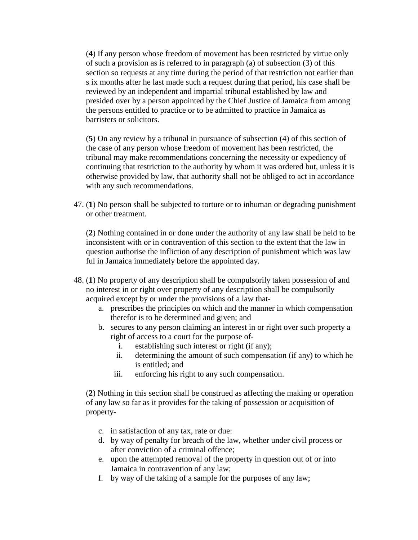(**4**) If any person whose freedom of movement has been restricted by virtue only of such a provision as is referred to in paragraph (a) of subsection (3) of this section so requests at any time during the period of that restriction not earlier than s ix months after he last made such a request during that period, his case shall be reviewed by an independent and impartial tribunal established by law and presided over by a person appointed by the Chief Justice of Jamaica from among the persons entitled to practice or to be admitted to practice in Jamaica as barristers or solicitors.

(**5**) On any review by a tribunal in pursuance of subsection (4) of this section of the case of any person whose freedom of movement has been restricted, the tribunal may make recommendations concerning the necessity or expediency of continuing that restriction to the authority by whom it was ordered but, unless it is otherwise provided by law, that authority shall not be obliged to act in accordance with any such recommendations.

47. (**1**) No person shall be subjected to torture or to inhuman or degrading punishment or other treatment.

(**2**) Nothing contained in or done under the authority of any law shall be held to be inconsistent with or in contravention of this section to the extent that the law in question authorise the infliction of any description of punishment which was law ful in Jamaica immediately before the appointed day.

- 48. (**1**) No property of any description shall be compulsorily taken possession of and no interest in or right over property of any description shall be compulsorily acquired except by or under the provisions of a law that
	- a. prescribes the principles on which and the manner in which compensation therefor is to be determined and given; and
	- b. secures to any person claiming an interest in or right over such property a right of access to a court for the purpose of
		- i. establishing such interest or right (if any);
		- ii. determining the amount of such compensation (if any) to which he is entitled; and
		- iii. enforcing his right to any such compensation.

(**2**) Nothing in this section shall be construed as affecting the making or operation of any law so far as it provides for the taking of possession or acquisition of property-

- c. in satisfaction of any tax, rate or due:
- d. by way of penalty for breach of the law, whether under civil process or after conviction of a criminal offence;
- e. upon the attempted removal of the property in question out of or into Jamaica in contravention of any law;
- f. by way of the taking of a sample for the purposes of any law;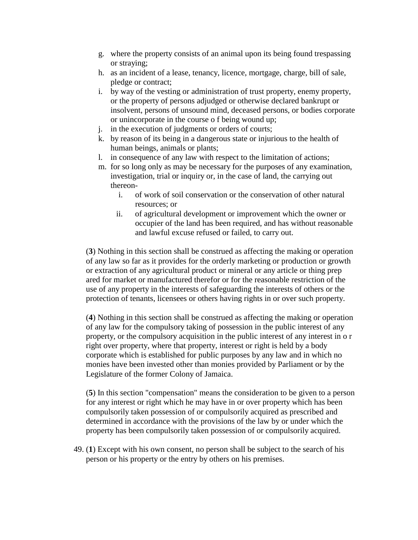- g. where the property consists of an animal upon its being found trespassing or straying;
- h. as an incident of a lease, tenancy, licence, mortgage, charge, bill of sale, pledge or contract;
- i. by way of the vesting or administration of trust property, enemy property, or the property of persons adjudged or otherwise declared bankrupt or insolvent, persons of unsound mind, deceased persons, or bodies corporate or unincorporate in the course o f being wound up;
- j. in the execution of judgments or orders of courts;
- k. by reason of its being in a dangerous state or injurious to the health of human beings, animals or plants;
- l. in consequence of any law with respect to the limitation of actions;
- m. for so long only as may be necessary for the purposes of any examination, investigation, trial or inquiry or, in the case of land, the carrying out thereon
	- i. of work of soil conservation or the conservation of other natural resources; or
	- ii. of agricultural development or improvement which the owner or occupier of the land has been required, and has without reasonable and lawful excuse refused or failed, to carry out.

(**3**) Nothing in this section shall be construed as affecting the making or operation of any law so far as it provides for the orderly marketing or production or growth or extraction of any agricultural product or mineral or any article or thing prep ared for market or manufactured therefor or for the reasonable restriction of the use of any property in the interests of safeguarding the interests of others or the protection of tenants, licensees or others having rights in or over such property.

(**4**) Nothing in this section shall be construed as affecting the making or operation of any law for the compulsory taking of possession in the public interest of any property, or the compulsory acquisition in the public interest of any interest in o r right over property, where that property, interest or right is held by a body corporate which is established for public purposes by any law and in which no monies have been invested other than monies provided by Parliament or by the Legislature of the former Colony of Jamaica.

(**5**) In this section "compensation" means the consideration to be given to a person for any interest or right which he may have in or over property which has been compulsorily taken possession of or compulsorily acquired as prescribed and determined in accordance with the provisions of the law by or under which the property has been compulsorily taken possession of or compulsorily acquired.

49. (**1**) Except with his own consent, no person shall be subject to the search of his person or his property or the entry by others on his premises.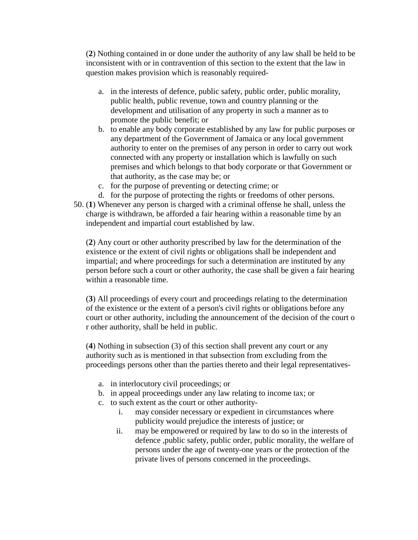(**2**) Nothing contained in or done under the authority of any law shall be held to be inconsistent with or in contravention of this section to the extent that the law in question makes provision which is reasonably required-

- a. in the interests of defence, public safety, public order, public morality, public health, public revenue, town and country planning or the development and utilisation of any property in such a manner as to promote the public benefit; or
- b. to enable any body corporate established by any law for public purposes or any department of the Government of Jamaica or any local government authority to enter on the premises of any person in order to carry out work connected with any property or installation which is lawfully on such premises and which belongs to that body corporate or that Government or that authority, as the case may be; or
- c. for the purpose of preventing or detecting crime; or
- d. for the purpose of protecting the rights or freedoms of other persons.
- 50. (**1**) Whenever any person is charged with a criminal offense he shall, unless the charge is withdrawn, be afforded a fair hearing within a reasonable time by an independent and impartial court established by law.

(**2**) Any court or other authority prescribed by law for the determination of the existence or the extent of civil rights or obligations shall be independent and impartial; and where proceedings for such a determination are instituted by any person before such a court or other authority, the case shall be given a fair hearing within a reasonable time.

(**3**) All proceedings of every court and proceedings relating to the determination of the existence or the extent of a person's civil rights or obligations before any court or other authority, including the announcement of the decision of the court o r other authority, shall be held in public.

(**4**) Nothing in subsection (3) of this section shall prevent any court or any authority such as is mentioned in that subsection from excluding from the proceedings persons other than the parties thereto and their legal representatives-

- a. in interlocutory civil proceedings; or
- b. in appeal proceedings under any law relating to income tax; or
- c. to such extent as the court or other authority
	- i. may consider necessary or expedient in circumstances where publicity would prejudice the interests of justice; or
	- ii. may be empowered or required by law to do so in the interests of defence ,public safety, public order, public morality, the welfare of persons under the age of twenty-one years or the protection of the private lives of persons concerned in the proceedings.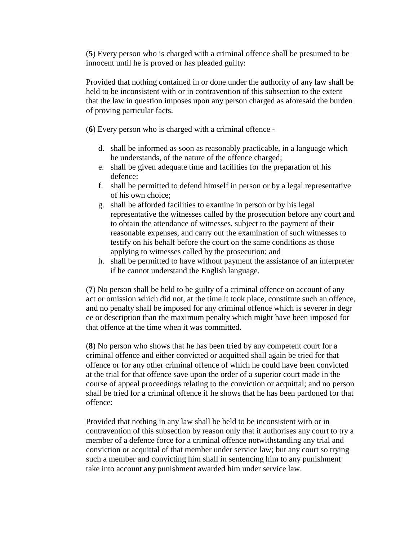(**5**) Every person who is charged with a criminal offence shall be presumed to be innocent until he is proved or has pleaded guilty:

Provided that nothing contained in or done under the authority of any law shall be held to be inconsistent with or in contravention of this subsection to the extent that the law in question imposes upon any person charged as aforesaid the burden of proving particular facts.

(**6**) Every person who is charged with a criminal offence -

- d. shall be informed as soon as reasonably practicable, in a language which he understands, of the nature of the offence charged;
- e. shall be given adequate time and facilities for the preparation of his defence;
- f. shall be permitted to defend himself in person or by a legal representative of his own choice;
- g. shall be afforded facilities to examine in person or by his legal representative the witnesses called by the prosecution before any court and to obtain the attendance of witnesses, subject to the payment of their reasonable expenses, and carry out the examination of such witnesses to testify on his behalf before the court on the same conditions as those applying to witnesses called by the prosecution; and
- h. shall be permitted to have without payment the assistance of an interpreter if he cannot understand the English language.

(**7**) No person shall be held to be guilty of a criminal offence on account of any act or omission which did not, at the time it took place, constitute such an offence, and no penalty shall be imposed for any criminal offence which is severer in degr ee or description than the maximum penalty which might have been imposed for that offence at the time when it was committed.

(**8**) No person who shows that he has been tried by any competent court for a criminal offence and either convicted or acquitted shall again be tried for that offence or for any other criminal offence of which he could have been convicted at the trial for that offence save upon the order of a superior court made in the course of appeal proceedings relating to the conviction or acquittal; and no person shall be tried for a criminal offence if he shows that he has been pardoned for that offence:

Provided that nothing in any law shall be held to be inconsistent with or in contravention of this subsection by reason only that it authorises any court to try a member of a defence force for a criminal offence notwithstanding any trial and conviction or acquittal of that member under service law; but any court so trying such a member and convicting him shall in sentencing him to any punishment take into account any punishment awarded him under service law.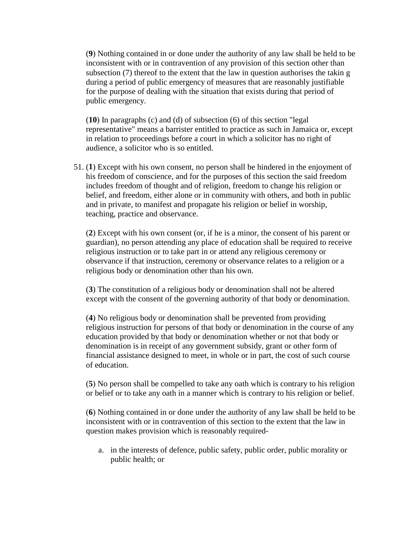(**9**) Nothing contained in or done under the authority of any law shall be held to be inconsistent with or in contravention of any provision of this section other than subsection (7) thereof to the extent that the law in question authorises the takin g during a period of public emergency of measures that are reasonably justifiable for the purpose of dealing with the situation that exists during that period of public emergency.

(**10**) In paragraphs (c) and (d) of subsection (6) of this section "legal representative" means a barrister entitled to practice as such in Jamaica or, except in relation to proceedings before a court in which a solicitor has no right of audience, a solicitor who is so entitled.

51. (**1**) Except with his own consent, no person shall be hindered in the enjoyment of his freedom of conscience, and for the purposes of this section the said freedom includes freedom of thought and of religion, freedom to change his religion or belief, and freedom, either alone or in community with others, and both in public and in private, to manifest and propagate his religion or belief in worship, teaching, practice and observance.

(**2**) Except with his own consent (or, if he is a minor, the consent of his parent or guardian), no person attending any place of education shall be required to receive religious instruction or to take part in or attend any religious ceremony or observance if that instruction, ceremony or observance relates to a religion or a religious body or denomination other than his own.

(**3**) The constitution of a religious body or denomination shall not be altered except with the consent of the governing authority of that body or denomination.

(**4**) No religious body or denomination shall be prevented from providing religious instruction for persons of that body or denomination in the course of any education provided by that body or denomination whether or not that body or denomination is in receipt of any government subsidy, grant or other form of financial assistance designed to meet, in whole or in part, the cost of such course of education.

(**5**) No person shall be compelled to take any oath which is contrary to his religion or belief or to take any oath in a manner which is contrary to his religion or belief.

(**6**) Nothing contained in or done under the authority of any law shall be held to be inconsistent with or in contravention of this section to the extent that the law in question makes provision which is reasonably required-

a. in the interests of defence, public safety, public order, public morality or public health; or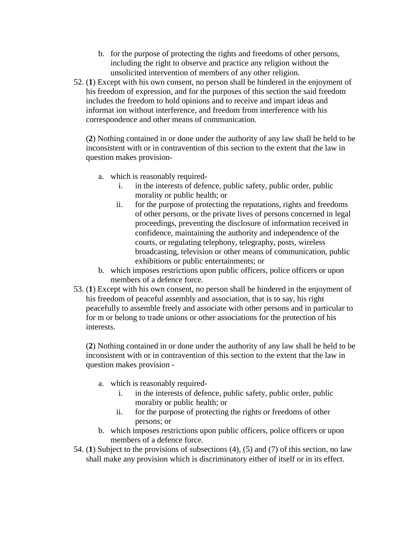- b. for the purpose of protecting the rights and freedoms of other persons, including the right to observe and practice any religion without the unsolicited intervention of members of any other religion.
- 52. (**1**) Except with his own consent, no person shall be hindered in the enjoyment of his freedom of expression, and for the purposes of this section the said freedom includes the freedom to hold opinions and to receive and impart ideas and informat ion without interference, and freedom from interference with his correspondence and other means of communication.

(**2**) Nothing contained in or done under the authority of any law shall be held to be inconsistent with or in contravention of this section to the extent that the law in question makes provision-

- a. which is reasonably required
	- i. in the interests of defence, public safety, public order, public morality or public health; or
	- ii. for the purpose of protecting the reputations, rights and freedoms of other persons, or the private lives of persons concerned in legal proceedings, preventing the disclosure of information received in confidence, maintaining the authority and independence of the courts, or regulating telephony, telegraphy, posts, wireless broadcasting, television or other means of communication, public exhibitions or public entertainments; or
- b. which imposes restrictions upon public officers, police officers or upon members of a defence force.
- 53. (**1**) Except with his own consent, no person shall be hindered in the enjoyment of his freedom of peaceful assembly and association, that is to say, his right peacefully to assemble freely and associate with other persons and in particular to for m or belong to trade unions or other associations for the protection of his interests.

(**2**) Nothing contained in or done under the authority of any law shall be held to be inconsistent with or in contravention of this section to the extent that the law in question makes provision -

- a. which is reasonably required
	- i. in the interests of defence, public safety, public order, public morality or public health; or
	- ii. for the purpose of protecting the rights or freedoms of other persons; or
- b. which imposes restrictions upon public officers, police officers or upon members of a defence force.
- 54. (**1**) Subject to the provisions of subsections (4), (5) and (7) of this section, no law shall make any provision which is discriminatory either of itself or in its effect.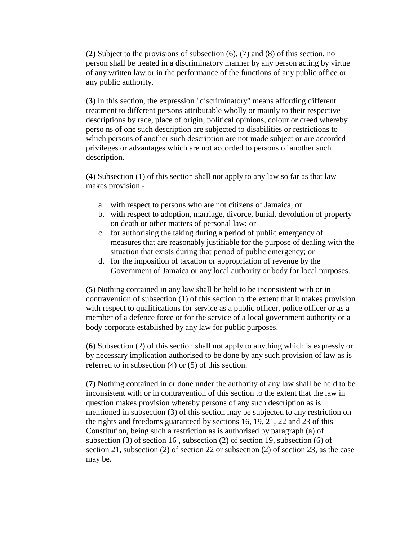(**2**) Subject to the provisions of subsection (6), (7) and (8) of this section, no person shall be treated in a discriminatory manner by any person acting by virtue of any written law or in the performance of the functions of any public office or any public authority.

(**3**) In this section, the expression "discriminatory" means affording different treatment to different persons attributable wholly or mainly to their respective descriptions by race, place of origin, political opinions, colour or creed whereby perso ns of one such description are subjected to disabilities or restrictions to which persons of another such description are not made subject or are accorded privileges or advantages which are not accorded to persons of another such description.

(**4**) Subsection (1) of this section shall not apply to any law so far as that law makes provision -

- a. with respect to persons who are not citizens of Jamaica; or
- b. with respect to adoption, marriage, divorce, burial, devolution of property on death or other matters of personal law; or
- c. for authorising the taking during a period of public emergency of measures that are reasonably justifiable for the purpose of dealing with the situation that exists during that period of public emergency; or
- d. for the imposition of taxation or appropriation of revenue by the Government of Jamaica or any local authority or body for local purposes.

(**5**) Nothing contained in any law shall be held to be inconsistent with or in contravention of subsection (1) of this section to the extent that it makes provision with respect to qualifications for service as a public officer, police officer or as a member of a defence force or for the service of a local government authority or a body corporate established by any law for public purposes.

(**6**) Subsection (2) of this section shall not apply to anything which is expressly or by necessary implication authorised to be done by any such provision of law as is referred to in subsection (4) or (5) of this section.

(**7**) Nothing contained in or done under the authority of any law shall be held to be inconsistent with or in contravention of this section to the extent that the law in question makes provision whereby persons of any such description as is mentioned in subsection (3) of this section may be subjected to any restriction on the rights and freedoms guaranteed by sections 16, 19, 21, 22 and 23 of this Constitution, being such a restriction as is authorised by paragraph (a) of subsection (3) of section 16 , subsection (2) of section 19, subsection (6) of section 21, subsection (2) of section 22 or subsection (2) of section 23, as the case may be.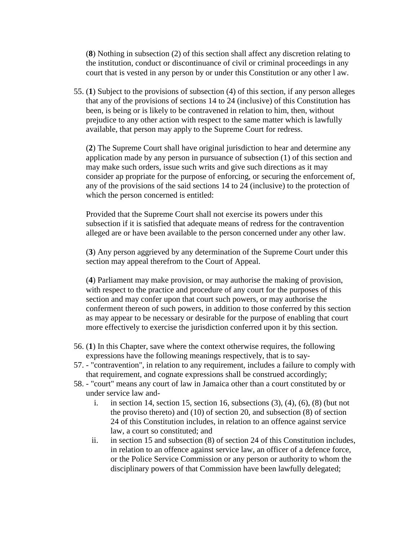(**8**) Nothing in subsection (2) of this section shall affect any discretion relating to the institution, conduct or discontinuance of civil or criminal proceedings in any court that is vested in any person by or under this Constitution or any other l aw.

55. (**1**) Subject to the provisions of subsection (4) of this section, if any person alleges that any of the provisions of sections 14 to 24 (inclusive) of this Constitution has been, is being or is likely to be contravened in relation to him, then, without prejudice to any other action with respect to the same matter which is lawfully available, that person may apply to the Supreme Court for redress.

(**2**) The Supreme Court shall have original jurisdiction to hear and determine any application made by any person in pursuance of subsection (1) of this section and may make such orders, issue such writs and give such directions as it may consider ap propriate for the purpose of enforcing, or securing the enforcement of, any of the provisions of the said sections 14 to 24 (inclusive) to the protection of which the person concerned is entitled:

Provided that the Supreme Court shall not exercise its powers under this subsection if it is satisfied that adequate means of redress for the contravention alleged are or have been available to the person concerned under any other law.

(**3**) Any person aggrieved by any determination of the Supreme Court under this section may appeal therefrom to the Court of Appeal.

(**4**) Parliament may make provision, or may authorise the making of provision, with respect to the practice and procedure of any court for the purposes of this section and may confer upon that court such powers, or may authorise the conferment thereon of such powers, in addition to those conferred by this section as may appear to be necessary or desirable for the purpose of enabling that court more effectively to exercise the jurisdiction conferred upon it by this section.

- 56. (**1**) In this Chapter, save where the context otherwise requires, the following expressions have the following meanings respectively, that is to say-
- 57. "contravention", in relation to any requirement, includes a failure to comply with that requirement, and cognate expressions shall be construed accordingly;
- 58. "court" means any court of law in Jamaica other than a court constituted by or under service law and
	- i. in section 14, section 15, section 16, subsections  $(3)$ ,  $(4)$ ,  $(6)$ ,  $(8)$  (but not the proviso thereto) and (10) of section 20, and subsection (8) of section 24 of this Constitution includes, in relation to an offence against service law, a court so constituted; and
	- ii. in section 15 and subsection (8) of section 24 of this Constitution includes, in relation to an offence against service law, an officer of a defence force, or the Police Service Commission or any person or authority to whom the disciplinary powers of that Commission have been lawfully delegated;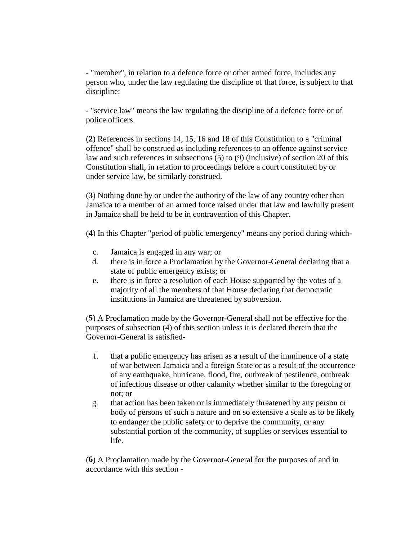- "member", in relation to a defence force or other armed force, includes any person who, under the law regulating the discipline of that force, is subject to that discipline;

- "service law" means the law regulating the discipline of a defence force or of police officers.

(**2**) References in sections 14, 15, 16 and 18 of this Constitution to a "criminal offence" shall be construed as including references to an offence against service law and such references in subsections (5) to (9) (inclusive) of section 20 of this Constitution shall, in relation to proceedings before a court constituted by or under service law, be similarly construed.

(**3**) Nothing done by or under the authority of the law of any country other than Jamaica to a member of an armed force raised under that law and lawfully present in Jamaica shall be held to be in contravention of this Chapter.

(**4**) In this Chapter "period of public emergency" means any period during which-

- c. Jamaica is engaged in any war; or
- d. there is in force a Proclamation by the Governor-General declaring that a state of public emergency exists; or
- e. there is in force a resolution of each House supported by the votes of a majority of all the members of that House declaring that democratic institutions in Jamaica are threatened by subversion.

(**5**) A Proclamation made by the Governor-General shall not be effective for the purposes of subsection (4) of this section unless it is declared therein that the Governor-General is satisfied-

- f. that a public emergency has arisen as a result of the imminence of a state of war between Jamaica and a foreign State or as a result of the occurrence of any earthquake, hurricane, flood, fire, outbreak of pestilence, outbreak of infectious disease or other calamity whether similar to the foregoing or not; or
- g. that action has been taken or is immediately threatened by any person or body of persons of such a nature and on so extensive a scale as to be likely to endanger the public safety or to deprive the community, or any substantial portion of the community, of supplies or services essential to life.

(**6**) A Proclamation made by the Governor-General for the purposes of and in accordance with this section -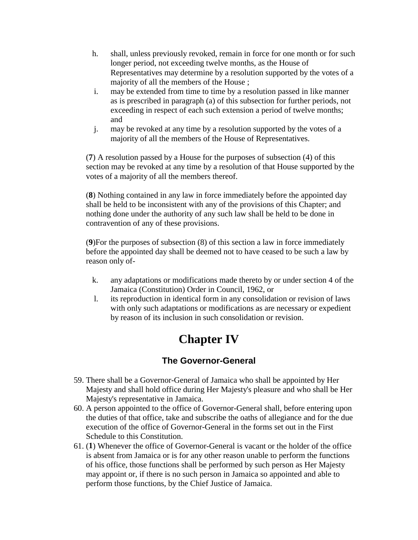- h. shall, unless previously revoked, remain in force for one month or for such longer period, not exceeding twelve months, as the House of Representatives may determine by a resolution supported by the votes of a majority of all the members of the House ;
- i. may be extended from time to time by a resolution passed in like manner as is prescribed in paragraph (a) of this subsection for further periods, not exceeding in respect of each such extension a period of twelve months; and
- j. may be revoked at any time by a resolution supported by the votes of a majority of all the members of the House of Representatives.

(**7**) A resolution passed by a House for the purposes of subsection (4) of this section may be revoked at any time by a resolution of that House supported by the votes of a majority of all the members thereof.

(**8**) Nothing contained in any law in force immediately before the appointed day shall be held to be inconsistent with any of the provisions of this Chapter; and nothing done under the authority of any such law shall be held to be done in contravention of any of these provisions.

(**9**)For the purposes of subsection (8) of this section a law in force immediately before the appointed day shall be deemed not to have ceased to be such a law by reason only of-

- k. any adaptations or modifications made thereto by or under section 4 of the Jamaica (Constitution) Order in Council, 1962, or
- l. its reproduction in identical form in any consolidation or revision of laws with only such adaptations or modifications as are necessary or expedient by reason of its inclusion in such consolidation or revision.

# **Chapter IV**

### **The Governor-General**

- 59. There shall be a Governor-General of Jamaica who shall be appointed by Her Majesty and shall hold office during Her Majesty's pleasure and who shall be Her Majesty's representative in Jamaica.
- 60. A person appointed to the office of Governor-General shall, before entering upon the duties of that office, take and subscribe the oaths of allegiance and for the due execution of the office of Governor-General in the forms set out in the First Schedule to this Constitution.
- 61. (**1**) Whenever the office of Governor-General is vacant or the holder of the office is absent from Jamaica or is for any other reason unable to perform the functions of his office, those functions shall be performed by such person as Her Majesty may appoint or, if there is no such person in Jamaica so appointed and able to perform those functions, by the Chief Justice of Jamaica.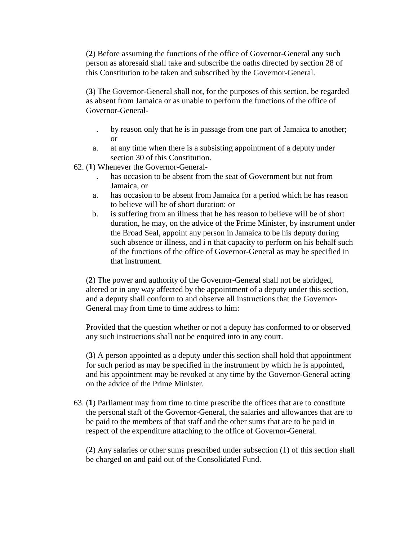(**2**) Before assuming the functions of the office of Governor-General any such person as aforesaid shall take and subscribe the oaths directed by section 28 of this Constitution to be taken and subscribed by the Governor-General.

(**3**) The Governor-General shall not, for the purposes of this section, be regarded as absent from Jamaica or as unable to perform the functions of the office of Governor-General-

- . by reason only that he is in passage from one part of Jamaica to another; or
- a. at any time when there is a subsisting appointment of a deputy under section 30 of this Constitution.

62. (**1**) Whenever the Governor-General-

- . has occasion to be absent from the seat of Government but not from Jamaica, or
- a. has occasion to be absent from Jamaica for a period which he has reason to believe will be of short duration: or
- b. is suffering from an illness that he has reason to believe will be of short duration, he may, on the advice of the Prime Minister, by instrument under the Broad Seal, appoint any person in Jamaica to be his deputy during such absence or illness, and i n that capacity to perform on his behalf such of the functions of the office of Governor-General as may be specified in that instrument.

(**2**) The power and authority of the Governor-General shall not be abridged, altered or in any way affected by the appointment of a deputy under this section, and a deputy shall conform to and observe all instructions that the Governor-General may from time to time address to him:

Provided that the question whether or not a deputy has conformed to or observed any such instructions shall not be enquired into in any court.

(**3**) A person appointed as a deputy under this section shall hold that appointment for such period as may be specified in the instrument by which he is appointed, and his appointment may be revoked at any time by the Governor-General acting on the advice of the Prime Minister.

63. (**1**) Parliament may from time to time prescribe the offices that are to constitute the personal staff of the Governor-General, the salaries and allowances that are to be paid to the members of that staff and the other sums that are to be paid in respect of the expenditure attaching to the office of Governor-General.

(**2**) Any salaries or other sums prescribed under subsection (1) of this section shall be charged on and paid out of the Consolidated Fund.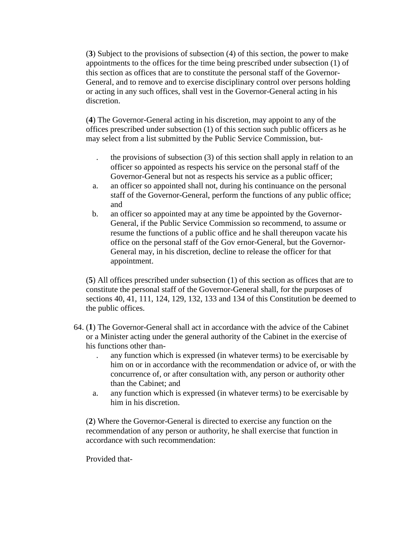(**3**) Subject to the provisions of subsection (4) of this section, the power to make appointments to the offices for the time being prescribed under subsection (1) of this section as offices that are to constitute the personal staff of the Governor-General, and to remove and to exercise disciplinary control over persons holding or acting in any such offices, shall vest in the Governor-General acting in his discretion.

(**4**) The Governor-General acting in his discretion, may appoint to any of the offices prescribed under subsection (1) of this section such public officers as he may select from a list submitted by the Public Service Commission, but-

- . the provisions of subsection (3) of this section shall apply in relation to an officer so appointed as respects his service on the personal staff of the Governor-General but not as respects his service as a public officer;
- a. an officer so appointed shall not, during his continuance on the personal staff of the Governor-General, perform the functions of any public office; and
- b. an officer so appointed may at any time be appointed by the Governor-General, if the Public Service Commission so recommend, to assume or resume the functions of a public office and he shall thereupon vacate his office on the personal staff of the Gov ernor-General, but the Governor-General may, in his discretion, decline to release the officer for that appointment.

(**5**) All offices prescribed under subsection (1) of this section as offices that are to constitute the personal staff of the Governor-General shall, for the purposes of sections 40, 41, 111, 124, 129, 132, 133 and 134 of this Constitution be deemed to the public offices.

- 64. (**1**) The Governor-General shall act in accordance with the advice of the Cabinet or a Minister acting under the general authority of the Cabinet in the exercise of his functions other than-
	- . any function which is expressed (in whatever terms) to be exercisable by him on or in accordance with the recommendation or advice of, or with the concurrence of, or after consultation with, any person or authority other than the Cabinet; and
	- a. any function which is expressed (in whatever terms) to be exercisable by him in his discretion.

(**2**) Where the Governor-General is directed to exercise any function on the recommendation of any person or authority, he shall exercise that function in accordance with such recommendation:

Provided that-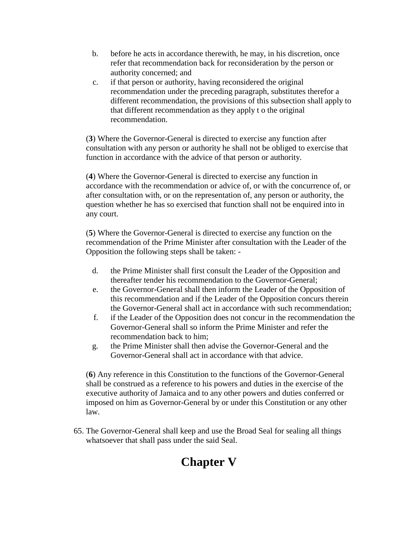- b. before he acts in accordance therewith, he may, in his discretion, once refer that recommendation back for reconsideration by the person or authority concerned; and
- c. if that person or authority, having reconsidered the original recommendation under the preceding paragraph, substitutes therefor a different recommendation, the provisions of this subsection shall apply to that different recommendation as they apply t o the original recommendation.

(**3**) Where the Governor-General is directed to exercise any function after consultation with any person or authority he shall not be obliged to exercise that function in accordance with the advice of that person or authority.

(**4**) Where the Governor-General is directed to exercise any function in accordance with the recommendation or advice of, or with the concurrence of, or after consultation with, or on the representation of, any person or authority, the question whether he has so exercised that function shall not be enquired into in any court.

(**5**) Where the Governor-General is directed to exercise any function on the recommendation of the Prime Minister after consultation with the Leader of the Opposition the following steps shall be taken: -

- d. the Prime Minister shall first consult the Leader of the Opposition and thereafter tender his recommendation to the Governor-General;
- e. the Governor-General shall then inform the Leader of the Opposition of this recommendation and if the Leader of the Opposition concurs therein the Governor-General shall act in accordance with such recommendation;
- f. if the Leader of the Opposition does not concur in the recommendation the Governor-General shall so inform the Prime Minister and refer the recommendation back to him;
- g. the Prime Minister shall then advise the Governor-General and the Governor-General shall act in accordance with that advice.

(**6**) Any reference in this Constitution to the functions of the Governor-General shall be construed as a reference to his powers and duties in the exercise of the executive authority of Jamaica and to any other powers and duties conferred or imposed on him as Governor-General by or under this Constitution or any other law.

65. The Governor-General shall keep and use the Broad Seal for sealing all things whatsoever that shall pass under the said Seal.

# **Chapter V**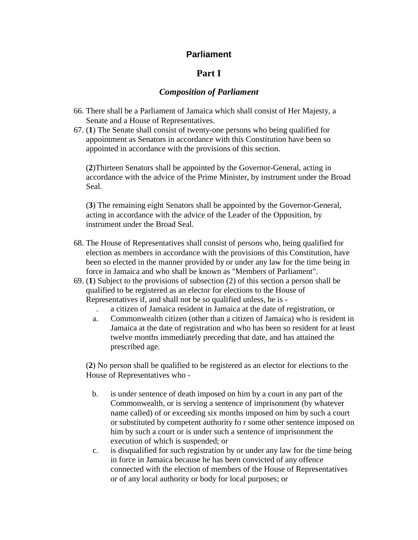#### **Parliament**

#### **Part I**

#### *Composition of Parliament*

- 66. There shall be a Parliament of Jamaica which shall consist of Her Majesty, a Senate and a House of Representatives.
- 67. (**1**) The Senate shall consist of twenty-one persons who being qualified for appointment as Senators in accordance with this Constitution have been so appointed in accordance with the provisions of this section.

(**2**)Thirteen Senators shall be appointed by the Governor-General, acting in accordance with the advice of the Prime Minister, by instrument under the Broad Seal.

(**3**) The remaining eight Senators shall be appointed by the Governor-General, acting in accordance with the advice of the Leader of the Opposition, by instrument under the Broad Seal.

- 68. The House of Representatives shall consist of persons who, being qualified for election as members in accordance with the provisions of this Constitution, have been so elected in the manner provided by or under any law for the time being in force in Jamaica and who shall be known as "Members of Parliament".
- 69. (**1**) Subject to the provisions of subsection (2) of this section a person shall be qualified to be registered as an elector for elections to the House of Representatives if, and shall not be so qualified unless, he is -
	- . a citizen of Jamaica resident in Jamaica at the date of registration, or
	- a. Commonwealth citizen (other than a citizen of Jamaica) who is resident in Jamaica at the date of registration and who has been so resident for at least twelve months immediately preceding that date, and has attained the prescribed age.

(**2**) No person shall be qualified to be registered as an elector for elections to the House of Representatives who -

- b. is under sentence of death imposed on him by a court in any part of the Commonwealth, or is serving a sentence of imprisonment (by whatever name called) of or exceeding six months imposed on him by such a court or substituted by competent authority fo r some other sentence imposed on him by such a court or is under such a sentence of imprisonment the execution of which is suspended; or
- c. is disqualified for such registration by or under any law for the time being in force in Jamaica because he has been convicted of any offence connected with the election of members of the House of Representatives or of any local authority or body for local purposes; or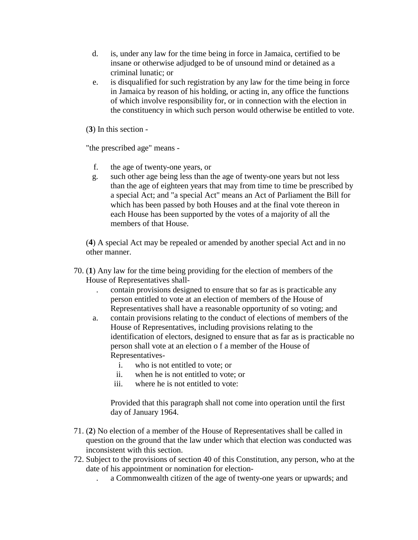- d. is, under any law for the time being in force in Jamaica, certified to be insane or otherwise adjudged to be of unsound mind or detained as a criminal lunatic; or
- e. is disqualified for such registration by any law for the time being in force in Jamaica by reason of his holding, or acting in, any office the functions of which involve responsibility for, or in connection with the election in the constituency in which such person would otherwise be entitled to vote.

(**3**) In this section -

"the prescribed age" means -

- f. the age of twenty-one years, or
- g. such other age being less than the age of twenty-one years but not less than the age of eighteen years that may from time to time be prescribed by a special Act; and "a special Act" means an Act of Parliament the Bill for which has been passed by both Houses and at the final vote thereon in each House has been supported by the votes of a majority of all the members of that House.

(**4**) A special Act may be repealed or amended by another special Act and in no other manner.

- 70. (**1**) Any law for the time being providing for the election of members of the House of Representatives shall-
	- . contain provisions designed to ensure that so far as is practicable any person entitled to vote at an election of members of the House of Representatives shall have a reasonable opportunity of so voting; and
	- a. contain provisions relating to the conduct of elections of members of the House of Representatives, including provisions relating to the identification of electors, designed to ensure that as far as is practicable no person shall vote at an election o f a member of the House of Representatives
		- i. who is not entitled to vote; or
		- ii. when he is not entitled to vote; or
		- iii. where he is not entitled to vote:

Provided that this paragraph shall not come into operation until the first day of January 1964.

- 71. (**2**) No election of a member of the House of Representatives shall be called in question on the ground that the law under which that election was conducted was inconsistent with this section.
- 72. Subject to the provisions of section 40 of this Constitution, any person, who at the date of his appointment or nomination for election-
	- . a Commonwealth citizen of the age of twenty-one years or upwards; and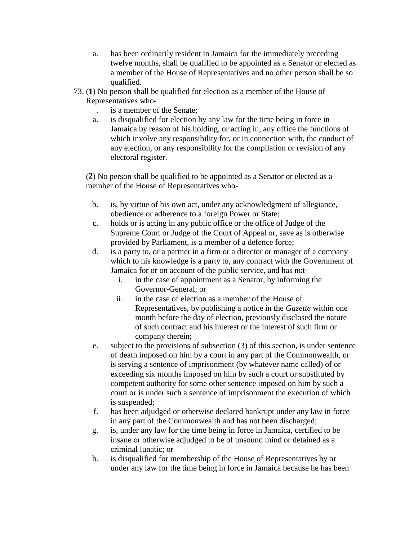- a. has been ordinarily resident in Jamaica for the immediately preceding twelve months, shall be qualified to be appointed as a Senator or elected as a member of the House of Representatives and no other person shall be so qualified.
- 73. (**1**) No person shall be qualified for election as a member of the House of Representatives who-
	- . is a member of the Senate;
	- a. is disqualified for election by any law for the time being in force in Jamaica by reason of his holding, or acting in, any office the functions of which involve any responsibility for, or in connection with, the conduct of any election, or any responsibility for the compilation or revision of any electoral register.

(**2**) No person shall be qualified to be appointed as a Senator or elected as a member of the House of Representatives who-

- b. is, by virtue of his own act, under any acknowledgment of allegiance, obedience or adherence to a foreign Power or State;
- c. holds or is acting in any public office or the office of Judge of the Supreme Court or Judge of the Court of Appeal or, save as is otherwise provided by Parliament, is a member of a defence force;
- d. is a party to, or a partner in a firm or a director or manager of a company which to his knowledge is a party to, any contract with the Government of Jamaica for or on account of the public service, and has not
	- i. in the case of appointment as a Senator, by informing the Governor-General; or
	- ii. in the case of election as a member of the House of Representatives, by publishing a notice in the *Gazette* within one month before the day of election, previously disclosed the nature of such contract and his interest or the interest of such firm or company therein;
- e. subject to the provisions of subsection (3) of this section, is under sentence of death imposed on him by a court in any part of the Commonwealth, or is serving a sentence of imprisonment (by whatever name called) of or exceeding six months imposed on him by such a court or substituted by competent authority for some other sentence imposed on him by such a court or is under such a sentence of imprisonment the execution of which is suspended;
- f. has been adjudged or otherwise declared bankrupt under any law in force in any part of the Commonwealth and has not been discharged;
- g. is, under any law for the time being in force in Jamaica, certified to be insane or otherwise adjudged to be of unsound mind or detained as a criminal lunatic; or
- h. is disqualified for membership of the House of Representatives by or under any law for the time being in force in Jamaica because he has been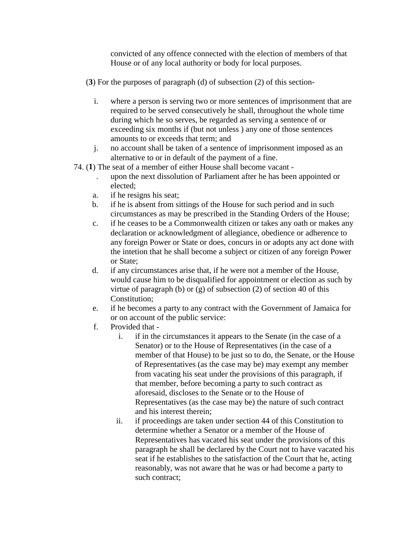convicted of any offence connected with the election of members of that House or of any local authority or body for local purposes.

- (**3**) For the purposes of paragraph (d) of subsection (2) of this section
	- i. where a person is serving two or more sentences of imprisonment that are required to be served consecutively he shall, throughout the whole time during which he so serves, be regarded as serving a sentence of or exceeding six months if (but not unless ) any one of those sentences amounts to or exceeds that term; and
	- j. no account shall be taken of a sentence of imprisonment imposed as an alternative to or in default of the payment of a fine.
- 74. (**1**) The seat of a member of either House shall become vacant
	- . upon the next dissolution of Parliament after he has been appointed or elected;
	- a. if he resigns his seat;
	- b. if he is absent from sittings of the House for such period and in such circumstances as may be prescribed in the Standing Orders of the House;
	- c. if he ceases to be a Commonwealth citizen or takes any oath or makes any declaration or acknowledgment of allegiance, obedience or adherence to any foreign Power or State or does, concurs in or adopts any act done with the intetion that he shall become a subject or citizen of any foreign Power or State;
	- d. if any circumstances arise that, if he were not a member of the House, would cause him to be disqualified for appointment or election as such by virtue of paragraph (b) or  $(g)$  of subsection (2) of section 40 of this Constitution;
	- e. if he becomes a party to any contract with the Government of Jamaica for or on account of the public service:
	- f. Provided that
		- i. if in the circumstances it appears to the Senate (in the case of a Senator) or to the House of Representatives (in the case of a member of that House) to be just so to do, the Senate, or the House of Representatives (as the case may be) may exempt any member from vacating his seat under the provisions of this paragraph, if that member, before becoming a party to such contract as aforesaid, discloses to the Senate or to the House of Representatives (as the case may be) the nature of such contract and his interest therein;
		- ii. if proceedings are taken under section 44 of this Constitution to determine whether a Senator or a member of the House of Representatives has vacated his seat under the provisions of this paragraph he shall be declared by the Court not to have vacated his seat if he establishes to the satisfaction of the Court that he, acting reasonably, was not aware that he was or had become a party to such contract;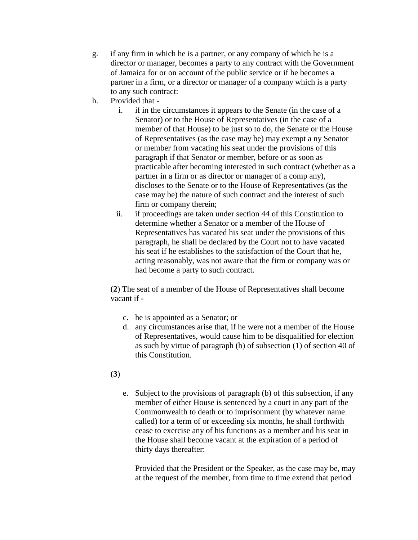- g. if any firm in which he is a partner, or any company of which he is a director or manager, becomes a party to any contract with the Government of Jamaica for or on account of the public service or if he becomes a partner in a firm, or a director or manager of a company which is a party to any such contract:
- h. Provided that
	- i. if in the circumstances it appears to the Senate (in the case of a Senator) or to the House of Representatives (in the case of a member of that House) to be just so to do, the Senate or the House of Representatives (as the case may be) may exempt a ny Senator or member from vacating his seat under the provisions of this paragraph if that Senator or member, before or as soon as practicable after becoming interested in such contract (whether as a partner in a firm or as director or manager of a comp any), discloses to the Senate or to the House of Representatives (as the case may be) the nature of such contract and the interest of such firm or company therein;
	- ii. if proceedings are taken under section 44 of this Constitution to determine whether a Senator or a member of the House of Representatives has vacated his seat under the provisions of this paragraph, he shall be declared by the Court not to have vacated his seat if he establishes to the satisfaction of the Court that he, acting reasonably, was not aware that the firm or company was or had become a party to such contract.

(**2**) The seat of a member of the House of Representatives shall become vacant if -

- c. he is appointed as a Senator; or
- d. any circumstances arise that, if he were not a member of the House of Representatives, would cause him to be disqualified for election as such by virtue of paragraph (b) of subsection (1) of section 40 of this Constitution.
- (**3**)
	- e. Subject to the provisions of paragraph (b) of this subsection, if any member of either House is sentenced by a court in any part of the Commonwealth to death or to imprisonment (by whatever name called) for a term of or exceeding six months, he shall forthwith cease to exercise any of his functions as a member and his seat in the House shall become vacant at the expiration of a period of thirty days thereafter:

Provided that the President or the Speaker, as the case may be, may at the request of the member, from time to time extend that period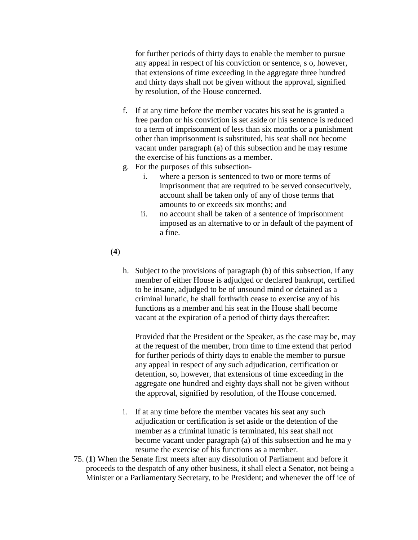for further periods of thirty days to enable the member to pursue any appeal in respect of his conviction or sentence, s o, however, that extensions of time exceeding in the aggregate three hundred and thirty days shall not be given without the approval, signified by resolution, of the House concerned.

- f. If at any time before the member vacates his seat he is granted a free pardon or his conviction is set aside or his sentence is reduced to a term of imprisonment of less than six months or a punishment other than imprisonment is substituted, his seat shall not become vacant under paragraph (a) of this subsection and he may resume the exercise of his functions as a member.
- g. For the purposes of this subsection
	- i. where a person is sentenced to two or more terms of imprisonment that are required to be served consecutively, account shall be taken only of any of those terms that amounts to or exceeds six months; and
	- ii. no account shall be taken of a sentence of imprisonment imposed as an alternative to or in default of the payment of a fine.

### (**4**)

h. Subject to the provisions of paragraph (b) of this subsection, if any member of either House is adjudged or declared bankrupt, certified to be insane, adjudged to be of unsound mind or detained as a criminal lunatic, he shall forthwith cease to exercise any of his functions as a member and his seat in the House shall become vacant at the expiration of a period of thirty days thereafter:

Provided that the President or the Speaker, as the case may be, may at the request of the member, from time to time extend that period for further periods of thirty days to enable the member to pursue any appeal in respect of any such adjudication, certification or detention, so, however, that extensions of time exceeding in the aggregate one hundred and eighty days shall not be given without the approval, signified by resolution, of the House concerned.

- i. If at any time before the member vacates his seat any such adjudication or certification is set aside or the detention of the member as a criminal lunatic is terminated, his seat shall not become vacant under paragraph (a) of this subsection and he ma y resume the exercise of his functions as a member.
- 75. (**1**) When the Senate first meets after any dissolution of Parliament and before it proceeds to the despatch of any other business, it shall elect a Senator, not being a Minister or a Parliamentary Secretary, to be President; and whenever the off ice of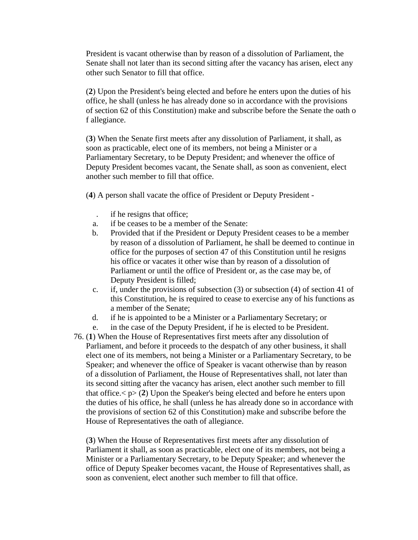President is vacant otherwise than by reason of a dissolution of Parliament, the Senate shall not later than its second sitting after the vacancy has arisen, elect any other such Senator to fill that office.

(**2**) Upon the President's being elected and before he enters upon the duties of his office, he shall (unless he has already done so in accordance with the provisions of section 62 of this Constitution) make and subscribe before the Senate the oath o f allegiance.

(**3**) When the Senate first meets after any dissolution of Parliament, it shall, as soon as practicable, elect one of its members, not being a Minister or a Parliamentary Secretary, to be Deputy President; and whenever the office of Deputy President becomes vacant, the Senate shall, as soon as convenient, elect another such member to fill that office.

(**4**) A person shall vacate the office of President or Deputy President -

- . if he resigns that office;
- a. if be ceases to be a member of the Senate:
- b. Provided that if the President or Deputy President ceases to be a member by reason of a dissolution of Parliament, he shall be deemed to continue in office for the purposes of section 47 of this Constitution until he resigns his office or vacates it other wise than by reason of a dissolution of Parliament or until the office of President or, as the case may be, of Deputy President is filled;
- c. if, under the provisions of subsection (3) or subsection (4) of section 41 of this Constitution, he is required to cease to exercise any of his functions as a member of the Senate;
- d. if he is appointed to be a Minister or a Parliamentary Secretary; or
- in the case of the Deputy President, if he is elected to be President.
- 76. (**1**) When the House of Representatives first meets after any dissolution of Parliament, and before it proceeds to the despatch of any other business, it shall elect one of its members, not being a Minister or a Parliamentary Secretary, to be Speaker; and whenever the office of Speaker is vacant otherwise than by reason of a dissolution of Parliament, the House of Representatives shall, not later than its second sitting after the vacancy has arisen, elect another such member to fill that office.< p> (**2**) Upon the Speaker's being elected and before he enters upon the duties of his office, he shall (unless he has already done so in accordance with the provisions of section 62 of this Constitution) make and subscribe before the House of Representatives the oath of allegiance.

(**3**) When the House of Representatives first meets after any dissolution of Parliament it shall, as soon as practicable, elect one of its members, not being a Minister or a Parliamentary Secretary, to be Deputy Speaker; and whenever the office of Deputy Speaker becomes vacant, the House of Representatives shall, as soon as convenient, elect another such member to fill that office.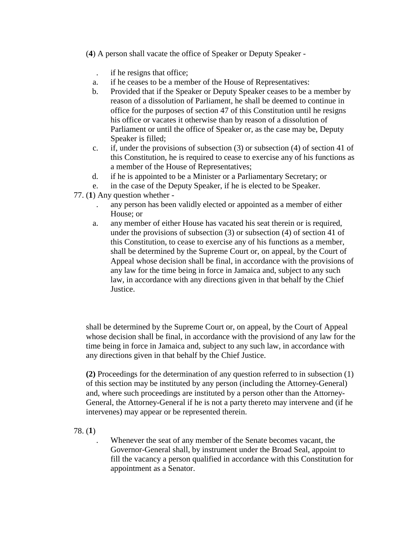- (**4**) A person shall vacate the office of Speaker or Deputy Speaker
	- . if he resigns that office;
	- a. if he ceases to be a member of the House of Representatives:
	- b. Provided that if the Speaker or Deputy Speaker ceases to be a member by reason of a dissolution of Parliament, he shall be deemed to continue in office for the purposes of section 47 of this Constitution until he resigns his office or vacates it otherwise than by reason of a dissolution of Parliament or until the office of Speaker or, as the case may be, Deputy Speaker is filled;
	- c. if, under the provisions of subsection (3) or subsection (4) of section 41 of this Constitution, he is required to cease to exercise any of his functions as a member of the House of Representatives;
	- d. if he is appointed to be a Minister or a Parliamentary Secretary; or
	- e. in the case of the Deputy Speaker, if he is elected to be Speaker.
- 77. (**1**) Any question whether
	- . any person has been validly elected or appointed as a member of either House; or
	- a. any member of either House has vacated his seat therein or is required, under the provisions of subsection (3) or subsection (4) of section 41 of this Constitution, to cease to exercise any of his functions as a member, shall be determined by the Supreme Court or, on appeal, by the Court of Appeal whose decision shall be final, in accordance with the provisions of any law for the time being in force in Jamaica and, subject to any such law, in accordance with any directions given in that behalf by the Chief Justice.

shall be determined by the Supreme Court or, on appeal, by the Court of Appeal whose decision shall be final, in accordance with the provisiond of any law for the time being in force in Jamaica and, subject to any such law, in accordance with any directions given in that behalf by the Chief Justice.

**(2)** Proceedings for the determination of any question referred to in subsection (1) of this section may be instituted by any person (including the Attorney-General) and, where such proceedings are instituted by a person other than the Attorney-General, the Attorney-General if he is not a party thereto may intervene and (if he intervenes) may appear or be represented therein.

78. (**1**)

 . Whenever the seat of any member of the Senate becomes vacant, the Governor-General shall, by instrument under the Broad Seal, appoint to fill the vacancy a person qualified in accordance with this Constitution for appointment as a Senator.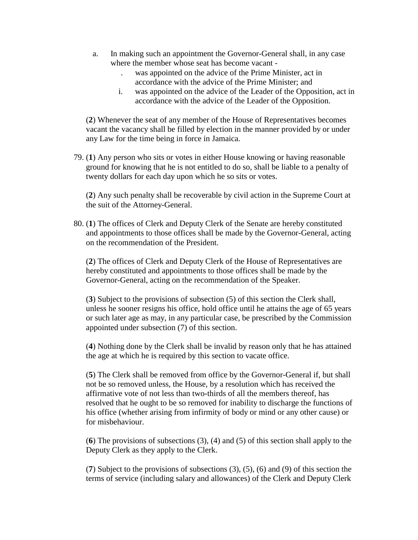- a. In making such an appointment the Governor-General shall, in any case where the member whose seat has become vacant -
	- . was appointed on the advice of the Prime Minister, act in accordance with the advice of the Prime Minister; and
	- i. was appointed on the advice of the Leader of the Opposition, act in accordance with the advice of the Leader of the Opposition.

(**2**) Whenever the seat of any member of the House of Representatives becomes vacant the vacancy shall be filled by election in the manner provided by or under any Law for the time being in force in Jamaica.

79. (**1**) Any person who sits or votes in either House knowing or having reasonable ground for knowing that he is not entitled to do so, shall be liable to a penalty of twenty dollars for each day upon which he so sits or votes.

(**2**) Any such penalty shall be recoverable by civil action in the Supreme Court at the suit of the Attorney-General.

80. (**1**) The offices of Clerk and Deputy Clerk of the Senate are hereby constituted and appointments to those offices shall be made by the Governor-General, acting on the recommendation of the President.

(**2**) The offices of Clerk and Deputy Clerk of the House of Representatives are hereby constituted and appointments to those offices shall be made by the Governor-General, acting on the recommendation of the Speaker.

(**3**) Subject to the provisions of subsection (5) of this section the Clerk shall, unless he sooner resigns his office, hold office until he attains the age of 65 years or such later age as may, in any particular case, be prescribed by the Commission appointed under subsection (7) of this section.

(**4**) Nothing done by the Clerk shall be invalid by reason only that he has attained the age at which he is required by this section to vacate office.

(**5**) The Clerk shall be removed from office by the Governor-General if, but shall not be so removed unless, the House, by a resolution which has received the affirmative vote of not less than two-thirds of all the members thereof, has resolved that he ought to be so removed for inability to discharge the functions of his office (whether arising from infirmity of body or mind or any other cause) or for misbehaviour.

(**6**) The provisions of subsections (3), (4) and (5) of this section shall apply to the Deputy Clerk as they apply to the Clerk.

(**7**) Subject to the provisions of subsections (3), (5), (6) and (9) of this section the terms of service (including salary and allowances) of the Clerk and Deputy Clerk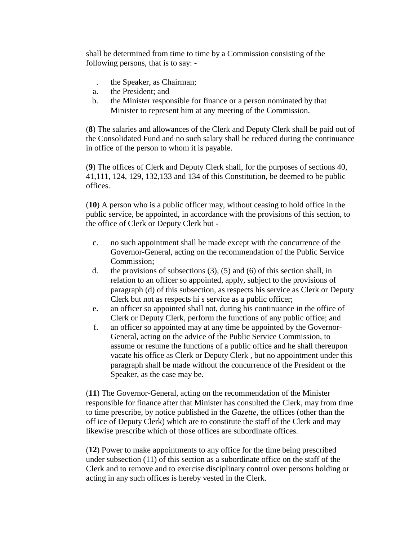shall be determined from time to time by a Commission consisting of the following persons, that is to say: -

- . the Speaker, as Chairman;
- a. the President; and
- b. the Minister responsible for finance or a person nominated by that Minister to represent him at any meeting of the Commission.

(**8**) The salaries and allowances of the Clerk and Deputy Clerk shall be paid out of the Consolidated Fund and no such salary shall be reduced during the continuance in office of the person to whom it is payable.

(**9**) The offices of Clerk and Deputy Clerk shall, for the purposes of sections 40, 41,111, 124, 129, 132,133 and 134 of this Constitution, be deemed to be public offices.

(**10**) A person who is a public officer may, without ceasing to hold office in the public service, be appointed, in accordance with the provisions of this section, to the office of Clerk or Deputy Clerk but -

- c. no such appointment shall be made except with the concurrence of the Governor-General, acting on the recommendation of the Public Service Commission;
- d. the provisions of subsections  $(3)$ ,  $(5)$  and  $(6)$  of this section shall, in relation to an officer so appointed, apply, subject to the provisions of paragraph (d) of this subsection, as respects his service as Clerk or Deputy Clerk but not as respects hi s service as a public officer;
- e. an officer so appointed shall not, during his continuance in the office of Clerk or Deputy Clerk, perform the functions of any public office; and
- f. an officer so appointed may at any time be appointed by the Governor-General, acting on the advice of the Public Service Commission, to assume or resume the functions of a public office and he shall thereupon vacate his office as Clerk or Deputy Clerk , but no appointment under this paragraph shall be made without the concurrence of the President or the Speaker, as the case may be.

(**11**) The Governor-General, acting on the recommendation of the Minister responsible for finance after that Minister has consulted the Clerk, may from time to time prescribe, by notice published in the *Gazette*, the offices (other than the off ice of Deputy Clerk) which are to constitute the staff of the Clerk and may likewise prescribe which of those offices are subordinate offices.

(**12**) Power to make appointments to any office for the time being prescribed under subsection (11) of this section as a subordinate office on the staff of the Clerk and to remove and to exercise disciplinary control over persons holding or acting in any such offices is hereby vested in the Clerk.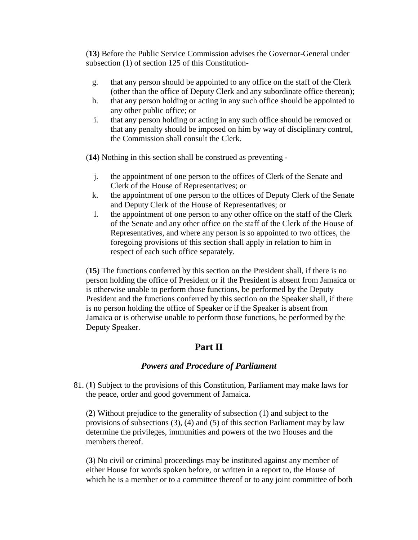(**13**) Before the Public Service Commission advises the Governor-General under subsection (1) of section 125 of this Constitution-

- g. that any person should be appointed to any office on the staff of the Clerk (other than the office of Deputy Clerk and any subordinate office thereon);
- h. that any person holding or acting in any such office should be appointed to any other public office; or
- i. that any person holding or acting in any such office should be removed or that any penalty should be imposed on him by way of disciplinary control, the Commission shall consult the Clerk.

(**14**) Nothing in this section shall be construed as preventing -

- j. the appointment of one person to the offices of Clerk of the Senate and Clerk of the House of Representatives; or
- k. the appointment of one person to the offices of Deputy Clerk of the Senate and Deputy Clerk of the House of Representatives; or
- l. the appointment of one person to any other office on the staff of the Clerk of the Senate and any other office on the staff of the Clerk of the House of Representatives, and where any person is so appointed to two offices, the foregoing provisions of this section shall apply in relation to him in respect of each such office separately.

(**15**) The functions conferred by this section on the President shall, if there is no person holding the office of President or if the President is absent from Jamaica or is otherwise unable to perform those functions, be performed by the Deputy President and the functions conferred by this section on the Speaker shall, if there is no person holding the office of Speaker or if the Speaker is absent from Jamaica or is otherwise unable to perform those functions, be performed by the Deputy Speaker.

# **Part II**

## *Powers and Procedure of Parliament*

81. (**1**) Subject to the provisions of this Constitution, Parliament may make laws for the peace, order and good government of Jamaica.

(**2**) Without prejudice to the generality of subsection (1) and subject to the provisions of subsections (3), (4) and (5) of this section Parliament may by law determine the privileges, immunities and powers of the two Houses and the members thereof.

(**3**) No civil or criminal proceedings may be instituted against any member of either House for words spoken before, or written in a report to, the House of which he is a member or to a committee thereof or to any joint committee of both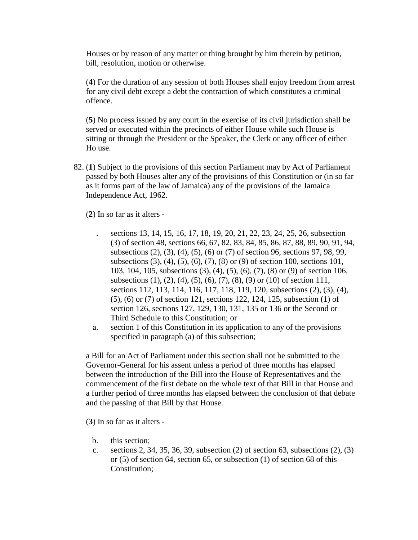Houses or by reason of any matter or thing brought by him therein by petition, bill, resolution, motion or otherwise.

(**4**) For the duration of any session of both Houses shall enjoy freedom from arrest for any civil debt except a debt the contraction of which constitutes a criminal offence.

(**5**) No process issued by any court in the exercise of its civil jurisdiction shall be served or executed within the precincts of either House while such House is sitting or through the President or the Speaker, the Clerk or any officer of either Ho use.

82. (**1**) Subject to the provisions of this section Parliament may by Act of Parliament passed by both Houses alter any of the provisions of this Constitution or (in so far as it forms part of the law of Jamaica) any of the provisions of the Jamaica Independence Act, 1962.

(**2**) In so far as it alters -

- . sections 13, 14, 15, 16, 17, 18, 19, 20, 21, 22, 23, 24, 25, 26, subsection (3) of section 48, sections 66, 67, 82, 83, 84, 85, 86, 87, 88, 89, 90, 91, 94, subsections (2), (3), (4), (5), (6) or (7) of section 96, sections 97, 98, 99, subsections (3), (4), (5), (6), (7), (8) or (9) of section 100, sections 101, 103, 104, 105, subsections (3), (4), (5), (6), (7), (8) or (9) of section 106, subsections (1), (2), (4), (5), (6), (7), (8), (9) or (10) of section 111, sections 112, 113, 114, 116, 117, 118, 119, 120, subsections (2), (3), (4), (5), (6) or (7) of section 121, sections 122, 124, 125, subsection (1) of section 126, sections 127, 129, 130, 131, 135 or 136 or the Second or Third Schedule to this Constitution; or
- a. section 1 of this Constitution in its application to any of the provisions specified in paragraph (a) of this subsection;

a Bill for an Act of Parliament under this section shall not be submitted to the Governor-General for his assent unless a period of three months has elapsed between the introduction of the Bill into the House of Representatives and the commencement of the first debate on the whole text of that Bill in that House and a further period of three months has elapsed between the conclusion of that debate and the passing of that Bill by that House.

(**3**) In so far as it alters -

- b. this section;
- c. sections 2, 34, 35, 36, 39, subsection (2) of section 63, subsections (2), (3) or (5) of section 64, section 65, or subsection (1) of section 68 of this Constitution;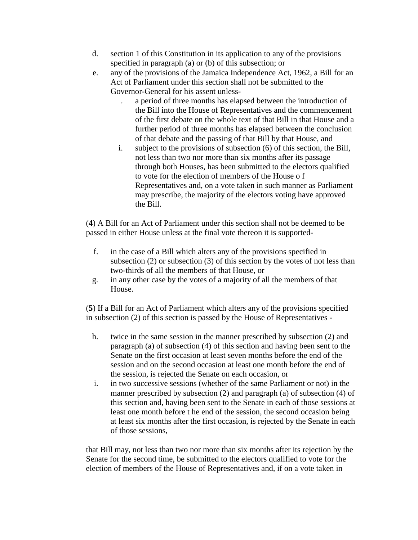- d. section 1 of this Constitution in its application to any of the provisions specified in paragraph (a) or (b) of this subsection; or
- e. any of the provisions of the Jamaica Independence Act, 1962, a Bill for an Act of Parliament under this section shall not be submitted to the Governor-General for his assent unless-
	- . a period of three months has elapsed between the introduction of the Bill into the House of Representatives and the commencement of the first debate on the whole text of that Bill in that House and a further period of three months has elapsed between the conclusion of that debate and the passing of that Bill by that House, and
	- i. subject to the provisions of subsection (6) of this section, the Bill, not less than two nor more than six months after its passage through both Houses, has been submitted to the electors qualified to vote for the election of members of the House o f Representatives and, on a vote taken in such manner as Parliament may prescribe, the majority of the electors voting have approved the Bill.

(**4**) A Bill for an Act of Parliament under this section shall not be deemed to be passed in either House unless at the final vote thereon it is supported-

- f. in the case of a Bill which alters any of the provisions specified in subsection (2) or subsection (3) of this section by the votes of not less than two-thirds of all the members of that House, or
- g. in any other case by the votes of a majority of all the members of that House.

(**5**) If a Bill for an Act of Parliament which alters any of the provisions specified in subsection (2) of this section is passed by the House of Representatives -

- h. twice in the same session in the manner prescribed by subsection (2) and paragraph (a) of subsection (4) of this section and having been sent to the Senate on the first occasion at least seven months before the end of the session and on the second occasion at least one month before the end of the session, is rejected the Senate on each occasion, or
- i. in two successive sessions (whether of the same Parliament or not) in the manner prescribed by subsection (2) and paragraph (a) of subsection (4) of this section and, having been sent to the Senate in each of those sessions at least one month before t he end of the session, the second occasion being at least six months after the first occasion, is rejected by the Senate in each of those sessions,

that Bill may, not less than two nor more than six months after its rejection by the Senate for the second time, be submitted to the electors qualified to vote for the election of members of the House of Representatives and, if on a vote taken in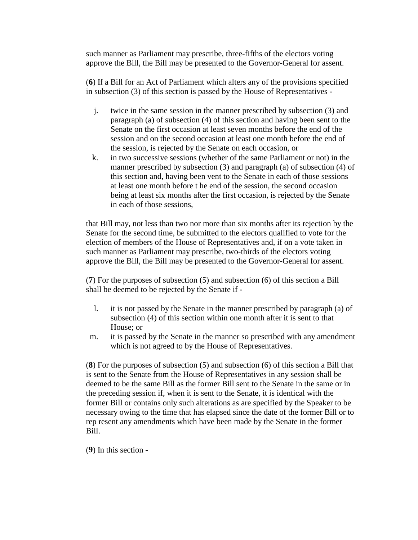such manner as Parliament may prescribe, three-fifths of the electors voting approve the Bill, the Bill may be presented to the Governor-General for assent.

(**6**) If a Bill for an Act of Parliament which alters any of the provisions specified in subsection (3) of this section is passed by the House of Representatives -

- j. twice in the same session in the manner prescribed by subsection (3) and paragraph (a) of subsection (4) of this section and having been sent to the Senate on the first occasion at least seven months before the end of the session and on the second occasion at least one month before the end of the session, is rejected by the Senate on each occasion, or
- k. in two successive sessions (whether of the same Parliament or not) in the manner prescribed by subsection (3) and paragraph (a) of subsection (4) of this section and, having been vent to the Senate in each of those sessions at least one month before t he end of the session, the second occasion being at least six months after the first occasion, is rejected by the Senate in each of those sessions,

that Bill may, not less than two nor more than six months after its rejection by the Senate for the second time, be submitted to the electors qualified to vote for the election of members of the House of Representatives and, if on a vote taken in such manner as Parliament may prescribe, two-thirds of the electors voting approve the Bill, the Bill may be presented to the Governor-General for assent.

(**7**) For the purposes of subsection (5) and subsection (6) of this section a Bill shall be deemed to be rejected by the Senate if -

- l. it is not passed by the Senate in the manner prescribed by paragraph (a) of subsection (4) of this section within one month after it is sent to that House; or
- m. it is passed by the Senate in the manner so prescribed with any amendment which is not agreed to by the House of Representatives.

(**8**) For the purposes of subsection (5) and subsection (6) of this section a Bill that is sent to the Senate from the House of Representatives in any session shall be deemed to be the same Bill as the former Bill sent to the Senate in the same or in the preceding session if, when it is sent to the Senate, it is identical with the former Bill or contains only such alterations as are specified by the Speaker to be necessary owing to the time that has elapsed since the date of the former Bill or to rep resent any amendments which have been made by the Senate in the former Bill.

(**9**) In this section -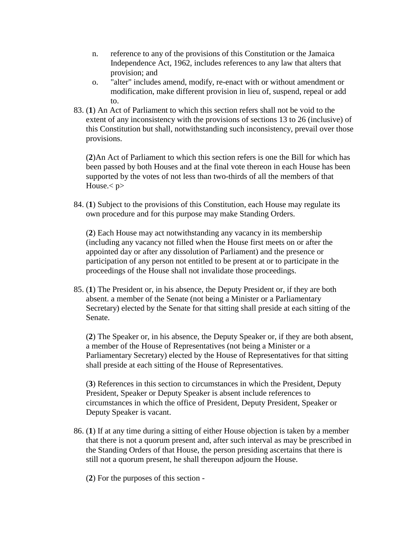- n. reference to any of the provisions of this Constitution or the Jamaica Independence Act, 1962, includes references to any law that alters that provision; and
- o. "alter" includes amend, modify, re-enact with or without amendment or modification, make different provision in lieu of, suspend, repeal or add to.
- 83. (**1**) An Act of Parliament to which this section refers shall not be void to the extent of any inconsistency with the provisions of sections 13 to 26 (inclusive) of this Constitution but shall, notwithstanding such inconsistency, prevail over those provisions.

(**2**)An Act of Parliament to which this section refers is one the Bill for which has been passed by both Houses and at the final vote thereon in each House has been supported by the votes of not less than two-thirds of all the members of that House. $< p$ 

84. (**1**) Subject to the provisions of this Constitution, each House may regulate its own procedure and for this purpose may make Standing Orders.

(**2**) Each House may act notwithstanding any vacancy in its membership (including any vacancy not filled when the House first meets on or after the appointed day or after any dissolution of Parliament) and the presence or participation of any person not entitled to be present at or to participate in the proceedings of the House shall not invalidate those proceedings.

85. (**1**) The President or, in his absence, the Deputy President or, if they are both absent. a member of the Senate (not being a Minister or a Parliamentary Secretary) elected by the Senate for that sitting shall preside at each sitting of the Senate.

(**2**) The Speaker or, in his absence, the Deputy Speaker or, if they are both absent, a member of the House of Representatives (not being a Minister or a Parliamentary Secretary) elected by the House of Representatives for that sitting shall preside at each sitting of the House of Representatives.

(**3**) References in this section to circumstances in which the President, Deputy President, Speaker or Deputy Speaker is absent include references to circumstances in which the office of President, Deputy President, Speaker or Deputy Speaker is vacant.

- 86. (**1**) If at any time during a sitting of either House objection is taken by a member that there is not a quorum present and, after such interval as may be prescribed in the Standing Orders of that House, the person presiding ascertains that there is still not a quorum present, he shall thereupon adjourn the House.
	- (**2**) For the purposes of this section -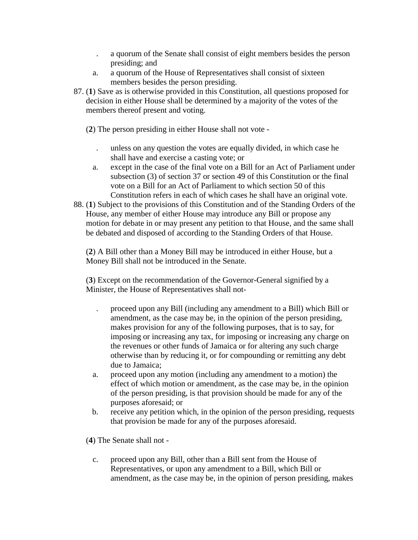- . a quorum of the Senate shall consist of eight members besides the person presiding; and
- a. a quorum of the House of Representatives shall consist of sixteen members besides the person presiding.
- 87. (**1**) Save as is otherwise provided in this Constitution, all questions proposed for decision in either House shall be determined by a majority of the votes of the members thereof present and voting.
	- (**2**) The person presiding in either House shall not vote
		- . unless on any question the votes are equally divided, in which case he shall have and exercise a casting vote; or
		- a. except in the case of the final vote on a Bill for an Act of Parliament under subsection (3) of section 37 or section 49 of this Constitution or the final vote on a Bill for an Act of Parliament to which section 50 of this Constitution refers in each of which cases he shall have an original vote.
- 88. (**1**) Subject to the provisions of this Constitution and of the Standing Orders of the House, any member of either House may introduce any Bill or propose any motion for debate in or may present any petition to that House, and the same shall be debated and disposed of according to the Standing Orders of that House.

(**2**) A Bill other than a Money Bill may be introduced in either House, but a Money Bill shall not be introduced in the Senate.

(**3**) Except on the recommendation of the Governor-General signified by a Minister, the House of Representatives shall not-

- . proceed upon any Bill (including any amendment to a Bill) which Bill or amendment, as the case may be, in the opinion of the person presiding, makes provision for any of the following purposes, that is to say, for imposing or increasing any tax, for imposing or increasing any charge on the revenues or other funds of Jamaica or for altering any such charge otherwise than by reducing it, or for compounding or remitting any debt due to Jamaica;
- a. proceed upon any motion (including any amendment to a motion) the effect of which motion or amendment, as the case may be, in the opinion of the person presiding, is that provision should be made for any of the purposes aforesaid; or
- b. receive any petition which, in the opinion of the person presiding, requests that provision be made for any of the purposes aforesaid.

(**4**) The Senate shall not -

c. proceed upon any Bill, other than a Bill sent from the House of Representatives, or upon any amendment to a Bill, which Bill or amendment, as the case may be, in the opinion of person presiding, makes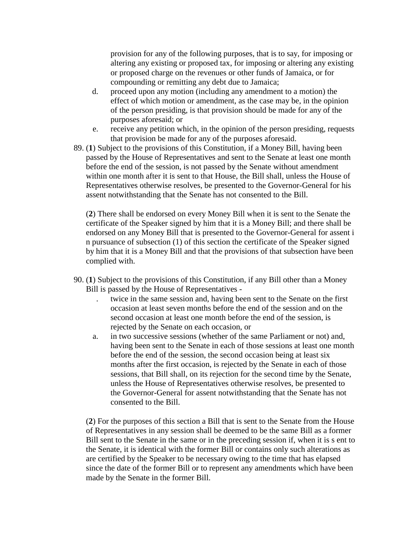provision for any of the following purposes, that is to say, for imposing or altering any existing or proposed tax, for imposing or altering any existing or proposed charge on the revenues or other funds of Jamaica, or for compounding or remitting any debt due to Jamaica;

- d. proceed upon any motion (including any amendment to a motion) the effect of which motion or amendment, as the case may be, in the opinion of the person presiding, is that provision should be made for any of the purposes aforesaid; or
- e. receive any petition which, in the opinion of the person presiding, requests that provision be made for any of the purposes aforesaid.
- 89. (**1**) Subject to the provisions of this Constitution, if a Money Bill, having been passed by the House of Representatives and sent to the Senate at least one month before the end of the session, is not passed by the Senate without amendment within one month after it is sent to that House, the Bill shall, unless the House of Representatives otherwise resolves, be presented to the Governor-General for his assent notwithstanding that the Senate has not consented to the Bill.

(**2**) There shall be endorsed on every Money Bill when it is sent to the Senate the certificate of the Speaker signed by him that it is a Money Bill; and there shall be endorsed on any Money Bill that is presented to the Governor-General for assent i n pursuance of subsection (1) of this section the certificate of the Speaker signed by him that it is a Money Bill and that the provisions of that subsection have been complied with.

- 90. (**1**) Subject to the provisions of this Constitution, if any Bill other than a Money Bill is passed by the House of Representatives -
	- . twice in the same session and, having been sent to the Senate on the first occasion at least seven months before the end of the session and on the second occasion at least one month before the end of the session, is rejected by the Senate on each occasion, or
	- a. in two successive sessions (whether of the same Parliament or not) and, having been sent to the Senate in each of those sessions at least one month before the end of the session, the second occasion being at least six months after the first occasion, is rejected by the Senate in each of those sessions, that Bill shall, on its rejection for the second time by the Senate, unless the House of Representatives otherwise resolves, be presented to the Governor-General for assent notwithstanding that the Senate has not consented to the Bill.

(**2**) For the purposes of this section a Bill that is sent to the Senate from the House of Representatives in any session shall be deemed to be the same Bill as a former Bill sent to the Senate in the same or in the preceding session if, when it is s ent to the Senate, it is identical with the former Bill or contains only such alterations as are certified by the Speaker to be necessary owing to the time that has elapsed since the date of the former Bill or to represent any amendments which have been made by the Senate in the former Bill.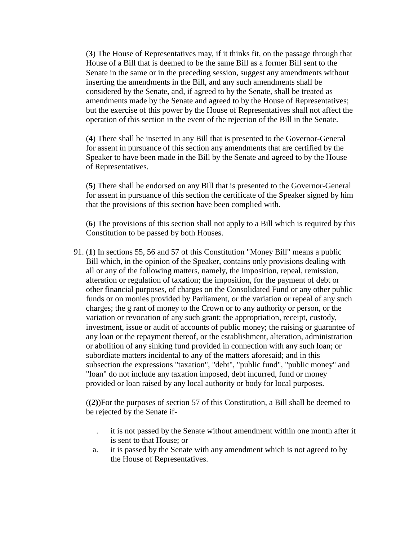(**3**) The House of Representatives may, if it thinks fit, on the passage through that House of a Bill that is deemed to be the same Bill as a former Bill sent to the Senate in the same or in the preceding session, suggest any amendments without inserting the amendments in the Bill, and any such amendments shall be considered by the Senate, and, if agreed to by the Senate, shall be treated as amendments made by the Senate and agreed to by the House of Representatives; but the exercise of this power by the House of Representatives shall not affect the operation of this section in the event of the rejection of the Bill in the Senate.

(**4**) There shall be inserted in any Bill that is presented to the Governor-General for assent in pursuance of this section any amendments that are certified by the Speaker to have been made in the Bill by the Senate and agreed to by the House of Representatives.

(**5**) There shall be endorsed on any Bill that is presented to the Governor-General for assent in pursuance of this section the certificate of the Speaker signed by him that the provisions of this section have been complied with.

(**6**) The provisions of this section shall not apply to a Bill which is required by this Constitution to be passed by both Houses.

91. (**1**) In sections 55, 56 and 57 of this Constitution "Money Bill" means a public Bill which, in the opinion of the Speaker, contains only provisions dealing with all or any of the following matters, namely, the imposition, repeal, remission, alteration or regulation of taxation; the imposition, for the payment of debt or other financial purposes, of charges on the Consolidated Fund or any other public funds or on monies provided by Parliament, or the variation or repeal of any such charges; the g rant of money to the Crown or to any authority or person, or the variation or revocation of any such grant; the appropriation, receipt, custody, investment, issue or audit of accounts of public money; the raising or guarantee of any loan or the repayment thereof, or the establishment, alteration, administration or abolition of any sinking fund provided in connection with any such loan; or subordiate matters incidental to any of the matters aforesaid; and in this subsection the expressions "taxation", "debt", "public fund", "public money" and "loan" do not include any taxation imposed, debt incurred, fund or money provided or loan raised by any local authority or body for local purposes.

(**(2)**)For the purposes of section 57 of this Constitution, a Bill shall be deemed to be rejected by the Senate if-

- . it is not passed by the Senate without amendment within one month after it is sent to that House; or
- a. it is passed by the Senate with any amendment which is not agreed to by the House of Representatives.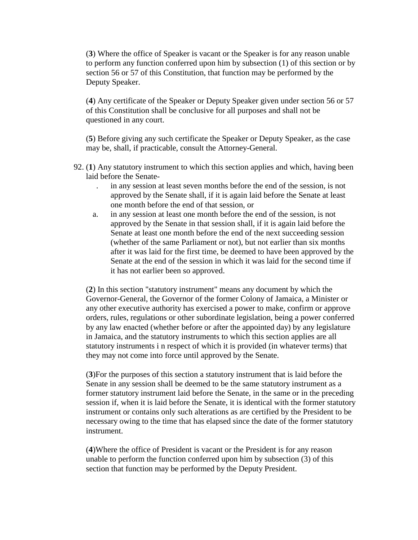(**3**) Where the office of Speaker is vacant or the Speaker is for any reason unable to perform any function conferred upon him by subsection (1) of this section or by section 56 or 57 of this Constitution, that function may be performed by the Deputy Speaker.

(**4**) Any certificate of the Speaker or Deputy Speaker given under section 56 or 57 of this Constitution shall be conclusive for all purposes and shall not be questioned in any court.

(**5**) Before giving any such certificate the Speaker or Deputy Speaker, as the case may be, shall, if practicable, consult the Attorney-General.

- 92. (**1**) Any statutory instrument to which this section applies and which, having been laid before the Senate-
	- . in any session at least seven months before the end of the session, is not approved by the Senate shall, if it is again laid before the Senate at least one month before the end of that session, or
	- a. in any session at least one month before the end of the session, is not approved by the Senate in that session shall, if it is again laid before the Senate at least one month before the end of the next succeeding session (whether of the same Parliament or not), but not earlier than six months after it was laid for the first time, be deemed to have been approved by the Senate at the end of the session in which it was laid for the second time if it has not earlier been so approved.

(**2**) In this section "statutory instrument" means any document by which the Governor-General, the Governor of the former Colony of Jamaica, a Minister or any other executive authority has exercised a power to make, confirm or approve orders, rules, regulations or other subordinate legislation, being a power conferred by any law enacted (whether before or after the appointed day) by any legislature in Jamaica, and the statutory instruments to which this section applies are all statutory instruments i n respect of which it is provided (in whatever terms) that they may not come into force until approved by the Senate.

(**3**)For the purposes of this section a statutory instrument that is laid before the Senate in any session shall be deemed to be the same statutory instrument as a former statutory instrument laid before the Senate, in the same or in the preceding session if, when it is laid before the Senate, it is identical with the former statutory instrument or contains only such alterations as are certified by the President to be necessary owing to the time that has elapsed since the date of the former statutory instrument.

(**4**)Where the office of President is vacant or the President is for any reason unable to perform the function conferred upon him by subsection (3) of this section that function may be performed by the Deputy President.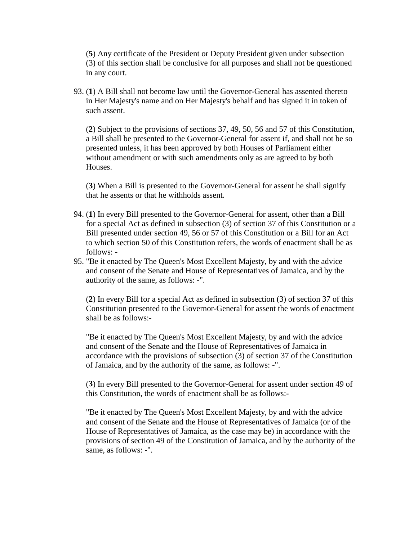(**5**) Any certificate of the President or Deputy President given under subsection (3) of this section shall be conclusive for all purposes and shall not be questioned in any court.

93. (**1**) A Bill shall not become law until the Governor-General has assented thereto in Her Majesty's name and on Her Majesty's behalf and has signed it in token of such assent.

(**2**) Subject to the provisions of sections 37, 49, 50, 56 and 57 of this Constitution, a Bill shall be presented to the Governor-General for assent if, and shall not be so presented unless, it has been approved by both Houses of Parliament either without amendment or with such amendments only as are agreed to by both Houses.

(**3**) When a Bill is presented to the Governor-General for assent he shall signify that he assents or that he withholds assent.

- 94. (**1**) In every Bill presented to the Governor-General for assent, other than a Bill for a special Act as defined in subsection (3) of section 37 of this Constitution or a Bill presented under section 49, 56 or 57 of this Constitution or a Bill for an Act to which section 50 of this Constitution refers, the words of enactment shall be as follows: -
- 95. "Be it enacted by The Queen's Most Excellent Majesty, by and with the advice and consent of the Senate and House of Representatives of Jamaica, and by the authority of the same, as follows: -".

(**2**) In every Bill for a special Act as defined in subsection (3) of section 37 of this Constitution presented to the Governor-General for assent the words of enactment shall be as follows:-

"Be it enacted by The Queen's Most Excellent Majesty, by and with the advice and consent of the Senate and the House of Representatives of Jamaica in accordance with the provisions of subsection (3) of section 37 of the Constitution of Jamaica, and by the authority of the same, as follows: -".

(**3**) In every Bill presented to the Governor-General for assent under section 49 of this Constitution, the words of enactment shall be as follows:-

"Be it enacted by The Queen's Most Excellent Majesty, by and with the advice and consent of the Senate and the House of Representatives of Jamaica (or of the House of Representatives of Jamaica, as the case may be) in accordance with the provisions of section 49 of the Constitution of Jamaica, and by the authority of the same, as follows: -".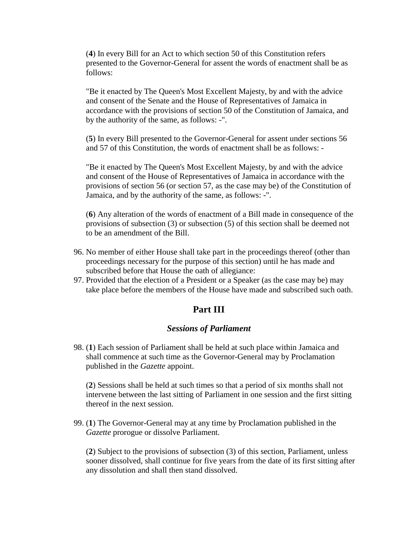(**4**) In every Bill for an Act to which section 50 of this Constitution refers presented to the Governor-General for assent the words of enactment shall be as follows:

"Be it enacted by The Queen's Most Excellent Majesty, by and with the advice and consent of the Senate and the House of Representatives of Jamaica in accordance with the provisions of section 50 of the Constitution of Jamaica, and by the authority of the same, as follows: -".

(**5**) In every Bill presented to the Governor-General for assent under sections 56 and 57 of this Constitution, the words of enactment shall be as follows: -

"Be it enacted by The Queen's Most Excellent Majesty, by and with the advice and consent of the House of Representatives of Jamaica in accordance with the provisions of section 56 (or section 57, as the case may be) of the Constitution of Jamaica, and by the authority of the same, as follows: -".

(**6**) Any alteration of the words of enactment of a Bill made in consequence of the provisions of subsection (3) or subsection (5) of this section shall be deemed not to be an amendment of the Bill.

- 96. No member of either House shall take part in the proceedings thereof (other than proceedings necessary for the purpose of this section) until he has made and subscribed before that House the oath of allegiance:
- 97. Provided that the election of a President or a Speaker (as the case may be) may take place before the members of the House have made and subscribed such oath.

## **Part III**

### *Sessions of Parliament*

98. (**1**) Each session of Parliament shall be held at such place within Jamaica and shall commence at such time as the Governor-General may by Proclamation published in the *Gazette* appoint.

(**2**) Sessions shall be held at such times so that a period of six months shall not intervene between the last sitting of Parliament in one session and the first sitting thereof in the next session.

99. (**1**) The Governor-General may at any time by Proclamation published in the *Gazette* prorogue or dissolve Parliament.

(**2**) Subject to the provisions of subsection (3) of this section, Parliament, unless sooner dissolved, shall continue for five years from the date of its first sitting after any dissolution and shall then stand dissolved.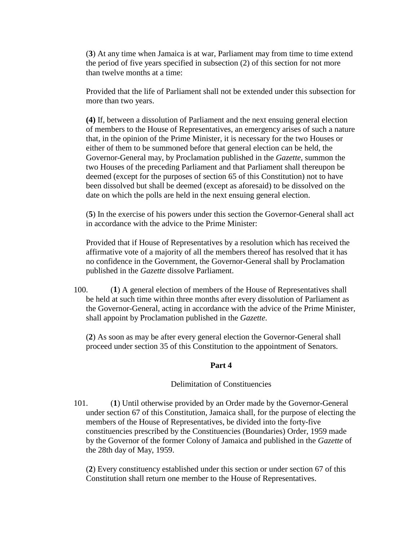(**3**) At any time when Jamaica is at war, Parliament may from time to time extend the period of five years specified in subsection (2) of this section for not more than twelve months at a time:

Provided that the life of Parliament shall not be extended under this subsection for more than two years.

**(4)** If, between a dissolution of Parliament and the next ensuing general election of members to the House of Representatives, an emergency arises of such a nature that, in the opinion of the Prime Minister, it is necessary for the two Houses or either of them to be summoned before that general election can be held, the Governor-General may, by Proclamation published in the *Gazette*, summon the two Houses of the preceding Parliament and that Parliament shall thereupon be deemed (except for the purposes of section 65 of this Constitution) not to have been dissolved but shall be deemed (except as aforesaid) to be dissolved on the date on which the polls are held in the next ensuing general election.

(**5**) In the exercise of his powers under this section the Governor-General shall act in accordance with the advice to the Prime Minister:

Provided that if House of Representatives by a resolution which has received the affirmative vote of a majority of all the members thereof has resolved that it has no confidence in the Government, the Governor-General shall by Proclamation published in the *Gazette* dissolve Parliament.

100. (**1**) A general election of members of the House of Representatives shall be held at such time within three months after every dissolution of Parliament as the Governor-General, acting in accordance with the advice of the Prime Minister, shall appoint by Proclamation published in the *Gazette*.

(**2**) As soon as may be after every general election the Governor-General shall proceed under section 35 of this Constitution to the appointment of Senators.

#### **Part 4**

#### Delimitation of Constituencies

101. (**1**) Until otherwise provided by an Order made by the Governor-General under section 67 of this Constitution, Jamaica shall, for the purpose of electing the members of the House of Representatives, be divided into the forty-five constituencies prescribed by the Constituencies (Boundaries) Order, 1959 made by the Governor of the former Colony of Jamaica and published in the *Gazette* of the 28th day of May, 1959.

(**2**) Every constituency established under this section or under section 67 of this Constitution shall return one member to the House of Representatives.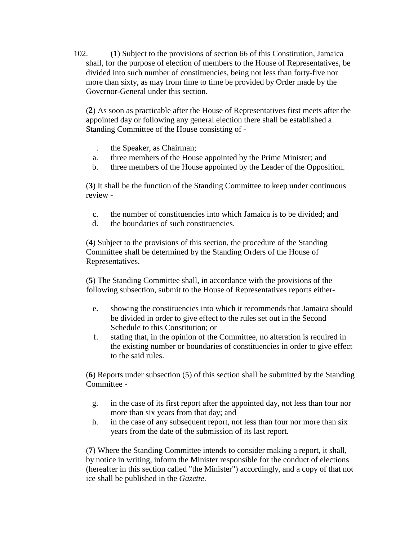102. (**1**) Subject to the provisions of section 66 of this Constitution, Jamaica shall, for the purpose of election of members to the House of Representatives, be divided into such number of constituencies, being not less than forty-five nor more than sixty, as may from time to time be provided by Order made by the Governor-General under this section.

(**2**) As soon as practicable after the House of Representatives first meets after the appointed day or following any general election there shall be established a Standing Committee of the House consisting of -

- . the Speaker, as Chairman;
- a. three members of the House appointed by the Prime Minister; and
- b. three members of the House appointed by the Leader of the Opposition.

(**3**) It shall be the function of the Standing Committee to keep under continuous review -

- c. the number of constituencies into which Jamaica is to be divided; and
- d. the boundaries of such constituencies.

(**4**) Subject to the provisions of this section, the procedure of the Standing Committee shall be determined by the Standing Orders of the House of Representatives.

(**5**) The Standing Committee shall, in accordance with the provisions of the following subsection, submit to the House of Representatives reports either-

- e. showing the constituencies into which it recommends that Jamaica should be divided in order to give effect to the rules set out in the Second Schedule to this Constitution; or
- f. stating that, in the opinion of the Committee, no alteration is required in the existing number or boundaries of constituencies in order to give effect to the said rules.

(**6**) Reports under subsection (5) of this section shall be submitted by the Standing Committee -

- g. in the case of its first report after the appointed day, not less than four nor more than six years from that day; and
- h. in the case of any subsequent report, not less than four nor more than six years from the date of the submission of its last report.

(**7**) Where the Standing Committee intends to consider making a report, it shall, by notice in writing, inform the Minister responsible for the conduct of elections (hereafter in this section called "the Minister") accordingly, and a copy of that not ice shall be published in the *Gazette*.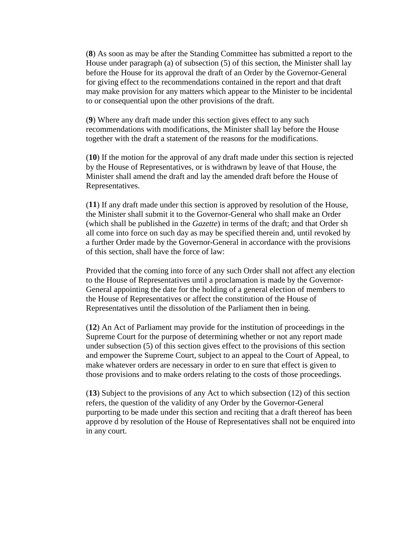(**8**) As soon as may be after the Standing Committee has submitted a report to the House under paragraph (a) of subsection (5) of this section, the Minister shall lay before the House for its approval the draft of an Order by the Governor-General for giving effect to the recommendations contained in the report and that draft may make provision for any matters which appear to the Minister to be incidental to or consequential upon the other provisions of the draft.

(**9**) Where any draft made under this section gives effect to any such recommendations with modifications, the Minister shall lay before the House together with the draft a statement of the reasons for the modifications.

(**10**) If the motion for the approval of any draft made under this section is rejected by the House of Representatives, or is withdrawn by leave of that House, the Minister shall amend the draft and lay the amended draft before the House of Representatives.

(**11**) If any draft made under this section is approved by resolution of the House, the Minister shall submit it to the Governor-General who shall make an Order (which shall be published in the *Gazette*) in terms of the draft; and that Order sh all come into force on such day as may be specified therein and, until revoked by a further Order made by the Governor-General in accordance with the provisions of this section, shall have the force of law:

Provided that the coming into force of any such Order shall not affect any election to the House of Representatives until a proclamation is made by the Governor-General appointing the date for the holding of a general election of members to the House of Representatives or affect the constitution of the House of Representatives until the dissolution of the Parliament then in being.

(**12**) An Act of Parliament may provide for the institution of proceedings in the Supreme Court for the purpose of determining whether or not any report made under subsection (5) of this section gives effect to the provisions of this section and empower the Supreme Court, subject to an appeal to the Court of Appeal, to make whatever orders are necessary in order to en sure that effect is given to those provisions and to make orders relating to the costs of those proceedings.

(**13**) Subject to the provisions of any Act to which subsection (12) of this section refers, the question of the validity of any Order by the Governor-General purporting to be made under this section and reciting that a draft thereof has been approve d by resolution of the House of Representatives shall not be enquired into in any court.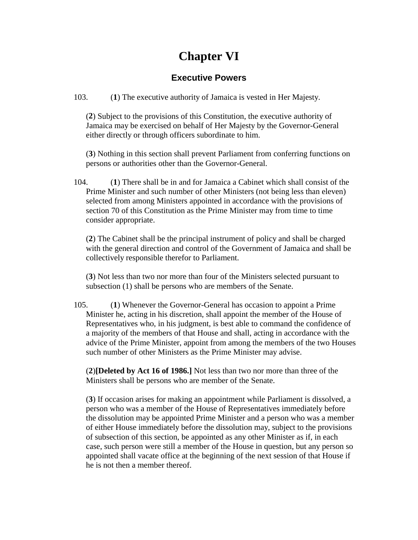# **Chapter VI**

## **Executive Powers**

103. (**1**) The executive authority of Jamaica is vested in Her Majesty.

(**2**) Subject to the provisions of this Constitution, the executive authority of Jamaica may be exercised on behalf of Her Majesty by the Governor-General either directly or through officers subordinate to him.

(**3**) Nothing in this section shall prevent Parliament from conferring functions on persons or authorities other than the Governor-General.

104. (**1**) There shall be in and for Jamaica a Cabinet which shall consist of the Prime Minister and such number of other Ministers (not being less than eleven) selected from among Ministers appointed in accordance with the provisions of section 70 of this Constitution as the Prime Minister may from time to time consider appropriate.

(**2**) The Cabinet shall be the principal instrument of policy and shall be charged with the general direction and control of the Government of Jamaica and shall be collectively responsible therefor to Parliament.

(**3**) Not less than two nor more than four of the Ministers selected pursuant to subsection (1) shall be persons who are members of the Senate.

105. (**1**) Whenever the Governor-General has occasion to appoint a Prime Minister he, acting in his discretion, shall appoint the member of the House of Representatives who, in his judgment, is best able to command the confidence of a majority of the members of that House and shall, acting in accordance with the advice of the Prime Minister, appoint from among the members of the two Houses such number of other Ministers as the Prime Minister may advise.

(**2**)**[Deleted by Act 16 of 1986.]** Not less than two nor more than three of the Ministers shall be persons who are member of the Senate.

(**3**) If occasion arises for making an appointment while Parliament is dissolved, a person who was a member of the House of Representatives immediately before the dissolution may be appointed Prime Minister and a person who was a member of either House immediately before the dissolution may, subject to the provisions of subsection of this section, be appointed as any other Minister as if, in each case, such person were still a member of the House in question, but any person so appointed shall vacate office at the beginning of the next session of that House if he is not then a member thereof.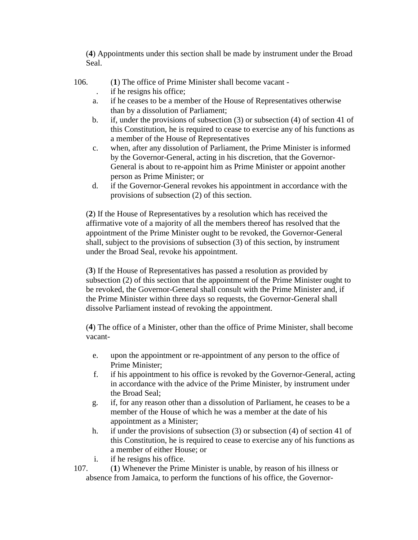(**4**) Appointments under this section shall be made by instrument under the Broad Seal.

| 106. | (1) The office of Prime Minister shall become vacant - |
|------|--------------------------------------------------------|
|      | if he resigns his office;                              |

- a. if he ceases to be a member of the House of Representatives otherwise than by a dissolution of Parliament;
- b. if, under the provisions of subsection (3) or subsection (4) of section 41 of this Constitution, he is required to cease to exercise any of his functions as a member of the House of Representatives
- c. when, after any dissolution of Parliament, the Prime Minister is informed by the Governor-General, acting in his discretion, that the Governor-General is about to re-appoint him as Prime Minister or appoint another person as Prime Minister; or
- d. if the Governor-General revokes his appointment in accordance with the provisions of subsection (2) of this section.

(**2**) If the House of Representatives by a resolution which has received the affirmative vote of a majority of all the members thereof has resolved that the appointment of the Prime Minister ought to be revoked, the Governor-General shall, subject to the provisions of subsection (3) of this section, by instrument under the Broad Seal, revoke his appointment.

(**3**) If the House of Representatives has passed a resolution as provided by subsection (2) of this section that the appointment of the Prime Minister ought to be revoked, the Governor-General shall consult with the Prime Minister and, if the Prime Minister within three days so requests, the Governor-General shall dissolve Parliament instead of revoking the appointment.

(**4**) The office of a Minister, other than the office of Prime Minister, shall become vacant-

- e. upon the appointment or re-appointment of any person to the office of Prime Minister;
- f. if his appointment to his office is revoked by the Governor-General, acting in accordance with the advice of the Prime Minister, by instrument under the Broad Seal;
- g. if, for any reason other than a dissolution of Parliament, he ceases to be a member of the House of which he was a member at the date of his appointment as a Minister;
- h. if under the provisions of subsection (3) or subsection (4) of section 41 of this Constitution, he is required to cease to exercise any of his functions as a member of either House; or
- i. if he resigns his office.
- 107. (**1**) Whenever the Prime Minister is unable, by reason of his illness or absence from Jamaica, to perform the functions of his office, the Governor-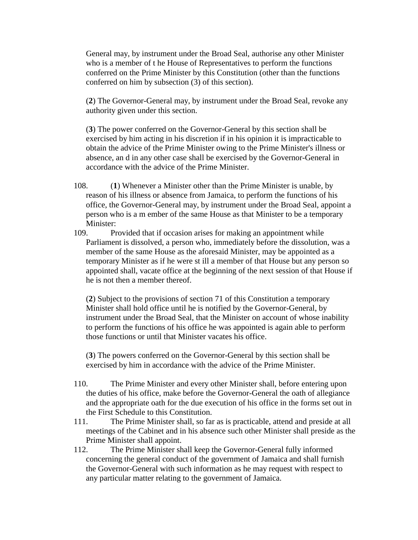General may, by instrument under the Broad Seal, authorise any other Minister who is a member of t he House of Representatives to perform the functions conferred on the Prime Minister by this Constitution (other than the functions conferred on him by subsection (3) of this section).

(**2**) The Governor-General may, by instrument under the Broad Seal, revoke any authority given under this section.

(**3**) The power conferred on the Governor-General by this section shall be exercised by him acting in his discretion if in his opinion it is impracticable to obtain the advice of the Prime Minister owing to the Prime Minister's illness or absence, an d in any other case shall be exercised by the Governor-General in accordance with the advice of the Prime Minister.

- 108. (**1**) Whenever a Minister other than the Prime Minister is unable, by reason of his illness or absence from Jamaica, to perform the functions of his office, the Governor-General may, by instrument under the Broad Seal, appoint a person who is a m ember of the same House as that Minister to be a temporary Minister:
- 109. Provided that if occasion arises for making an appointment while Parliament is dissolved, a person who, immediately before the dissolution, was a member of the same House as the aforesaid Minister, may be appointed as a temporary Minister as if he were st ill a member of that House but any person so appointed shall, vacate office at the beginning of the next session of that House if he is not then a member thereof.

(**2**) Subject to the provisions of section 71 of this Constitution a temporary Minister shall hold office until he is notified by the Governor-General, by instrument under the Broad Seal, that the Minister on account of whose inability to perform the functions of his office he was appointed is again able to perform those functions or until that Minister vacates his office.

(**3**) The powers conferred on the Governor-General by this section shall be exercised by him in accordance with the advice of the Prime Minister.

- 110. The Prime Minister and every other Minister shall, before entering upon the duties of his office, make before the Governor-General the oath of allegiance and the appropriate oath for the due execution of his office in the forms set out in the First Schedule to this Constitution.
- 111. The Prime Minister shall, so far as is practicable, attend and preside at all meetings of the Cabinet and in his absence such other Minister shall preside as the Prime Minister shall appoint.
- 112. The Prime Minister shall keep the Governor-General fully informed concerning the general conduct of the government of Jamaica and shall furnish the Governor-General with such information as he may request with respect to any particular matter relating to the government of Jamaica.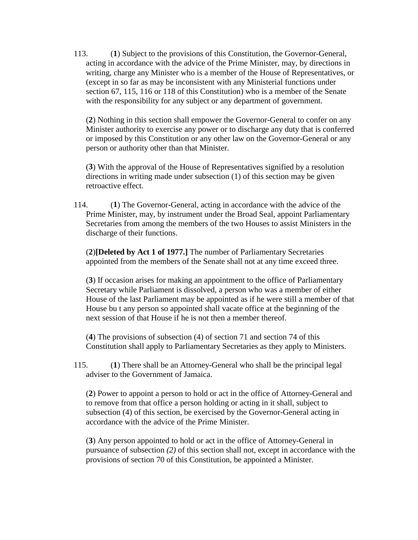113. (**1**) Subject to the provisions of this Constitution, the Governor-General, acting in accordance with the advice of the Prime Minister, may, by directions in writing, charge any Minister who is a member of the House of Representatives, or (except in so far as may be inconsistent with any Ministerial functions under section 67, 115, 116 or 118 of this Constitution) who is a member of the Senate with the responsibility for any subject or any department of government.

(**2**) Nothing in this section shall empower the Governor-General to confer on any Minister authority to exercise any power or to discharge any duty that is conferred or imposed by this Constitution or any other law on the Governor-General or any person or authority other than that Minister.

(**3**) With the approval of the House of Representatives signified by a resolution directions in writing made under subsection (1) of this section may be given retroactive effect.

114. (**1**) The Governor-General, acting in accordance with the advice of the Prime Minister, may, by instrument under the Broad Seal, appoint Parliamentary Secretaries from among the members of the two Houses to assist Ministers in the discharge of their functions.

(**2**)**[Deleted by Act 1 of 1977.]** The number of Parliamentary Secretaries appointed from the members of the Senate shall not at any time exceed three.

(**3**) If occasion arises for making an appointment to the office of Parliamentary Secretary while Parliament is dissolved, a person who was a member of either House of the last Parliament may be appointed as if he were still a member of that House bu t any person so appointed shall vacate office at the beginning of the next session of that House if he is not then a member thereof.

(**4**) The provisions of subsection (4) of section 71 and section 74 of this Constitution shall apply to Parliamentary Secretaries as they apply to Ministers.

115. (**1**) There shall be an Attorney-General who shall be the principal legal adviser to the Government of Jamaica.

(**2**) Power to appoint a person to hold or act in the office of Attorney-General and to remove from that office a person holding or acting in it shall, subject to subsection (4) of this section, be exercised by the Governor-General acting in accordance with the advice of the Prime Minister.

(**3**) Any person appointed to hold or act in the office of Attorney-General in pursuance of subsection *(2)* of this section shall not, except in accordance with the provisions of section 70 of this Constitution, be appointed a Minister.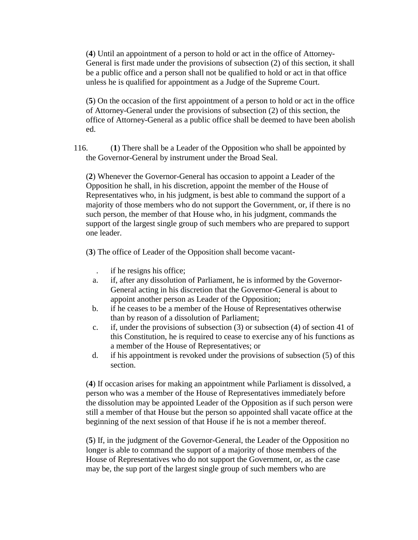(**4**) Until an appointment of a person to hold or act in the office of Attorney-General is first made under the provisions of subsection (2) of this section, it shall be a public office and a person shall not be qualified to hold or act in that office unless he is qualified for appointment as a Judge of the Supreme Court.

(**5**) On the occasion of the first appointment of a person to hold or act in the office of Attorney-General under the provisions of subsection (2) of this section, the office of Attorney-General as a public office shall be deemed to have been abolish ed.

116. (**1**) There shall be a Leader of the Opposition who shall be appointed by the Governor-General by instrument under the Broad Seal.

(**2**) Whenever the Governor-General has occasion to appoint a Leader of the Opposition he shall, in his discretion, appoint the member of the House of Representatives who, in his judgment, is best able to command the support of a majority of those members who do not support the Government, or, if there is no such person, the member of that House who, in his judgment, commands the support of the largest single group of such members who are prepared to support one leader.

(**3**) The office of Leader of the Opposition shall become vacant-

- . if he resigns his office;
- a. if, after any dissolution of Parliament, he is informed by the Governor-General acting in his discretion that the Governor-General is about to appoint another person as Leader of the Opposition;
- b. if he ceases to be a member of the House of Representatives otherwise than by reason of a dissolution of Parliament;
- c. if, under the provisions of subsection (3) or subsection (4) of section 41 of this Constitution, he is required to cease to exercise any of his functions as a member of the House of Representatives; or
- d. if his appointment is revoked under the provisions of subsection (5) of this section.

(**4**) If occasion arises for making an appointment while Parliament is dissolved, a person who was a member of the House of Representatives immediately before the dissolution may be appointed Leader of the Opposition as if such person were still a member of that House but the person so appointed shall vacate office at the beginning of the next session of that House if he is not a member thereof.

(**5**) If, in the judgment of the Governor-General, the Leader of the Opposition no longer is able to command the support of a majority of those members of the House of Representatives who do not support the Government, or, as the case may be, the sup port of the largest single group of such members who are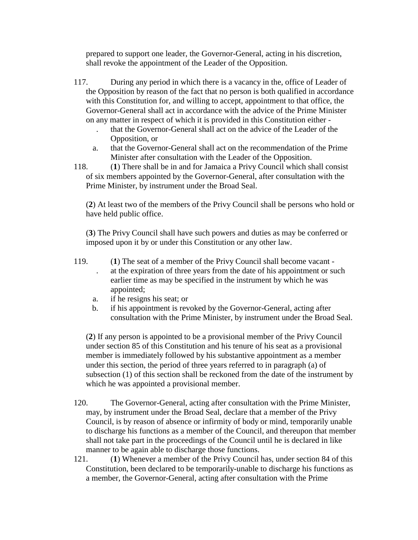prepared to support one leader, the Governor-General, acting in his discretion, shall revoke the appointment of the Leader of the Opposition.

- 117. During any period in which there is a vacancy in the, office of Leader of the Opposition by reason of the fact that no person is both qualified in accordance with this Constitution for, and willing to accept, appointment to that office, the Governor-General shall act in accordance with the advice of the Prime Minister on any matter in respect of which it is provided in this Constitution either -
	- . that the Governor-General shall act on the advice of the Leader of the Opposition, or
	- a. that the Governor-General shall act on the recommendation of the Prime Minister after consultation with the Leader of the Opposition.
- 118. (**1**) There shall be in and for Jamaica a Privy Council which shall consist of six members appointed by the Governor-General, after consultation with the Prime Minister, by instrument under the Broad Seal.

(**2**) At least two of the members of the Privy Council shall be persons who hold or have held public office.

(**3**) The Privy Council shall have such powers and duties as may be conferred or imposed upon it by or under this Constitution or any other law.

- 119. (**1**) The seat of a member of the Privy Council shall become vacant
	- . at the expiration of three years from the date of his appointment or such earlier time as may be specified in the instrument by which he was appointed;
	- a. if he resigns his seat; or
	- b. if his appointment is revoked by the Governor-General, acting after consultation with the Prime Minister, by instrument under the Broad Seal.

(**2**) If any person is appointed to be a provisional member of the Privy Council under section 85 of this Constitution and his tenure of his seat as a provisional member is immediately followed by his substantive appointment as a member under this section, the period of three years referred to in paragraph (a) of subsection (1) of this section shall be reckoned from the date of the instrument by which he was appointed a provisional member.

- 120. The Governor-General, acting after consultation with the Prime Minister, may, by instrument under the Broad Seal, declare that a member of the Privy Council, is by reason of absence or infirmity of body or mind, temporarily unable to discharge his functions as a member of the Council, and thereupon that member shall not take part in the proceedings of the Council until he is declared in like manner to be again able to discharge those functions.
- 121. (**1**) Whenever a member of the Privy Council has, under section 84 of this Constitution, been declared to be temporarily-unable to discharge his functions as a member, the Governor-General, acting after consultation with the Prime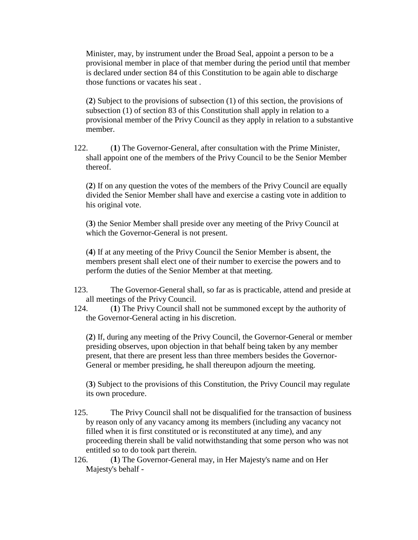Minister, may, by instrument under the Broad Seal, appoint a person to be a provisional member in place of that member during the period until that member is declared under section 84 of this Constitution to be again able to discharge those functions or vacates his seat .

(**2**) Subject to the provisions of subsection (1) of this section, the provisions of subsection (1) of section 83 of this Constitution shall apply in relation to a provisional member of the Privy Council as they apply in relation to a substantive member.

122. (**1**) The Governor-General, after consultation with the Prime Minister, shall appoint one of the members of the Privy Council to be the Senior Member thereof.

(**2**) If on any question the votes of the members of the Privy Council are equally divided the Senior Member shall have and exercise a casting vote in addition to his original vote.

(**3**) the Senior Member shall preside over any meeting of the Privy Council at which the Governor-General is not present.

(**4**) If at any meeting of the Privy Council the Senior Member is absent, the members present shall elect one of their number to exercise the powers and to perform the duties of the Senior Member at that meeting.

- 123. The Governor-General shall, so far as is practicable, attend and preside at all meetings of the Privy Council.
- 124. (**1**) The Privy Council shall not be summoned except by the authority of the Governor-General acting in his discretion.

(**2**) If, during any meeting of the Privy Council, the Governor-General or member presiding observes, upon objection in that behalf being taken by any member present, that there are present less than three members besides the Governor-General or member presiding, he shall thereupon adjourn the meeting.

(**3**) Subject to the provisions of this Constitution, the Privy Council may regulate its own procedure.

- 125. The Privy Council shall not be disqualified for the transaction of business by reason only of any vacancy among its members (including any vacancy not filled when it is first constituted or is reconstituted at any time), and any proceeding therein shall be valid notwithstanding that some person who was not entitled so to do took part therein.
- 126. (**1**) The Governor-General may, in Her Majesty's name and on Her Majesty's behalf -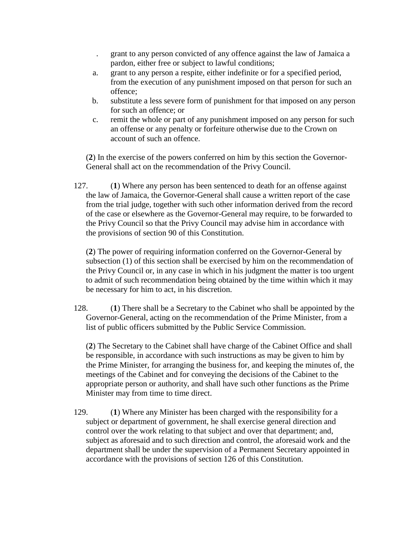- . grant to any person convicted of any offence against the law of Jamaica a pardon, either free or subject to lawful conditions;
- a. grant to any person a respite, either indefinite or for a specified period, from the execution of any punishment imposed on that person for such an offence;
- b. substitute a less severe form of punishment for that imposed on any person for such an offence; or
- c. remit the whole or part of any punishment imposed on any person for such an offense or any penalty or forfeiture otherwise due to the Crown on account of such an offence.

(**2**) In the exercise of the powers conferred on him by this section the Governor-General shall act on the recommendation of the Privy Council.

127. (**1**) Where any person has been sentenced to death for an offense against the law of Jamaica, the Governor-General shall cause a written report of the case from the trial judge, together with such other information derived from the record of the case or elsewhere as the Governor-General may require, to be forwarded to the Privy Council so that the Privy Council may advise him in accordance with the provisions of section 90 of this Constitution.

(**2**) The power of requiring information conferred on the Governor-General by subsection (1) of this section shall be exercised by him on the recommendation of the Privy Council or, in any case in which in his judgment the matter is too urgent to admit of such recommendation being obtained by the time within which it may be necessary for him to act, in his discretion.

128. (**1**) There shall be a Secretary to the Cabinet who shall be appointed by the Governor-General, acting on the recommendation of the Prime Minister, from a list of public officers submitted by the Public Service Commission.

(**2**) The Secretary to the Cabinet shall have charge of the Cabinet Office and shall be responsible, in accordance with such instructions as may be given to him by the Prime Minister, for arranging the business for, and keeping the minutes of, the meetings of the Cabinet and for conveying the decisions of the Cabinet to the appropriate person or authority, and shall have such other functions as the Prime Minister may from time to time direct.

129. (**1**) Where any Minister has been charged with the responsibility for a subject or department of government, he shall exercise general direction and control over the work relating to that subject and over that department; and, subject as aforesaid and to such direction and control, the aforesaid work and the department shall be under the supervision of a Permanent Secretary appointed in accordance with the provisions of section 126 of this Constitution.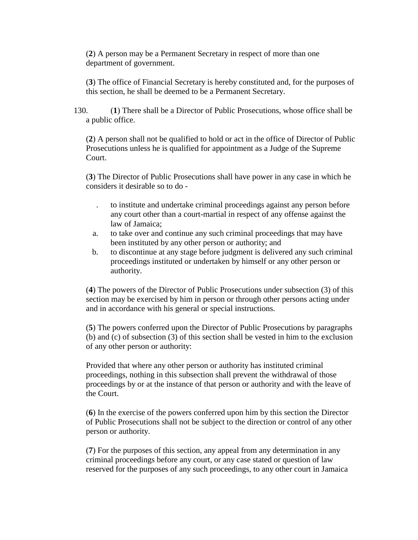(**2**) A person may be a Permanent Secretary in respect of more than one department of government.

(**3**) The office of Financial Secretary is hereby constituted and, for the purposes of this section, he shall be deemed to be a Permanent Secretary.

130. (**1**) There shall be a Director of Public Prosecutions, whose office shall be a public office.

(**2**) A person shall not be qualified to hold or act in the office of Director of Public Prosecutions unless he is qualified for appointment as a Judge of the Supreme Court.

(**3**) The Director of Public Prosecutions shall have power in any case in which he considers it desirable so to do -

- . to institute and undertake criminal proceedings against any person before any court other than a court-martial in respect of any offense against the law of Jamaica;
- a. to take over and continue any such criminal proceedings that may have been instituted by any other person or authority; and
- b. to discontinue at any stage before judgment is delivered any such criminal proceedings instituted or undertaken by himself or any other person or authority.

(**4**) The powers of the Director of Public Prosecutions under subsection (3) of this section may be exercised by him in person or through other persons acting under and in accordance with his general or special instructions.

(**5**) The powers conferred upon the Director of Public Prosecutions by paragraphs (b) and (c) of subsection (3) of this section shall be vested in him to the exclusion of any other person or authority:

Provided that where any other person or authority has instituted criminal proceedings, nothing in this subsection shall prevent the withdrawal of those proceedings by or at the instance of that person or authority and with the leave of the Court.

(**6**) In the exercise of the powers conferred upon him by this section the Director of Public Prosecutions shall not be subject to the direction or control of any other person or authority.

(**7**) For the purposes of this section, any appeal from any determination in any criminal proceedings before any court, or any case stated or question of law reserved for the purposes of any such proceedings, to any other court in Jamaica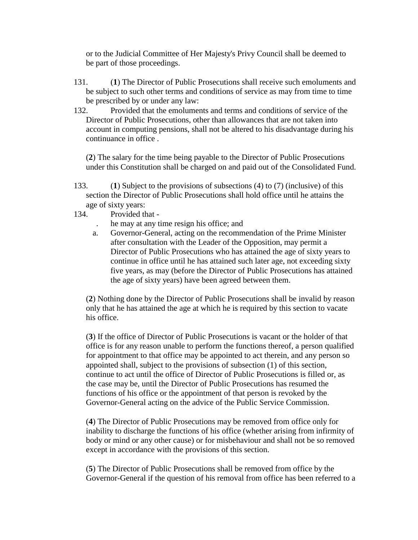or to the Judicial Committee of Her Majesty's Privy Council shall be deemed to be part of those proceedings.

- 131. (**1**) The Director of Public Prosecutions shall receive such emoluments and be subject to such other terms and conditions of service as may from time to time be prescribed by or under any law:
- 132. Provided that the emoluments and terms and conditions of service of the Director of Public Prosecutions, other than allowances that are not taken into account in computing pensions, shall not be altered to his disadvantage during his continuance in office .

(**2**) The salary for the time being payable to the Director of Public Prosecutions under this Constitution shall be charged on and paid out of the Consolidated Fund.

- 133. (**1**) Subject to the provisions of subsections (4) to (7) (inclusive) of this section the Director of Public Prosecutions shall hold office until he attains the age of sixty years:
- 134. Provided that
	- . he may at any time resign his office; and
	- a. Governor-General, acting on the recommendation of the Prime Minister after consultation with the Leader of the Opposition, may permit a Director of Public Prosecutions who has attained the age of sixty years to continue in office until he has attained such later age, not exceeding sixty five years, as may (before the Director of Public Prosecutions has attained the age of sixty years) have been agreed between them.

(**2**) Nothing done by the Director of Public Prosecutions shall be invalid by reason only that he has attained the age at which he is required by this section to vacate his office.

(**3**) If the office of Director of Public Prosecutions is vacant or the holder of that office is for any reason unable to perform the functions thereof, a person qualified for appointment to that office may be appointed to act therein, and any person so appointed shall, subject to the provisions of subsection (1) of this section, continue to act until the office of Director of Public Prosecutions is filled or, as the case may be, until the Director of Public Prosecutions has resumed the functions of his office or the appointment of that person is revoked by the Governor-General acting on the advice of the Public Service Commission.

(**4**) The Director of Public Prosecutions may be removed from office only for inability to discharge the functions of his office (whether arising from infirmity of body or mind or any other cause) or for misbehaviour and shall not be so removed except in accordance with the provisions of this section.

(**5**) The Director of Public Prosecutions shall be removed from office by the Governor-General if the question of his removal from office has been referred to a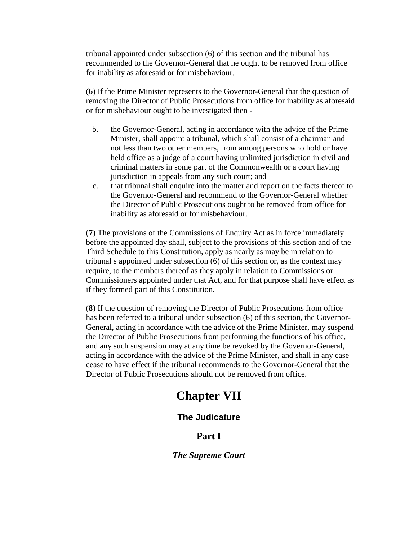tribunal appointed under subsection (6) of this section and the tribunal has recommended to the Governor-General that he ought to be removed from office for inability as aforesaid or for misbehaviour.

(**6**) If the Prime Minister represents to the Governor-General that the question of removing the Director of Public Prosecutions from office for inability as aforesaid or for misbehaviour ought to be investigated then -

- b. the Governor-General, acting in accordance with the advice of the Prime Minister, shall appoint a tribunal, which shall consist of a chairman and not less than two other members, from among persons who hold or have held office as a judge of a court having unlimited jurisdiction in civil and criminal matters in some part of the Commonwealth or a court having jurisdiction in appeals from any such court; and
- c. that tribunal shall enquire into the matter and report on the facts thereof to the Governor-General and recommend to the Governor-General whether the Director of Public Prosecutions ought to be removed from office for inability as aforesaid or for misbehaviour.

(**7**) The provisions of the Commissions of Enquiry Act as in force immediately before the appointed day shall, subject to the provisions of this section and of the Third Schedule to this Constitution, apply as nearly as may be in relation to tribunal s appointed under subsection (6) of this section or, as the context may require, to the members thereof as they apply in relation to Commissions or Commissioners appointed under that Act, and for that purpose shall have effect as if they formed part of this Constitution.

(**8**) If the question of removing the Director of Public Prosecutions from office has been referred to a tribunal under subsection (6) of this section, the Governor-General, acting in accordance with the advice of the Prime Minister, may suspend the Director of Public Prosecutions from performing the functions of his office, and any such suspension may at any time be revoked by the Governor-General, acting in accordance with the advice of the Prime Minister, and shall in any case cease to have effect if the tribunal recommends to the Governor-General that the Director of Public Prosecutions should not be removed from office.

# **Chapter VII**

# **The Judicature**

## **Part I**

*The Supreme Court*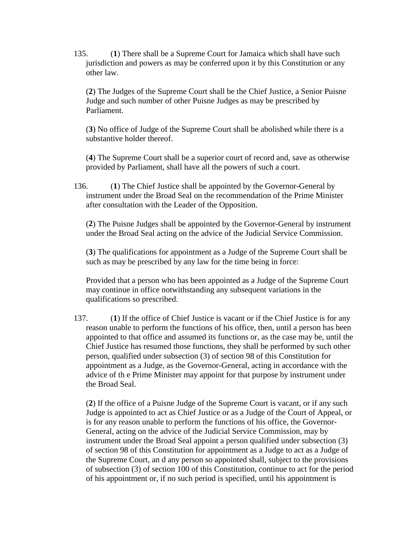135. (**1**) There shall be a Supreme Court for Jamaica which shall have such jurisdiction and powers as may be conferred upon it by this Constitution or any other law.

(**2**) The Judges of the Supreme Court shall be the Chief Justice, a Senior Puisne Judge and such number of other Puisne Judges as may be prescribed by Parliament.

(**3**) No office of Judge of the Supreme Court shall be abolished while there is a substantive holder thereof.

(**4**) The Supreme Court shall be a superior court of record and, save as otherwise provided by Parliament, shall have all the powers of such a court.

136. (**1**) The Chief Justice shall be appointed by the Governor-General by instrument under the Broad Seal on the recommendation of the Prime Minister after consultation with the Leader of the Opposition.

(**2**) The Puisne Judges shall be appointed by the Governor-General by instrument under the Broad Seal acting on the advice of the Judicial Service Commission.

(**3**) The qualifications for appointment as a Judge of the Supreme Court shall be such as may be prescribed by any law for the time being in force:

Provided that a person who has been appointed as a Judge of the Supreme Court may continue in office notwithstanding any subsequent variations in the qualifications so prescribed.

137. (**1**) If the office of Chief Justice is vacant or if the Chief Justice is for any reason unable to perform the functions of his office, then, until a person has been appointed to that office and assumed its functions or, as the case may be, until the Chief Justice has resumed those functions, they shall be performed by such other person, qualified under subsection (3) of section 98 of this Constitution for appointment as a Judge, as the Governor-General, acting in accordance with the advice of th e Prime Minister may appoint for that purpose by instrument under the Broad Seal.

(**2**) If the office of a Puisne Judge of the Supreme Court is vacant, or if any such Judge is appointed to act as Chief Justice or as a Judge of the Court of Appeal, or is for any reason unable to perform the functions of his office, the Governor-General, acting on the advice of the Judicial Service Commission, may by instrument under the Broad Seal appoint a person qualified under subsection (3) of section 98 of this Constitution for appointment as a Judge to act as a Judge of the Supreme Court, an d any person so appointed shall, subject to the provisions of subsection (3) of section 100 of this Constitution, continue to act for the period of his appointment or, if no such period is specified, until his appointment is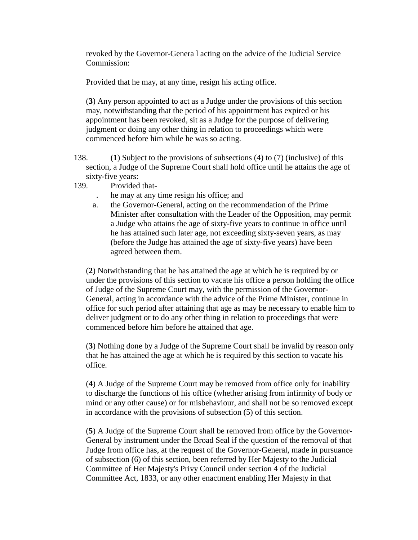revoked by the Governor-Genera l acting on the advice of the Judicial Service Commission:

Provided that he may, at any time, resign his acting office.

(**3**) Any person appointed to act as a Judge under the provisions of this section may, notwithstanding that the period of his appointment has expired or his appointment has been revoked, sit as a Judge for the purpose of delivering judgment or doing any other thing in relation to proceedings which were commenced before him while he was so acting.

- 138. (**1**) Subject to the provisions of subsections (4) to (7) (inclusive) of this section, a Judge of the Supreme Court shall hold office until he attains the age of sixty-five years:
- 139. Provided that-
	- . he may at any time resign his office; and
	- a. the Governor-General, acting on the recommendation of the Prime Minister after consultation with the Leader of the Opposition, may permit a Judge who attains the age of sixty-five years to continue in office until he has attained such later age, not exceeding sixty-seven years, as may (before the Judge has attained the age of sixty-five years) have been agreed between them.

(**2**) Notwithstanding that he has attained the age at which he is required by or under the provisions of this section to vacate his office a person holding the office of Judge of the Supreme Court may, with the permission of the Governor-General, acting in accordance with the advice of the Prime Minister, continue in office for such period after attaining that age as may be necessary to enable him to deliver judgment or to do any other thing in relation to proceedings that were commenced before him before he attained that age.

(**3**) Nothing done by a Judge of the Supreme Court shall be invalid by reason only that he has attained the age at which he is required by this section to vacate his office.

(**4**) A Judge of the Supreme Court may be removed from office only for inability to discharge the functions of his office (whether arising from infirmity of body or mind or any other cause) or for misbehaviour, and shall not be so removed except in accordance with the provisions of subsection (5) of this section.

(**5**) A Judge of the Supreme Court shall be removed from office by the Governor-General by instrument under the Broad Seal if the question of the removal of that Judge from office has, at the request of the Governor-General, made in pursuance of subsection (6) of this section, been referred by Her Majesty to the Judicial Committee of Her Majesty's Privy Council under section 4 of the Judicial Committee Act, 1833, or any other enactment enabling Her Majesty in that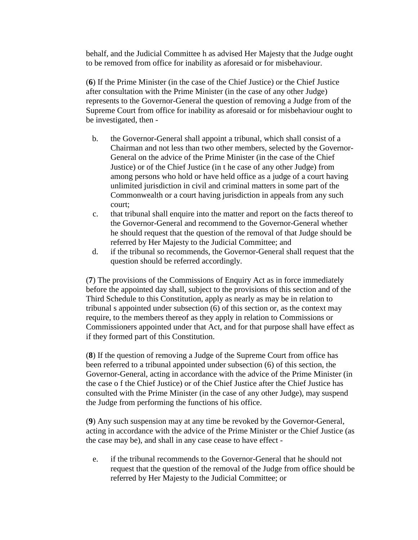behalf, and the Judicial Committee h as advised Her Majesty that the Judge ought to be removed from office for inability as aforesaid or for misbehaviour.

(**6**) If the Prime Minister (in the case of the Chief Justice) or the Chief Justice after consultation with the Prime Minister (in the case of any other Judge) represents to the Governor-General the question of removing a Judge from of the Supreme Court from office for inability as aforesaid or for misbehaviour ought to be investigated, then -

- b. the Governor-General shall appoint a tribunal, which shall consist of a Chairman and not less than two other members, selected by the Governor-General on the advice of the Prime Minister (in the case of the Chief Justice) or of the Chief Justice (in t he case of any other Judge) from among persons who hold or have held office as a judge of a court having unlimited jurisdiction in civil and criminal matters in some part of the Commonwealth or a court having jurisdiction in appeals from any such court;
- c. that tribunal shall enquire into the matter and report on the facts thereof to the Governor-General and recommend to the Governor-General whether he should request that the question of the removal of that Judge should be referred by Her Majesty to the Judicial Committee; and
- d. if the tribunal so recommends, the Governor-General shall request that the question should be referred accordingly.

(**7**) The provisions of the Commissions of Enquiry Act as in force immediately before the appointed day shall, subject to the provisions of this section and of the Third Schedule to this Constitution, apply as nearly as may be in relation to tribunal s appointed under subsection (6) of this section or, as the context may require, to the members thereof as they apply in relation to Commissions or Commissioners appointed under that Act, and for that purpose shall have effect as if they formed part of this Constitution.

(**8**) If the question of removing a Judge of the Supreme Court from office has been referred to a tribunal appointed under subsection (6) of this section, the Governor-General, acting in accordance with the advice of the Prime Minister (in the case o f the Chief Justice) or of the Chief Justice after the Chief Justice has consulted with the Prime Minister (in the case of any other Judge), may suspend the Judge from performing the functions of his office.

(**9**) Any such suspension may at any time be revoked by the Governor-General, acting in accordance with the advice of the Prime Minister or the Chief Justice (as the case may be), and shall in any case cease to have effect -

e. if the tribunal recommends to the Governor-General that he should not request that the question of the removal of the Judge from office should be referred by Her Majesty to the Judicial Committee; or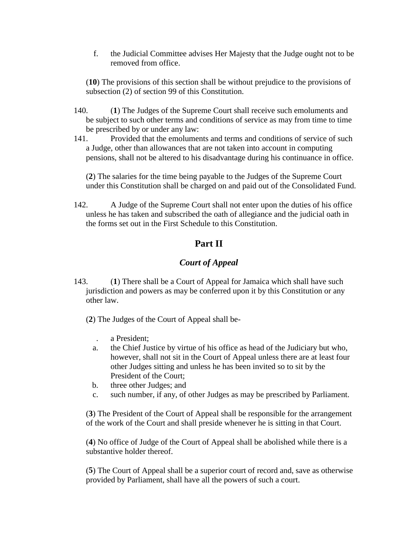f. the Judicial Committee advises Her Majesty that the Judge ought not to be removed from office.

(**10**) The provisions of this section shall be without prejudice to the provisions of subsection (2) of section 99 of this Constitution.

- 140. (**1**) The Judges of the Supreme Court shall receive such emoluments and be subject to such other terms and conditions of service as may from time to time be prescribed by or under any law:
- 141. Provided that the emoluments and terms and conditions of service of such a Judge, other than allowances that are not taken into account in computing pensions, shall not be altered to his disadvantage during his continuance in office.

(**2**) The salaries for the time being payable to the Judges of the Supreme Court under this Constitution shall be charged on and paid out of the Consolidated Fund.

142. A Judge of the Supreme Court shall not enter upon the duties of his office unless he has taken and subscribed the oath of allegiance and the judicial oath in the forms set out in the First Schedule to this Constitution.

# **Part II**

# *Court of Appeal*

143. (**1**) There shall be a Court of Appeal for Jamaica which shall have such jurisdiction and powers as may be conferred upon it by this Constitution or any other law.

(**2**) The Judges of the Court of Appeal shall be-

- . a President;
- a. the Chief Justice by virtue of his office as head of the Judiciary but who, however, shall not sit in the Court of Appeal unless there are at least four other Judges sitting and unless he has been invited so to sit by the President of the Court;
- b. three other Judges; and
- c. such number, if any, of other Judges as may be prescribed by Parliament.

(**3**) The President of the Court of Appeal shall be responsible for the arrangement of the work of the Court and shall preside whenever he is sitting in that Court.

(**4**) No office of Judge of the Court of Appeal shall be abolished while there is a substantive holder thereof.

(**5**) The Court of Appeal shall be a superior court of record and, save as otherwise provided by Parliament, shall have all the powers of such a court.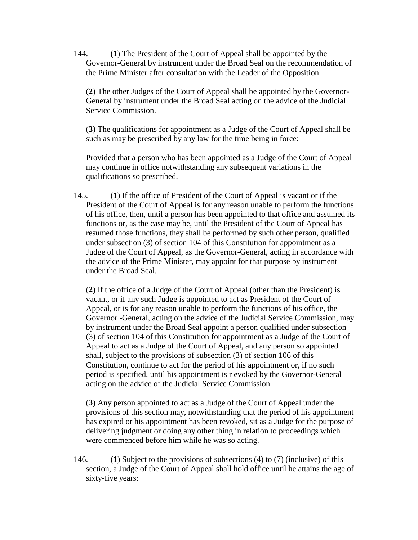144. (**1**) The President of the Court of Appeal shall be appointed by the Governor-General by instrument under the Broad Seal on the recommendation of the Prime Minister after consultation with the Leader of the Opposition.

(**2**) The other Judges of the Court of Appeal shall be appointed by the Governor-General by instrument under the Broad Seal acting on the advice of the Judicial Service Commission.

(**3**) The qualifications for appointment as a Judge of the Court of Appeal shall be such as may be prescribed by any law for the time being in force:

Provided that a person who has been appointed as a Judge of the Court of Appeal may continue in office notwithstanding any subsequent variations in the qualifications so prescribed.

145. (**1**) If the office of President of the Court of Appeal is vacant or if the President of the Court of Appeal is for any reason unable to perform the functions of his office, then, until a person has been appointed to that office and assumed its functions or, as the case may be, until the President of the Court of Appeal has resumed those functions, they shall be performed by such other person, qualified under subsection (3) of section 104 of this Constitution for appointment as a Judge of the Court of Appeal, as the Governor-General, acting in accordance with the advice of the Prime Minister, may appoint for that purpose by instrument under the Broad Seal.

(**2**) If the office of a Judge of the Court of Appeal (other than the President) is vacant, or if any such Judge is appointed to act as President of the Court of Appeal, or is for any reason unable to perform the functions of his office, the Governor -General, acting on the advice of the Judicial Service Commission, may by instrument under the Broad Seal appoint a person qualified under subsection (3) of section 104 of this Constitution for appointment as a Judge of the Court of Appeal to act as a Judge of the Court of Appeal, and any person so appointed shall, subject to the provisions of subsection (3) of section 106 of this Constitution, continue to act for the period of his appointment or, if no such period is specified, until his appointment is r evoked by the Governor-General acting on the advice of the Judicial Service Commission.

(**3**) Any person appointed to act as a Judge of the Court of Appeal under the provisions of this section may, notwithstanding that the period of his appointment has expired or his appointment has been revoked, sit as a Judge for the purpose of delivering judgment or doing any other thing in relation to proceedings which were commenced before him while he was so acting.

146. (**1**) Subject to the provisions of subsections (4) to (7) (inclusive) of this section, a Judge of the Court of Appeal shall hold office until he attains the age of sixty-five years: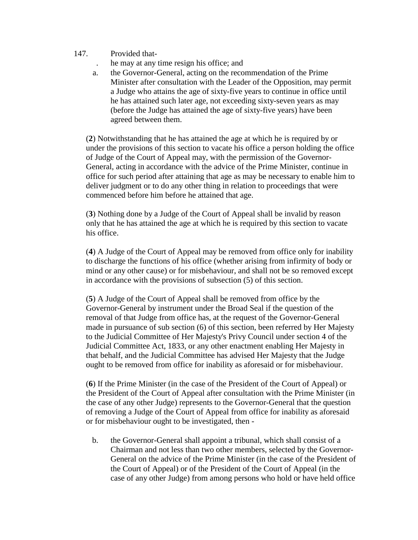147. Provided that-

. he may at any time resign his office; and

a. the Governor-General, acting on the recommendation of the Prime Minister after consultation with the Leader of the Opposition, may permit a Judge who attains the age of sixty-five years to continue in office until he has attained such later age, not exceeding sixty-seven years as may (before the Judge has attained the age of sixty-five years) have been agreed between them.

(**2**) Notwithstanding that he has attained the age at which he is required by or under the provisions of this section to vacate his office a person holding the office of Judge of the Court of Appeal may, with the permission of the Governor-General, acting in accordance with the advice of the Prime Minister, continue in office for such period after attaining that age as may be necessary to enable him to deliver judgment or to do any other thing in relation to proceedings that were commenced before him before he attained that age.

(**3**) Nothing done by a Judge of the Court of Appeal shall be invalid by reason only that he has attained the age at which he is required by this section to vacate his office.

(**4**) A Judge of the Court of Appeal may be removed from office only for inability to discharge the functions of his office (whether arising from infirmity of body or mind or any other cause) or for misbehaviour, and shall not be so removed except in accordance with the provisions of subsection (5) of this section.

(**5**) A Judge of the Court of Appeal shall be removed from office by the Governor-General by instrument under the Broad Seal if the question of the removal of that Judge from office has, at the request of the Governor-General made in pursuance of sub section (6) of this section, been referred by Her Majesty to the Judicial Committee of Her Majesty's Privy Council under section 4 of the Judicial Committee Act, 1833, or any other enactment enabling Her Majesty in that behalf, and the Judicial Committee has advised Her Majesty that the Judge ought to be removed from office for inability as aforesaid or for misbehaviour.

(**6**) If the Prime Minister (in the case of the President of the Court of Appeal) or the President of the Court of Appeal after consultation with the Prime Minister (in the case of any other Judge) represents to the Governor-General that the question of removing a Judge of the Court of Appeal from office for inability as aforesaid or for misbehaviour ought to be investigated, then -

b. the Governor-General shall appoint a tribunal, which shall consist of a Chairman and not less than two other members, selected by the Governor-General on the advice of the Prime Minister (in the case of the President of the Court of Appeal) or of the President of the Court of Appeal (in the case of any other Judge) from among persons who hold or have held office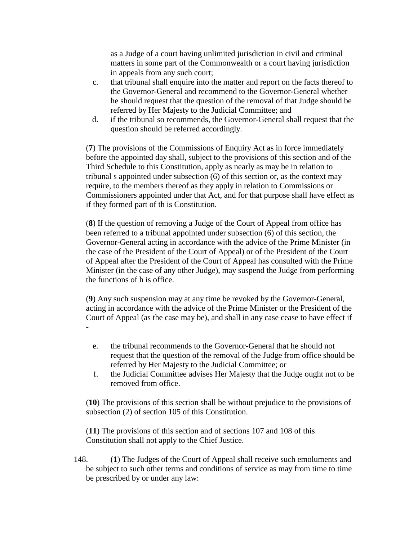as a Judge of a court having unlimited jurisdiction in civil and criminal matters in some part of the Commonwealth or a court having jurisdiction in appeals from any such court;

- c. that tribunal shall enquire into the matter and report on the facts thereof to the Governor-General and recommend to the Governor-General whether he should request that the question of the removal of that Judge should be referred by Her Majesty to the Judicial Committee; and
- d. if the tribunal so recommends, the Governor-General shall request that the question should be referred accordingly.

(**7**) The provisions of the Commissions of Enquiry Act as in force immediately before the appointed day shall, subject to the provisions of this section and of the Third Schedule to this Constitution, apply as nearly as may be in relation to tribunal s appointed under subsection (6) of this section or, as the context may require, to the members thereof as they apply in relation to Commissions or Commissioners appointed under that Act, and for that purpose shall have effect as if they formed part of th is Constitution.

(**8**) If the question of removing a Judge of the Court of Appeal from office has been referred to a tribunal appointed under subsection (6) of this section, the Governor-General acting in accordance with the advice of the Prime Minister (in the case of the President of the Court of Appeal) or of the President of the Court of Appeal after the President of the Court of Appeal has consulted with the Prime Minister (in the case of any other Judge), may suspend the Judge from performing the functions of h is office.

(**9**) Any such suspension may at any time be revoked by the Governor-General, acting in accordance with the advice of the Prime Minister or the President of the Court of Appeal (as the case may be), and shall in any case cease to have effect if -

- e. the tribunal recommends to the Governor-General that he should not request that the question of the removal of the Judge from office should be referred by Her Majesty to the Judicial Committee; or
- f. the Judicial Committee advises Her Majesty that the Judge ought not to be removed from office.

(**10**) The provisions of this section shall be without prejudice to the provisions of subsection (2) of section 105 of this Constitution.

(**11**) The provisions of this section and of sections 107 and 108 of this Constitution shall not apply to the Chief Justice.

148. (**1**) The Judges of the Court of Appeal shall receive such emoluments and be subject to such other terms and conditions of service as may from time to time be prescribed by or under any law: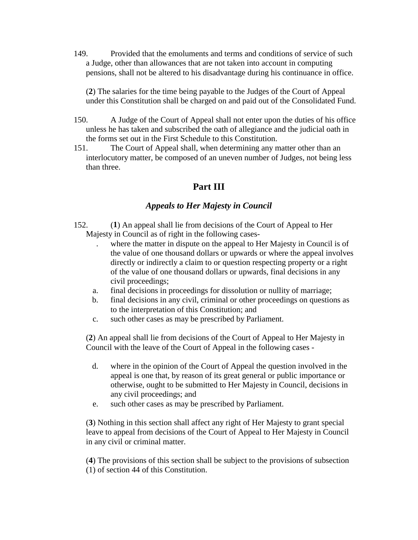149. Provided that the emoluments and terms and conditions of service of such a Judge, other than allowances that are not taken into account in computing pensions, shall not be altered to his disadvantage during his continuance in office.

(**2**) The salaries for the time being payable to the Judges of the Court of Appeal under this Constitution shall be charged on and paid out of the Consolidated Fund.

- 150. A Judge of the Court of Appeal shall not enter upon the duties of his office unless he has taken and subscribed the oath of allegiance and the judicial oath in the forms set out in the First Schedule to this Constitution.
- 151. The Court of Appeal shall, when determining any matter other than an interlocutory matter, be composed of an uneven number of Judges, not being less than three.

### **Part III**

#### *Appeals to Her Majesty in Council*

152. (**1**) An appeal shall lie from decisions of the Court of Appeal to Her Majesty in Council as of right in the following cases-

- . where the matter in dispute on the appeal to Her Majesty in Council is of the value of one thousand dollars or upwards or where the appeal involves directly or indirectly a claim to or question respecting property or a right of the value of one thousand dollars or upwards, final decisions in any civil proceedings;
- a. final decisions in proceedings for dissolution or nullity of marriage;
- b. final decisions in any civil, criminal or other proceedings on questions as to the interpretation of this Constitution; and
- c. such other cases as may be prescribed by Parliament.

(**2**) An appeal shall lie from decisions of the Court of Appeal to Her Majesty in Council with the leave of the Court of Appeal in the following cases -

- d. where in the opinion of the Court of Appeal the question involved in the appeal is one that, by reason of its great general or public importance or otherwise, ought to be submitted to Her Majesty in Council, decisions in any civil proceedings; and
- e. such other cases as may be prescribed by Parliament.

(**3**) Nothing in this section shall affect any right of Her Majesty to grant special leave to appeal from decisions of the Court of Appeal to Her Majesty in Council in any civil or criminal matter.

(**4**) The provisions of this section shall be subject to the provisions of subsection (1) of section 44 of this Constitution.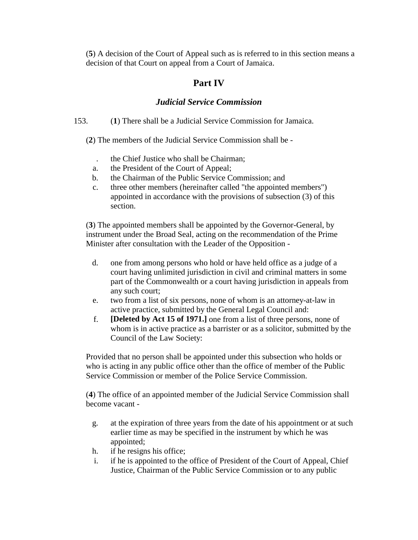(**5**) A decision of the Court of Appeal such as is referred to in this section means a decision of that Court on appeal from a Court of Jamaica.

### **Part IV**

### *Judicial Service Commission*

153. (**1**) There shall be a Judicial Service Commission for Jamaica.

(**2**) The members of the Judicial Service Commission shall be -

- . the Chief Justice who shall be Chairman;
- a. the President of the Court of Appeal;
- b. the Chairman of the Public Service Commission; and
- c. three other members (hereinafter called "the appointed members") appointed in accordance with the provisions of subsection (3) of this section.

(**3**) The appointed members shall be appointed by the Governor-General, by instrument under the Broad Seal, acting on the recommendation of the Prime Minister after consultation with the Leader of the Opposition -

- d. one from among persons who hold or have held office as a judge of a court having unlimited jurisdiction in civil and criminal matters in some part of the Commonwealth or a court having jurisdiction in appeals from any such court;
- e. two from a list of six persons, none of whom is an attorney-at-law in active practice, submitted by the General Legal Council and:
- f. **[Deleted by Act 15 of 1971.]** one from a list of three persons, none of whom is in active practice as a barrister or as a solicitor, submitted by the Council of the Law Society:

Provided that no person shall be appointed under this subsection who holds or who is acting in any public office other than the office of member of the Public Service Commission or member of the Police Service Commission.

(**4**) The office of an appointed member of the Judicial Service Commission shall become vacant -

- g. at the expiration of three years from the date of his appointment or at such earlier time as may be specified in the instrument by which he was appointed;
- h. if he resigns his office;
- i. if he is appointed to the office of President of the Court of Appeal, Chief Justice, Chairman of the Public Service Commission or to any public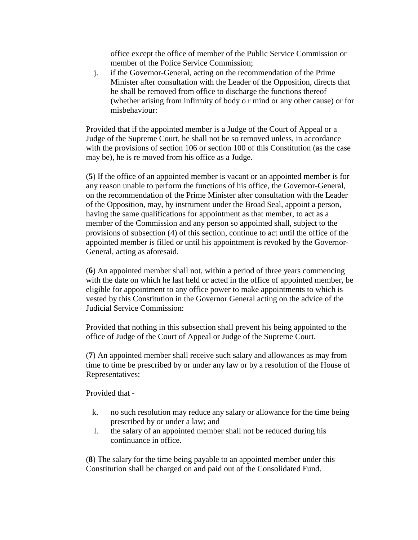office except the office of member of the Public Service Commission or member of the Police Service Commission;

j. if the Governor-General, acting on the recommendation of the Prime Minister after consultation with the Leader of the Opposition, directs that he shall be removed from office to discharge the functions thereof (whether arising from infirmity of body o r mind or any other cause) or for misbehaviour:

Provided that if the appointed member is a Judge of the Court of Appeal or a Judge of the Supreme Court, he shall not be so removed unless, in accordance with the provisions of section 106 or section 100 of this Constitution (as the case may be), he is re moved from his office as a Judge.

(**5**) If the office of an appointed member is vacant or an appointed member is for any reason unable to perform the functions of his office, the Governor-General, on the recommendation of the Prime Minister after consultation with the Leader of the Opposition, may, by instrument under the Broad Seal, appoint a person, having the same qualifications for appointment as that member, to act as a member of the Commission and any person so appointed shall, subject to the provisions of subsection (4) of this section, continue to act until the office of the appointed member is filled or until his appointment is revoked by the Governor-General, acting as aforesaid.

(**6**) An appointed member shall not, within a period of three years commencing with the date on which he last held or acted in the office of appointed member, be eligible for appointment to any office power to make appointments to which is vested by this Constitution in the Governor General acting on the advice of the Judicial Service Commission:

Provided that nothing in this subsection shall prevent his being appointed to the office of Judge of the Court of Appeal or Judge of the Supreme Court.

(**7**) An appointed member shall receive such salary and allowances as may from time to time be prescribed by or under any law or by a resolution of the House of Representatives:

Provided that -

- k. no such resolution may reduce any salary or allowance for the time being prescribed by or under a law; and
- l. the salary of an appointed member shall not be reduced during his continuance in office.

(**8**) The salary for the time being payable to an appointed member under this Constitution shall be charged on and paid out of the Consolidated Fund.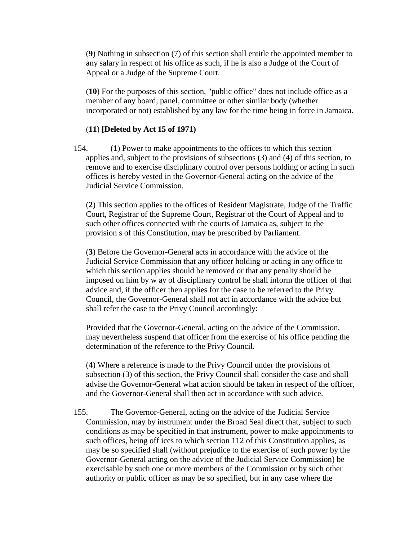(**9**) Nothing in subsection (7) of this section shall entitle the appointed member to any salary in respect of his office as such, if he is also a Judge of the Court of Appeal or a Judge of the Supreme Court.

(**10**) For the purposes of this section, "public office" does not include office as a member of any board, panel, committee or other similar body (whether incorporated or not) established by any law for the time being in force in Jamaica.

#### (**11**) **[Deleted by Act 15 of 1971)**

154. (**1**) Power to make appointments to the offices to which this section applies and, subject to the provisions of subsections (3) and (4) of this section, to remove and to exercise disciplinary control over persons holding or acting in such offices is hereby vested in the Governor-General acting on the advice of the Judicial Service Commission.

(**2**) This section applies to the offices of Resident Magistrate, Judge of the Traffic Court, Registrar of the Supreme Court, Registrar of the Court of Appeal and to such other offices connected with the courts of Jamaica as, subject to the provision s of this Constitution, may be prescribed by Parliament.

(**3**) Before the Governor-General acts in accordance with the advice of the Judicial Service Commission that any officer holding or acting in any office to which this section applies should be removed or that any penalty should be imposed on him by w ay of disciplinary control he shall inform the officer of that advice and, if the officer then applies for the case to be referred to the Privy Council, the Governor-General shall not act in accordance with the advice but shall refer the case to the Privy Council accordingly:

Provided that the Governor-General, acting on the advice of the Commission, may nevertheless suspend that officer from the exercise of his office pending the determination of the reference to the Privy Council.

(**4**) Where a reference is made to the Privy Council under the provisions of subsection (3) of this section, the Privy Council shall consider the case and shall advise the Governor-General what action should be taken in respect of the officer, and the Governor-General shall then act in accordance with such advice.

155. The Governor-General, acting on the advice of the Judicial Service Commission, may by instrument under the Broad Seal direct that, subject to such conditions as may be specified in that instrument, power to make appointments to such offices, being off ices to which section 112 of this Constitution applies, as may be so specified shall (without prejudice to the exercise of such power by the Governor-General acting on the advice of the Judicial Service Commission) be exercisable by such one or more members of the Commission or by such other authority or public officer as may be so specified, but in any case where the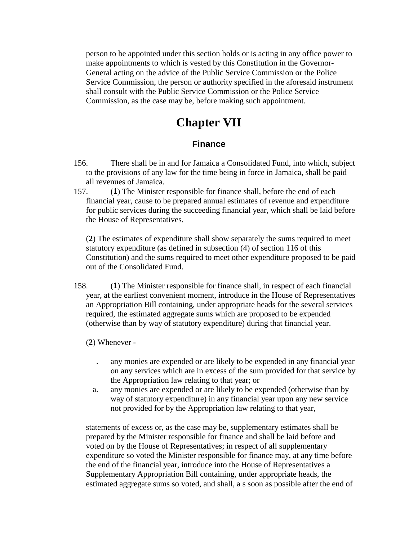person to be appointed under this section holds or is acting in any office power to make appointments to which is vested by this Constitution in the Governor-General acting on the advice of the Public Service Commission or the Police Service Commission, the person or authority specified in the aforesaid instrument shall consult with the Public Service Commission or the Police Service Commission, as the case may be, before making such appointment.

## **Chapter VII**

### **Finance**

- 156. There shall be in and for Jamaica a Consolidated Fund, into which, subject to the provisions of any law for the time being in force in Jamaica, shall be paid all revenues of Jamaica.
- 157. (**1**) The Minister responsible for finance shall, before the end of each financial year, cause to be prepared annual estimates of revenue and expenditure for public services during the succeeding financial year, which shall be laid before the House of Representatives.

(**2**) The estimates of expenditure shall show separately the sums required to meet statutory expenditure (as defined in subsection (4) of section 116 of this Constitution) and the sums required to meet other expenditure proposed to be paid out of the Consolidated Fund.

158. (**1**) The Minister responsible for finance shall, in respect of each financial year, at the earliest convenient moment, introduce in the House of Representatives an Appropriation Bill containing, under appropriate heads for the several services required, the estimated aggregate sums which are proposed to be expended (otherwise than by way of statutory expenditure) during that financial year.

(**2**) Whenever -

- . any monies are expended or are likely to be expended in any financial year on any services which are in excess of the sum provided for that service by the Appropriation law relating to that year; or
- a. any monies are expended or are likely to be expended (otherwise than by way of statutory expenditure) in any financial year upon any new service not provided for by the Appropriation law relating to that year,

statements of excess or, as the case may be, supplementary estimates shall be prepared by the Minister responsible for finance and shall be laid before and voted on by the House of Representatives; in respect of all supplementary expenditure so voted the Minister responsible for finance may, at any time before the end of the financial year, introduce into the House of Representatives a Supplementary Appropriation Bill containing, under appropriate heads, the estimated aggregate sums so voted, and shall, a s soon as possible after the end of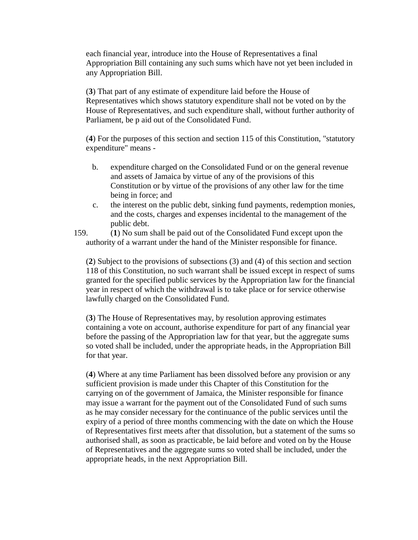each financial year, introduce into the House of Representatives a final Appropriation Bill containing any such sums which have not yet been included in any Appropriation Bill.

(**3**) That part of any estimate of expenditure laid before the House of Representatives which shows statutory expenditure shall not be voted on by the House of Representatives, and such expenditure shall, without further authority of Parliament, be p aid out of the Consolidated Fund.

(**4**) For the purposes of this section and section 115 of this Constitution, "statutory expenditure" means -

- b. expenditure charged on the Consolidated Fund or on the general revenue and assets of Jamaica by virtue of any of the provisions of this Constitution or by virtue of the provisions of any other law for the time being in force; and
- c. the interest on the public debt, sinking fund payments, redemption monies, and the costs, charges and expenses incidental to the management of the public debt.
- 159. (**1**) No sum shall be paid out of the Consolidated Fund except upon the authority of a warrant under the hand of the Minister responsible for finance.

(**2**) Subject to the provisions of subsections (3) and (4) of this section and section 118 of this Constitution, no such warrant shall be issued except in respect of sums granted for the specified public services by the Appropriation law for the financial year in respect of which the withdrawal is to take place or for service otherwise lawfully charged on the Consolidated Fund.

(**3**) The House of Representatives may, by resolution approving estimates containing a vote on account, authorise expenditure for part of any financial year before the passing of the Appropriation law for that year, but the aggregate sums so voted shall be included, under the appropriate heads, in the Appropriation Bill for that year.

(**4**) Where at any time Parliament has been dissolved before any provision or any sufficient provision is made under this Chapter of this Constitution for the carrying on of the government of Jamaica, the Minister responsible for finance may issue a warrant for the payment out of the Consolidated Fund of such sums as he may consider necessary for the continuance of the public services until the expiry of a period of three months commencing with the date on which the House of Representatives first meets after that dissolution, but a statement of the sums so authorised shall, as soon as practicable, be laid before and voted on by the House of Representatives and the aggregate sums so voted shall be included, under the appropriate heads, in the next Appropriation Bill.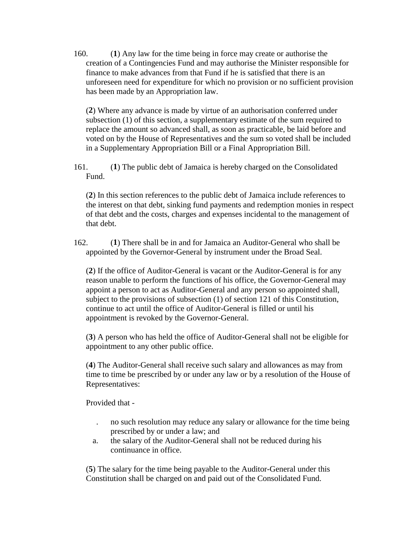160. (**1**) Any law for the time being in force may create or authorise the creation of a Contingencies Fund and may authorise the Minister responsible for finance to make advances from that Fund if he is satisfied that there is an unforeseen need for expenditure for which no provision or no sufficient provision has been made by an Appropriation law.

(**2**) Where any advance is made by virtue of an authorisation conferred under subsection (1) of this section, a supplementary estimate of the sum required to replace the amount so advanced shall, as soon as practicable, be laid before and voted on by the House of Representatives and the sum so voted shall be included in a Supplementary Appropriation Bill or a Final Appropriation Bill.

161. (**1**) The public debt of Jamaica is hereby charged on the Consolidated Fund.

(**2**) In this section references to the public debt of Jamaica include references to the interest on that debt, sinking fund payments and redemption monies in respect of that debt and the costs, charges and expenses incidental to the management of that debt.

162. (**1**) There shall be in and for Jamaica an Auditor-General who shall be appointed by the Governor-General by instrument under the Broad Seal.

(**2**) If the office of Auditor-General is vacant or the Auditor-General is for any reason unable to perform the functions of his office, the Governor-General may appoint a person to act as Auditor-General and any person so appointed shall, subject to the provisions of subsection (1) of section 121 of this Constitution, continue to act until the office of Auditor-General is filled or until his appointment is revoked by the Governor-General.

(**3**) A person who has held the office of Auditor-General shall not be eligible for appointment to any other public office.

(**4**) The Auditor-General shall receive such salary and allowances as may from time to time be prescribed by or under any law or by a resolution of the House of Representatives:

Provided that -

- . no such resolution may reduce any salary or allowance for the time being prescribed by or under a law; and
- a. the salary of the Auditor-General shall not be reduced during his continuance in office.

(**5**) The salary for the time being payable to the Auditor-General under this Constitution shall be charged on and paid out of the Consolidated Fund.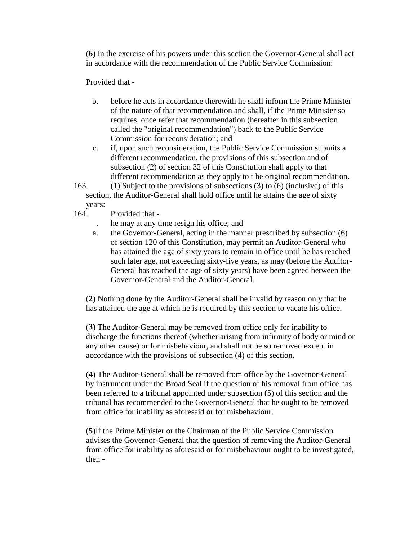(**6**) In the exercise of his powers under this section the Governor-General shall act in accordance with the recommendation of the Public Service Commission:

Provided that -

- b. before he acts in accordance therewith he shall inform the Prime Minister of the nature of that recommendation and shall, if the Prime Minister so requires, once refer that recommendation (hereafter in this subsection called the "original recommendation") back to the Public Service Commission for reconsideration; and
- c. if, upon such reconsideration, the Public Service Commission submits a different recommendation, the provisions of this subsection and of subsection (2) of section 32 of this Constitution shall apply to that different recommendation as they apply to t he original recommendation.
- 163. (**1**) Subject to the provisions of subsections (3) to (6) (inclusive) of this section, the Auditor-General shall hold office until he attains the age of sixty years:
- 164. Provided that
	- . he may at any time resign his office; and
	- a. the Governor-General, acting in the manner prescribed by subsection (6) of section 120 of this Constitution, may permit an Auditor-General who has attained the age of sixty years to remain in office until he has reached such later age, not exceeding sixty-five years, as may (before the Auditor-General has reached the age of sixty years) have been agreed between the Governor-General and the Auditor-General.

(**2**) Nothing done by the Auditor-General shall be invalid by reason only that he has attained the age at which he is required by this section to vacate his office.

(**3**) The Auditor-General may be removed from office only for inability to discharge the functions thereof (whether arising from infirmity of body or mind or any other cause) or for misbehaviour, and shall not be so removed except in accordance with the provisions of subsection (4) of this section.

(**4**) The Auditor-General shall be removed from office by the Governor-General by instrument under the Broad Seal if the question of his removal from office has been referred to a tribunal appointed under subsection (5) of this section and the tribunal has recommended to the Governor-General that he ought to be removed from office for inability as aforesaid or for misbehaviour.

(**5**)If the Prime Minister or the Chairman of the Public Service Commission advises the Governor-General that the question of removing the Auditor-General from office for inability as aforesaid or for misbehaviour ought to be investigated, then -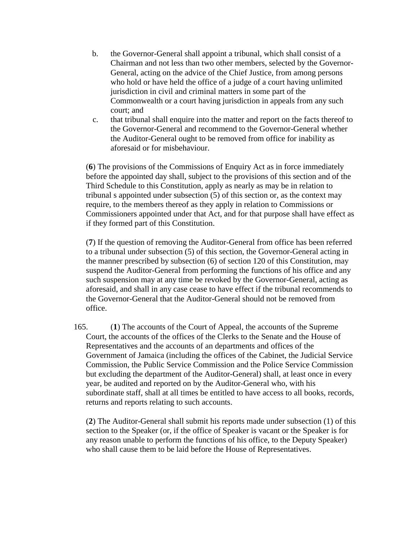- b. the Governor-General shall appoint a tribunal, which shall consist of a Chairman and not less than two other members, selected by the Governor-General, acting on the advice of the Chief Justice, from among persons who hold or have held the office of a judge of a court having unlimited jurisdiction in civil and criminal matters in some part of the Commonwealth or a court having jurisdiction in appeals from any such court; and
- c. that tribunal shall enquire into the matter and report on the facts thereof to the Governor-General and recommend to the Governor-General whether the Auditor-General ought to be removed from office for inability as aforesaid or for misbehaviour.

(**6**) The provisions of the Commissions of Enquiry Act as in force immediately before the appointed day shall, subject to the provisions of this section and of the Third Schedule to this Constitution, apply as nearly as may be in relation to tribunal s appointed under subsection (5) of this section or, as the context may require, to the members thereof as they apply in relation to Commissions or Commissioners appointed under that Act, and for that purpose shall have effect as if they formed part of this Constitution.

(**7**) If the question of removing the Auditor-General from office has been referred to a tribunal under subsection (5) of this section, the Governor-General acting in the manner prescribed by subsection (6) of section 120 of this Constitution, may suspend the Auditor-General from performing the functions of his office and any such suspension may at any time be revoked by the Governor-General, acting as aforesaid, and shall in any case cease to have effect if the tribunal recommends to the Governor-General that the Auditor-General should not be removed from office.

165. (**1**) The accounts of the Court of Appeal, the accounts of the Supreme Court, the accounts of the offices of the Clerks to the Senate and the House of Representatives and the accounts of an departments and offices of the Government of Jamaica (including the offices of the Cabinet, the Judicial Service Commission, the Public Service Commission and the Police Service Commission but excluding the department of the Auditor-General) shall, at least once in every year, be audited and reported on by the Auditor-General who, with his subordinate staff, shall at all times be entitled to have access to all books, records, returns and reports relating to such accounts.

(**2**) The Auditor-General shall submit his reports made under subsection (1) of this section to the Speaker (or, if the office of Speaker is vacant or the Speaker is for any reason unable to perform the functions of his office, to the Deputy Speaker) who shall cause them to be laid before the House of Representatives.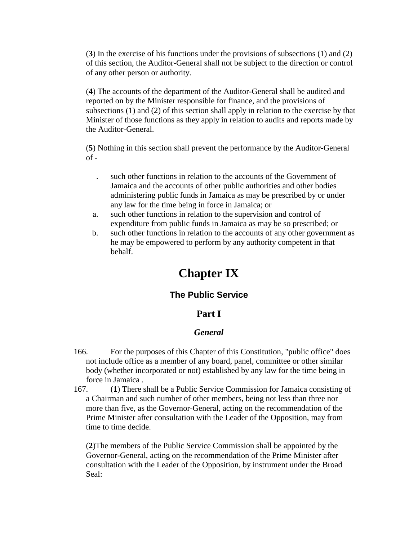(**3**) In the exercise of his functions under the provisions of subsections (1) and (2) of this section, the Auditor-General shall not be subject to the direction or control of any other person or authority.

(**4**) The accounts of the department of the Auditor-General shall be audited and reported on by the Minister responsible for finance, and the provisions of subsections (1) and (2) of this section shall apply in relation to the exercise by that Minister of those functions as they apply in relation to audits and reports made by the Auditor-General.

(**5**) Nothing in this section shall prevent the performance by the Auditor-General  $of -$ 

- . such other functions in relation to the accounts of the Government of Jamaica and the accounts of other public authorities and other bodies administering public funds in Jamaica as may be prescribed by or under any law for the time being in force in Jamaica; or
- a. such other functions in relation to the supervision and control of expenditure from public funds in Jamaica as may be so prescribed; or
- b. such other functions in relation to the accounts of any other government as he may be empowered to perform by any authority competent in that behalf.

# **Chapter IX**

## **The Public Service**

### **Part I**

### *General*

- 166. For the purposes of this Chapter of this Constitution, "public office" does not include office as a member of any board, panel, committee or other similar body (whether incorporated or not) established by any law for the time being in force in Jamaica .
- 167. (**1**) There shall be a Public Service Commission for Jamaica consisting of a Chairman and such number of other members, being not less than three nor more than five, as the Governor-General, acting on the recommendation of the Prime Minister after consultation with the Leader of the Opposition, may from time to time decide.

(**2**)The members of the Public Service Commission shall be appointed by the Governor-General, acting on the recommendation of the Prime Minister after consultation with the Leader of the Opposition, by instrument under the Broad Seal: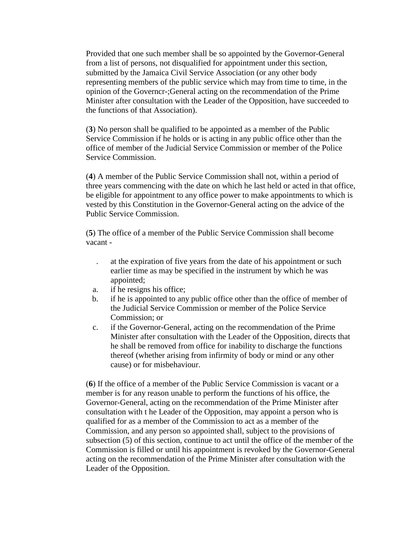Provided that one such member shall be so appointed by the Governor-General from a list of persons, not disqualified for appointment under this section, submitted by the Jamaica Civil Service Association (or any other body representing members of the public service which may from time to time, in the opinion of the Governcr-;General acting on the recommendation of the Prime Minister after consultation with the Leader of the Opposition, have succeeded to the functions of that Association).

(**3**) No person shall be qualified to be appointed as a member of the Public Service Commission if he holds or is acting in any public office other than the office of member of the Judicial Service Commission or member of the Police Service Commission.

(**4**) A member of the Public Service Commission shall not, within a period of three years commencing with the date on which he last held or acted in that office, be eligible for appointment to any office power to make appointments to which is vested by this Constitution in the Governor-General acting on the advice of the Public Service Commission.

(**5**) The office of a member of the Public Service Commission shall become vacant -

- . at the expiration of five years from the date of his appointment or such earlier time as may be specified in the instrument by which he was appointed;
- a. if he resigns his office;
- b. if he is appointed to any public office other than the office of member of the Judicial Service Commission or member of the Police Service Commission; or
- c. if the Governor-General, acting on the recommendation of the Prime Minister after consultation with the Leader of the Opposition, directs that he shall be removed from office for inability to discharge the functions thereof (whether arising from infirmity of body or mind or any other cause) or for misbehaviour.

(**6**) If the office of a member of the Public Service Commission is vacant or a member is for any reason unable to perform the functions of his office, the Governor-General, acting on the recommendation of the Prime Minister after consultation with t he Leader of the Opposition, may appoint a person who is qualified for as a member of the Commission to act as a member of the Commission, and any person so appointed shall, subject to the provisions of subsection (5) of this section, continue to act until the office of the member of the Commission is filled or until his appointment is revoked by the Governor-General acting on the recommendation of the Prime Minister after consultation with the Leader of the Opposition.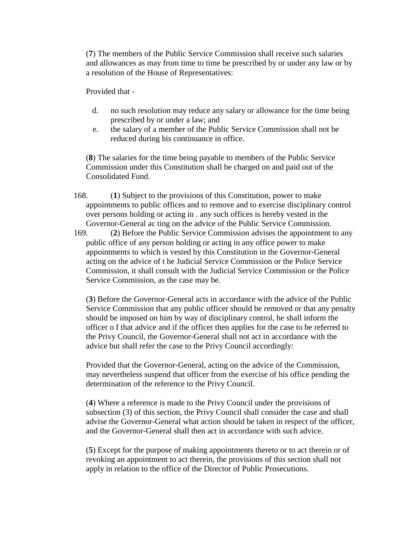(**7**) The members of the Public Service Commission shall receive such salaries and allowances as may from time to time be prescribed by or under any law or by a resolution of the House of Representatives:

Provided that -

- d. no such resolution may reduce any salary or allowance for the time being prescribed by or under a law; and
- e. the salary of a member of the Public Service Commission shall not be reduced during his continuance in office.

(**8**) The salaries for the time being payable to members of the Public Service Commission under this Constitution shall be charged on and paid out of the Consolidated Fund.

- 168. (**1**) Subject to the provisions of this Constitution, power to make appointments to public offices and to remove and to exercise disciplinary control over persons holding or acting in . any such offices is hereby vested in the Governor-General ac ting on the advice of the Public Service Commission.
- 169. (**2**) Before the Public Service Commission advises the appointment to any public office of any person holding or acting in any office power to make appointments to which is vested by this Constitution in the Governor-General acting on the advice of t he Judicial Service Commission or the Police Service Commission, it shall consult with the Judicial Service Commission or the Police Service Commission, as the case may be.

(**3**) Before the Governor-General acts in accordance with the advice of the Public Service Commission that any public officer should be removed or that any penalty should be imposed on him by way of disciplinary control, he shall inform the officer o f that advice and if the officer then applies for the case to be referred to the Privy Council, the Governor-General shall not act in accordance with the advice but shall refer the case to the Privy Council accordingly:

Provided that the Governor-General, acting on the advice of the Commission, may nevertheless suspend that officer from the exercise of his office pending the determination of the reference to the Privy Council.

(**4**) Where a reference is made to the Privy Council under the provisions of subsection (3) of this section, the Privy Council shall consider the case and shall advise the Governor-General what action should be taken in respect of the officer, and the Governor-General shall then act in accordance with such advice.

(**5**) Except for the purpose of making appointments thereto or to act therein or of revoking an appointment to act therein, the provisions of this section shall not apply in relation to the office of the Director of Public Prosecutions.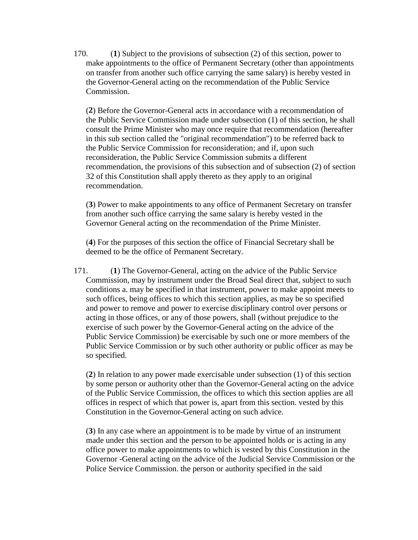170. (**1**) Subject to the provisions of subsection (2) of this section, power to make appointments to the office of Permanent Secretary (other than appointments on transfer from another such office carrying the same salary) is hereby vested in the Governor-General acting on the recommendation of the Public Service Commission.

(**2**) Before the Governor-General acts in accordance with a recommendation of the Public Service Commission made under subsection (1) of this section, he shall consult the Prime Minister who may once require that recommendation (hereafter in this sub section called the "original recommendation") to be referred back to the Public Service Commission for reconsideration; and if, upon such reconsideration, the Public Service Commission submits a different recommendation, the provisions of this subsection and of subsection (2) of section 32 of this Constitution shall apply thereto as they apply to an original recommendation.

(**3**) Power to make appointments to any office of Permanent Secretary on transfer from another such office carrying the same salary is hereby vested in the Governor General acting on the recommendation of the Prime Minister.

(**4**) For the purposes of this section the office of Financial Secretary shall be deemed to be the office of Permanent Secretary.

171. (**1**) The Governor-General, acting on the advice of the Public Service Commission, may by instrument under the Broad Seal direct that, subject to such conditions a. may be specified in that instrument, power to make appoint meets to such offices, being offices to which this section applies, as may be so specified and power to remove and power to exercise disciplinary control over persons or acting in those offices, or any of those powers, shall (without prejudice to the exercise of such power by the Governor-General acting on the advice of the Public Service Commission) be exercisable by such one or more members of the Public Service Commission or by such other authority or public officer as may be so specified.

(**2**) In relation to any power made exercisable under subsection (1) of this section by some person or authority other than the Governor-General acting on the advice of the Public Service Commission, the offices to which this section applies are all offices in respect of which that power is, apart from this section. vested by this Constitution in the Governor-General acting on such advice.

(**3**) In any case where an appointment is to be made by virtue of an instrument made under this section and the person to be appointed holds or is acting in any office power to make appointments to which is vested by this Constitution in the Governor -General acting on the advice of the Judicial Service Commission or the Police Service Commission. the person or authority specified in the said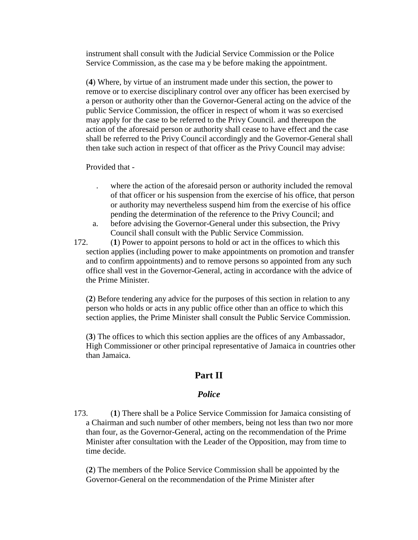instrument shall consult with the Judicial Service Commission or the Police Service Commission, as the case ma y be before making the appointment.

(**4**) Where, by virtue of an instrument made under this section, the power to remove or to exercise disciplinary control over any officer has been exercised by a person or authority other than the Governor-General acting on the advice of the public Service Commission, the officer in respect of whom it was so exercised may apply for the case to be referred to the Privy Council. and thereupon the action of the aforesaid person or authority shall cease to have effect and the case shall be referred to the Privy Council accordingly and the Governor-General shall then take such action in respect of that officer as the Privy Council may advise:

Provided that -

- where the action of the aforesaid person or authority included the removal of that officer or his suspension from the exercise of his office, that person or authority may nevertheless suspend him from the exercise of his office pending the determination of the reference to the Privy Council; and
- a. before advising the Governor-General under this subsection, the Privy Council shall consult with the Public Service Commission.
- 172. (**1**) Power to appoint persons to hold or act in the offices to which this section applies (including power to make appointments on promotion and transfer and to confirm appointments) and to remove persons so appointed from any such office shall vest in the Governor-General, acting in accordance with the advice of the Prime Minister.

(**2**) Before tendering any advice for the purposes of this section in relation to any person who holds or acts in any public office other than an office to which this section applies, the Prime Minister shall consult the Public Service Commission.

(**3**) The offices to which this section applies are the offices of any Ambassador, High Commissioner or other principal representative of Jamaica in countries other than Jamaica.

### **Part II**

#### *Police*

173. (**1**) There shall be a Police Service Commission for Jamaica consisting of a Chairman and such number of other members, being not less than two nor more than four, as the Governor-General, acting on the recommendation of the Prime Minister after consultation with the Leader of the Opposition, may from time to time decide.

(**2**) The members of the Police Service Commission shall be appointed by the Governor-General on the recommendation of the Prime Minister after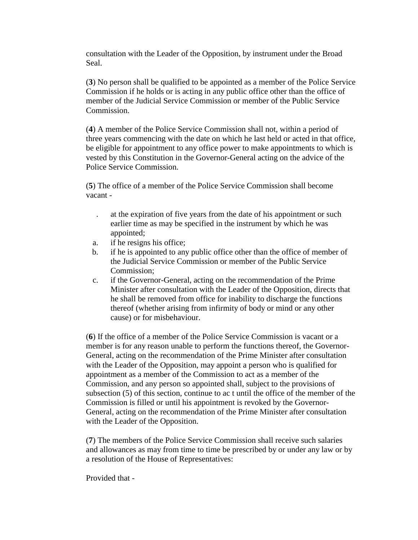consultation with the Leader of the Opposition, by instrument under the Broad Seal.

(**3**) No person shall be qualified to be appointed as a member of the Police Service Commission if he holds or is acting in any public office other than the office of member of the Judicial Service Commission or member of the Public Service Commission.

(**4**) A member of the Police Service Commission shall not, within a period of three years commencing with the date on which he last held or acted in that office, be eligible for appointment to any office power to make appointments to which is vested by this Constitution in the Governor-General acting on the advice of the Police Service Commission.

(**5**) The office of a member of the Police Service Commission shall become vacant -

- . at the expiration of five years from the date of his appointment or such earlier time as may be specified in the instrument by which he was appointed;
- a. if he resigns his office;
- b. if he is appointed to any public office other than the office of member of the Judicial Service Commission or member of the Public Service Commission;
- c. if the Governor-General, acting on the recommendation of the Prime Minister after consultation with the Leader of the Opposition, directs that he shall be removed from office for inability to discharge the functions thereof (whether arising from infirmity of body or mind or any other cause) or for misbehaviour.

(**6**) If the office of a member of the Police Service Commission is vacant or a member is for any reason unable to perform the functions thereof, the Governor-General, acting on the recommendation of the Prime Minister after consultation with the Leader of the Opposition, may appoint a person who is qualified for appointment as a member of the Commission to act as a member of the Commission, and any person so appointed shall, subject to the provisions of subsection (5) of this section, continue to ac t until the office of the member of the Commission is filled or until his appointment is revoked by the Governor-General, acting on the recommendation of the Prime Minister after consultation with the Leader of the Opposition.

(**7**) The members of the Police Service Commission shall receive such salaries and allowances as may from time to time be prescribed by or under any law or by a resolution of the House of Representatives:

Provided that -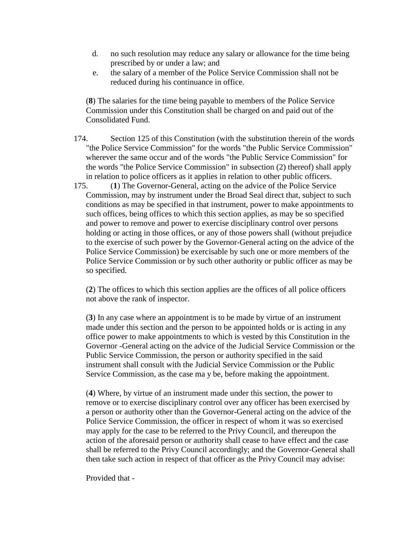- d. no such resolution may reduce any salary or allowance for the time being prescribed by or under a law; and
- e. the salary of a member of the Police Service Commission shall not be reduced during his continuance in office.

(**8**) The salaries for the time being payable to members of the Police Service Commission under this Constitution shall be charged on and paid out of the Consolidated Fund.

- 174. Section 125 of this Constitution (with the substitution therein of the words "the Police Service Commission" for the words "the Public Service Commission" wherever the same occur and of the words "the Public Service Commission" for the words "the Police Service Commission" in subsection (2) thereof) shall apply in relation to police officers as it applies in relation to other public officers.
- 175. (**1**) The Governor-General, acting on the advice of the Police Service Commission, may by instrument under the Broad Seal direct that, subject to such conditions as may be specified in that instrument, power to make appointments to such offices, being offices to which this section applies, as may be so specified and power to remove and power to exercise disciplinary control over persons holding or acting in those offices, or any of those powers shall (without prejudice to the exercise of such power by the Governor-General acting on the advice of the Police Service Commission) be exercisable by such one or more members of the Police Service Commission or by such other authority or public officer as may be so specified.

(**2**) The offices to which this section applies are the offices of all police officers not above the rank of inspector.

(**3**) In any case where an appointment is to be made by virtue of an instrument made under this section and the person to be appointed holds or is acting in any office power to make appointments to which is vested by this Constitution in the Governor -General acting on the advice of the Judicial Service Commission or the Public Service Commission, the person or authority specified in the said instrument shall consult with the Judicial Service Commission or the Public Service Commission, as the case ma y be, before making the appointment.

(**4**) Where, by virtue of an instrument made under this section, the power to remove or to exercise disciplinary control over any officer has been exercised by a person or authority other than the Governor-General acting on the advice of the Police Service Commission, the officer in respect of whom it was so exercised may apply for the case to be referred to the Privy Council, and thereupon the action of the aforesaid person or authority shall cease to have effect and the case shall be referred to the Privy Council accordingly; and the Governor-General shall then take such action in respect of that officer as the Privy Council may advise:

Provided that -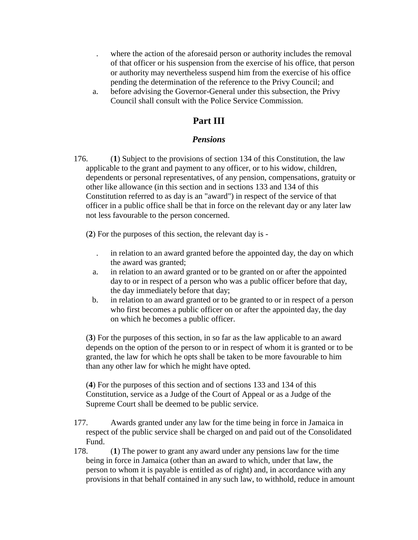. where the action of the aforesaid person or authority includes the removal of that officer or his suspension from the exercise of his office, that person or authority may nevertheless suspend him from the exercise of his office pending the determination of the reference to the Privy Council; and

a. before advising the Governor-General under this subsection, the Privy Council shall consult with the Police Service Commission.

### **Part III**

#### *Pensions*

176. (**1**) Subject to the provisions of section 134 of this Constitution, the law applicable to the grant and payment to any officer, or to his widow, children, dependents or personal representatives, of any pension, compensations, gratuity or other like allowance (in this section and in sections 133 and 134 of this Constitution referred to as day is an "award") in respect of the service of that officer in a public office shall be that in force on the relevant day or any later law not less favourable to the person concerned.

(**2**) For the purposes of this section, the relevant day is -

- . in relation to an award granted before the appointed day, the day on which the award was granted;
- a. in relation to an award granted or to be granted on or after the appointed day to or in respect of a person who was a public officer before that day, the day immediately before that day;
- b. in relation to an award granted or to be granted to or in respect of a person who first becomes a public officer on or after the appointed day, the day on which he becomes a public officer.

(**3**) For the purposes of this section, in so far as the law applicable to an award depends on the option of the person to or in respect of whom it is granted or to be granted, the law for which he opts shall be taken to be more favourable to him than any other law for which he might have opted.

(**4**) For the purposes of this section and of sections 133 and 134 of this Constitution, service as a Judge of the Court of Appeal or as a Judge of the Supreme Court shall be deemed to be public service.

- 177. Awards granted under any law for the time being in force in Jamaica in respect of the public service shall be charged on and paid out of the Consolidated Fund.
- 178. (**1**) The power to grant any award under any pensions law for the time being in force in Jamaica (other than an award to which, under that law, the person to whom it is payable is entitled as of right) and, in accordance with any provisions in that behalf contained in any such law, to withhold, reduce in amount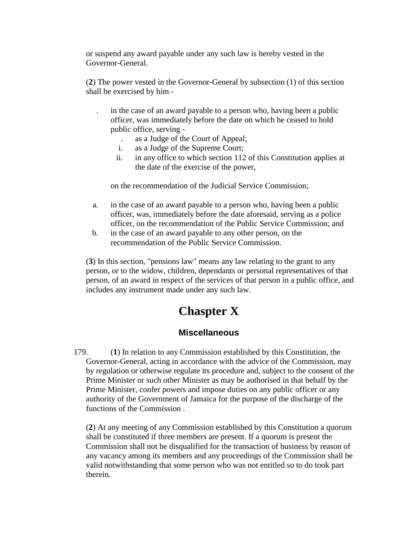or suspend any award payable under any such law is hereby vested in the Governor-General.

(**2**) The power vested in the Governor-General by subsection (1) of this section shall be exercised by him -

- . in the case of an award payable to a person who, having been a public officer, was immediately before the date on which he ceased to hold public office, serving -
	- . as a Judge of the Court of Appeal;
	- i. as a Judge of the Supreme Court;
	- ii. in any office to which section 112 of this Constitution applies at the date of the exercise of the power,

on the recommendation of the Judicial Service Commission;

- a. in the case of an award payable to a person who, having been a public officer, was, immediately before the date aforesaid, serving as a police officer, on the recommendation of the Public Service Commission; and
- b. in the case of an award payable to any other person, on the recommendation of the Public Service Commission.

(**3**) In this section, "pensions law" means any law relating to the grant to any person, or to the widow, children, dependants or personal representatives of that person, of an award in respect of the services of that person in a public office, and includes any instrument made under any such law.

# **Chaspter X**

### **Miscellaneous**

179. (**1**) In relation to any Commission established by this Constitution, the Governor-General, acting in accordance with the advice of the Commission, may by regulation or otherwise regulate its procedure and, subject to the consent of the Prime Minister or such other Minister as may be authorised in that behalf by the Prime Minister, confer powers and impose duties on any public officer or any authority of the Government of Jamaica for the purpose of the discharge of the functions of the Commission .

(**2**) At any meeting of any Commission established by this Constitution a quorum shall be constituted if three members are present. If a quorum is present the Commission shall not be disqualified for the transaction of business by reason of any vacancy among its members and any proceedings of the Commission shall be valid notwithstanding that some person who was not entitled so to do took part therein.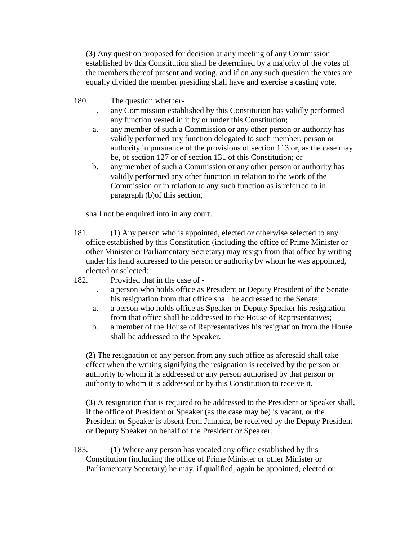(**3**) Any question proposed for decision at any meeting of any Commission established by this Constitution shall be determined by a majority of the votes of the members thereof present and voting, and if on any such question the votes are equally divided the member presiding shall have and exercise a casting vote.

- 180. The question whether-
	- . any Commission established by this Constitution has validly performed any function vested in it by or under this Constitution;
	- a. any member of such a Commission or any other person or authority has validly performed any function delegated to such member, person or authority in pursuance of the provisions of section 113 or, as the case may be, of section 127 or of section 131 of this Constitution; or
	- b. any member of such a Commission or any other person or authority has validly performed any other function in relation to the work of the Commission or in relation to any such function as is referred to in paragraph (b)of this section,

shall not be enquired into in any court.

- 181. (**1**) Any person who is appointed, elected or otherwise selected to any office established by this Constitution (including the office of Prime Minister or other Minister or Parliamentary Secretary) may resign from that office by writing under his hand addressed to the person or authority by whom he was appointed, elected or selected:
- 182. Provided that in the case of
	- . a person who holds office as President or Deputy President of the Senate his resignation from that office shall be addressed to the Senate;
	- a. a person who holds office as Speaker or Deputy Speaker his resignation from that office shall be addressed to the House of Representatives;
	- b. a member of the House of Representatives his resignation from the House shall be addressed to the Speaker.

(**2**) The resignation of any person from any such office as aforesaid shall take effect when the writing signifying the resignation is received by the person or authority to whom it is addressed or any person authorised by that person or authority to whom it is addressed or by this Constitution to receive it.

(**3**) A resignation that is required to be addressed to the President or Speaker shall, if the office of President or Speaker (as the case may be) is vacant, or the President or Speaker is absent from Jamaica, be received by the Deputy President or Deputy Speaker on behalf of the President or Speaker.

183. (**1**) Where any person has vacated any office established by this Constitution (including the office of Prime Minister or other Minister or Parliamentary Secretary) he may, if qualified, again be appointed, elected or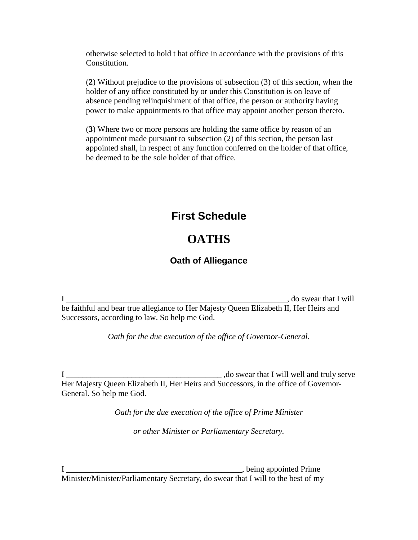otherwise selected to hold t hat office in accordance with the provisions of this Constitution.

(**2**) Without prejudice to the provisions of subsection (3) of this section, when the holder of any office constituted by or under this Constitution is on leave of absence pending relinquishment of that office, the person or authority having power to make appointments to that office may appoint another person thereto.

(**3**) Where two or more persons are holding the same office by reason of an appointment made pursuant to subsection (2) of this section, the person last appointed shall, in respect of any function conferred on the holder of that office, be deemed to be the sole holder of that office.

## **First Schedule**

# **OATHS**

## **Oath of Alliegance**

 $I \longrightarrow$  do swear that I will be faithful and bear true allegiance to Her Majesty Queen Elizabeth II, Her Heirs and Successors, according to law. So help me God.

*Oath for the due execution of the office of Governor-General.*

I \_\_\_\_\_\_\_\_\_\_\_\_\_\_\_\_\_\_\_\_\_\_\_\_\_\_\_\_\_\_\_\_\_\_\_\_\_\_ ,do swear that I will well and truly serve Her Majesty Queen Elizabeth II, Her Heirs and Successors, in the office of Governor-General. So help me God.

*Oath for the due execution of the office of Prime Minister* 

*or other Minister or Parliamentary Secretary.*

I \_\_\_\_\_\_\_\_\_\_\_\_\_\_\_\_\_\_\_\_\_\_\_\_\_\_\_\_\_\_\_\_\_\_\_\_\_\_\_\_\_\_\_, being appointed Prime Minister/Minister/Parliamentary Secretary, do swear that I will to the best of my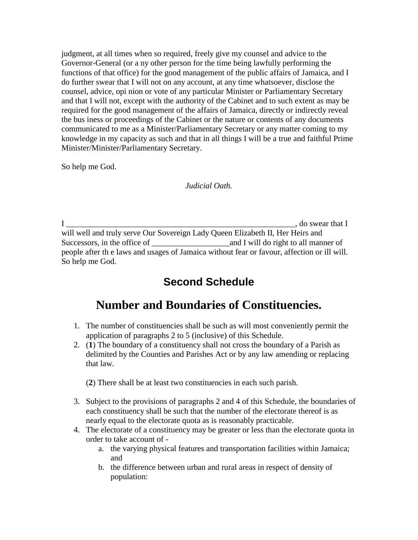judgment, at all times when so required, freely give my counsel and advice to the Governor-General (or a ny other person for the time being lawfully performing the functions of that office) for the good management of the public affairs of Jamaica, and I do further swear that I will not on any account, at any time whatsoever, disclose the counsel, advice, opi nion or vote of any particular Minister or Parliamentary Secretary and that I will not, except with the authority of the Cabinet and to such extent as may be required for the good management of the affairs of Jamaica, directly or indirectly reveal the bus iness or proceedings of the Cabinet or the nature or contents of any documents communicated to me as a Minister/Parliamentary Secretary or any matter coming to my knowledge in my capacity as such and that in all things I will be a true and faithful Prime Minister/Minister/Parliamentary Secretary.

So help me God.

#### *Judicial Oath.*

I \_\_\_\_\_\_\_\_\_\_\_\_\_\_\_\_\_\_\_\_\_\_\_\_\_\_\_\_\_\_\_\_\_\_\_\_\_\_\_\_\_\_\_\_\_\_\_\_\_\_\_\_\_\_\_\_, do swear that I will well and truly serve Our Sovereign Lady Queen Elizabeth II, Her Heirs and Successors, in the office of \_\_\_\_\_\_\_\_\_\_\_\_\_\_\_\_\_\_\_and I will do right to all manner of people after th e laws and usages of Jamaica without fear or favour, affection or ill will. So help me God.

## **Second Schedule**

## **Number and Boundaries of Constituencies.**

- 1. The number of constituencies shall be such as will most conveniently permit the application of paragraphs 2 to 5 (inclusive) of this Schedule.
- 2. (**1**) The boundary of a constituency shall not cross the boundary of a Parish as delimited by the Counties and Parishes Act or by any law amending or replacing that law.

(**2**) There shall be at least two constituencies in each such parish.

- 3. Subject to the provisions of paragraphs 2 and 4 of this Schedule, the boundaries of each constituency shall be such that the number of the electorate thereof is as nearly equal to the electorate quota as is reasonably practicable.
- 4. The electorate of a constituency may be greater or less than the electorate quota in order to take account of
	- a. the varying physical features and transportation facilities within Jamaica; and
	- b. the difference between urban and rural areas in respect of density of population: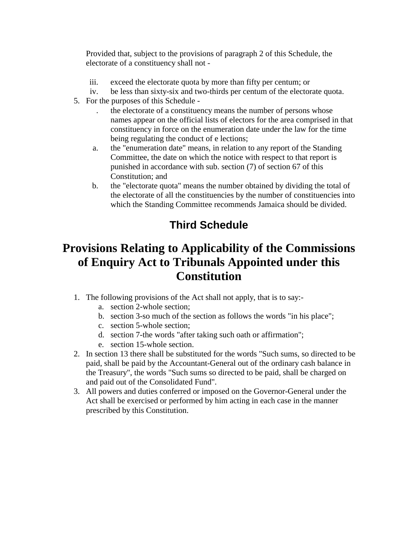Provided that, subject to the provisions of paragraph 2 of this Schedule, the electorate of a constituency shall not -

- iii. exceed the electorate quota by more than fifty per centum; or
- iv. be less than sixty-six and two-thirds per centum of the electorate quota.
- 5. For the purposes of this Schedule
	- . the electorate of a constituency means the number of persons whose names appear on the official lists of electors for the area comprised in that constituency in force on the enumeration date under the law for the time being regulating the conduct of e lections;
	- a. the "enumeration date" means, in relation to any report of the Standing Committee, the date on which the notice with respect to that report is punished in accordance with sub. section (7) of section 67 of this Constitution; and
	- b. the "electorate quota" means the number obtained by dividing the total of the electorate of all the constituencies by the number of constituencies into which the Standing Committee recommends Jamaica should be divided.

## **Third Schedule**

## **Provisions Relating to Applicability of the Commissions of Enquiry Act to Tribunals Appointed under this Constitution**

- 1. The following provisions of the Act shall not apply, that is to say:
	- a. section 2-whole section;
	- b. section 3-so much of the section as follows the words "in his place";
	- c. section 5-whole section;
	- d. section 7-the words "after taking such oath or affirmation";
	- e. section 15-whole section.
- 2. In section 13 there shall be substituted for the words "Such sums, so directed to be paid, shall be paid by the Accountant-General out of the ordinary cash balance in the Treasury", the words "Such sums so directed to be paid, shall be charged on and paid out of the Consolidated Fund".
- 3. All powers and duties conferred or imposed on the Governor-General under the Act shall be exercised or performed by him acting in each case in the manner prescribed by this Constitution.